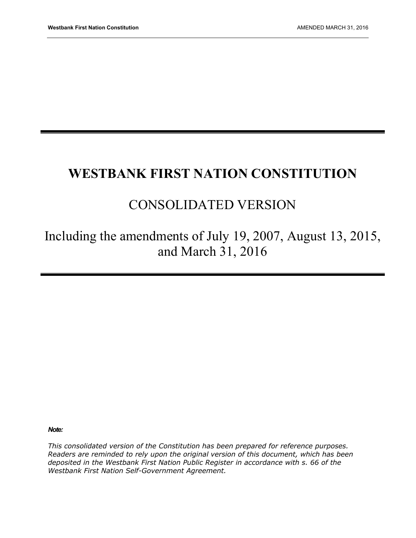# **WESTBANK FIRST NATION CONSTITUTION**

# CONSOLIDATED VERSION

Including the amendments of July 19, 2007, August 13, 2015, and March 31, 2016

*Note:* 

*This consolidated version of the Constitution has been prepared for reference purposes. Readers are reminded to rely upon the original version of this document, which has been deposited in the Westbank First Nation Public Register in accordance with s. 66 of the Westbank First Nation Self-Government Agreement.*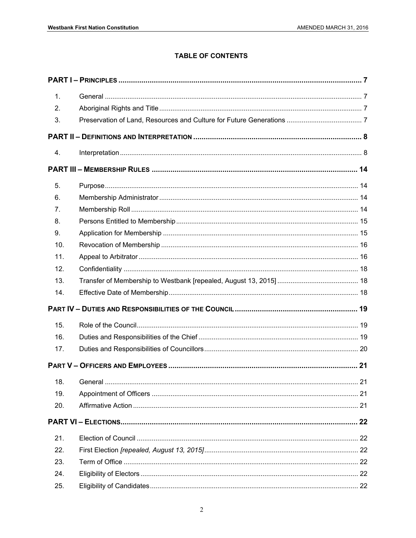#### **TABLE OF CONTENTS**

| 1.  |  |
|-----|--|
| 2.  |  |
| 3.  |  |
|     |  |
| 4.  |  |
|     |  |
| 5.  |  |
| 6.  |  |
| 7.  |  |
| 8.  |  |
| 9.  |  |
| 10. |  |
| 11. |  |
| 12. |  |
| 13. |  |
| 14. |  |
|     |  |
| 15. |  |
| 16. |  |
| 17. |  |
|     |  |
| 18. |  |
| 19. |  |
| 20. |  |
|     |  |
| 21. |  |
| 22. |  |
| 23. |  |
| 24. |  |
| 25. |  |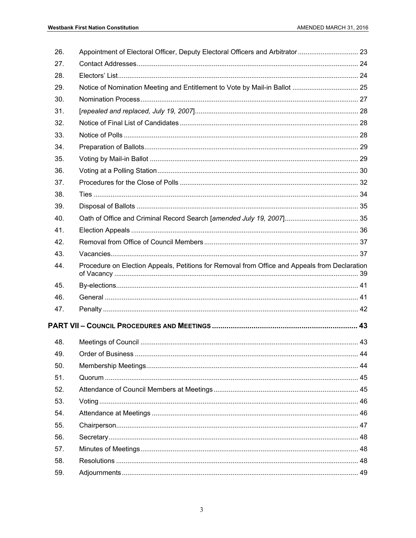| 26. | Appointment of Electoral Officer, Deputy Electoral Officers and Arbitrator  23                |  |
|-----|-----------------------------------------------------------------------------------------------|--|
| 27. |                                                                                               |  |
| 28. |                                                                                               |  |
| 29. |                                                                                               |  |
| 30. |                                                                                               |  |
| 31. |                                                                                               |  |
| 32. |                                                                                               |  |
| 33. |                                                                                               |  |
| 34. |                                                                                               |  |
| 35. |                                                                                               |  |
| 36. |                                                                                               |  |
| 37. |                                                                                               |  |
| 38. |                                                                                               |  |
| 39. |                                                                                               |  |
| 40. |                                                                                               |  |
| 41. |                                                                                               |  |
| 42. |                                                                                               |  |
| 43. |                                                                                               |  |
| 44. | Procedure on Election Appeals, Petitions for Removal from Office and Appeals from Declaration |  |
| 45. |                                                                                               |  |
| 46. |                                                                                               |  |
| 47. |                                                                                               |  |
|     |                                                                                               |  |
| 48. |                                                                                               |  |
| 49. |                                                                                               |  |
| 50. |                                                                                               |  |
| 51. |                                                                                               |  |
| 52. |                                                                                               |  |
| 53. |                                                                                               |  |
| 54. |                                                                                               |  |
| 55. |                                                                                               |  |
| 56. |                                                                                               |  |
| 57. |                                                                                               |  |
| 58. |                                                                                               |  |
|     |                                                                                               |  |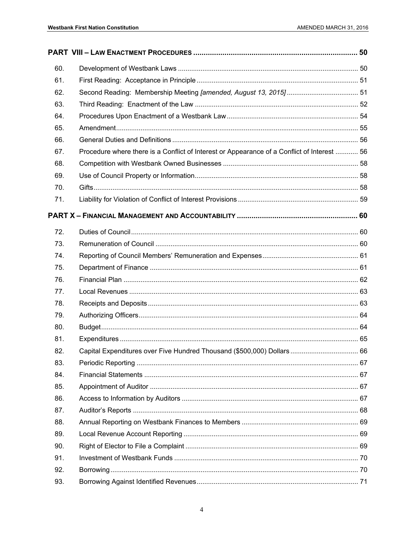| 60. |                                                                                             |  |
|-----|---------------------------------------------------------------------------------------------|--|
| 61. |                                                                                             |  |
| 62. |                                                                                             |  |
| 63. |                                                                                             |  |
| 64. |                                                                                             |  |
| 65. |                                                                                             |  |
| 66. |                                                                                             |  |
| 67. | Procedure where there is a Conflict of Interest or Appearance of a Conflict of Interest  56 |  |
| 68. |                                                                                             |  |
| 69. |                                                                                             |  |
| 70. |                                                                                             |  |
| 71. |                                                                                             |  |
|     |                                                                                             |  |
| 72. |                                                                                             |  |
| 73. |                                                                                             |  |
| 74. |                                                                                             |  |
| 75. |                                                                                             |  |
| 76. |                                                                                             |  |
| 77. |                                                                                             |  |
| 78. |                                                                                             |  |
| 79. |                                                                                             |  |
| 80. |                                                                                             |  |
| 81. |                                                                                             |  |
| 82. |                                                                                             |  |
| 83. |                                                                                             |  |
| 84. |                                                                                             |  |
| 85. |                                                                                             |  |
| 86. |                                                                                             |  |
| 87. |                                                                                             |  |
| 88. |                                                                                             |  |
| 89. |                                                                                             |  |
| 90. |                                                                                             |  |
| 91. |                                                                                             |  |
| 92. |                                                                                             |  |
| 93. |                                                                                             |  |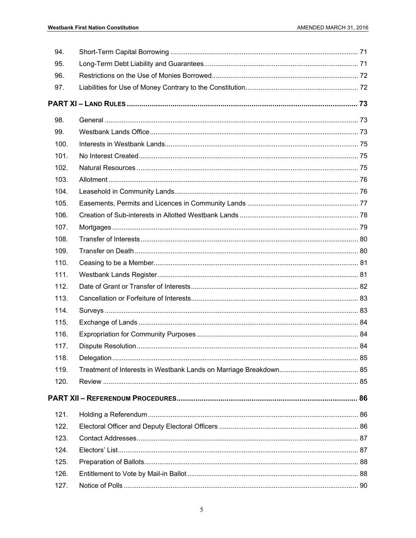| 94.  |  |
|------|--|
| 95.  |  |
| 96.  |  |
| 97.  |  |
|      |  |
| 98.  |  |
| 99.  |  |
| 100. |  |
| 101. |  |
| 102. |  |
| 103. |  |
| 104. |  |
| 105. |  |
| 106. |  |
| 107. |  |
| 108. |  |
| 109. |  |
| 110. |  |
| 111. |  |
| 112. |  |
| 113. |  |
| 114. |  |
| 115. |  |
| 116. |  |
| 117. |  |
| 118. |  |
| 119. |  |
| 120. |  |
|      |  |
| 121. |  |
| 122. |  |
| 123. |  |
| 124. |  |
| 125. |  |
| 126. |  |
| 127. |  |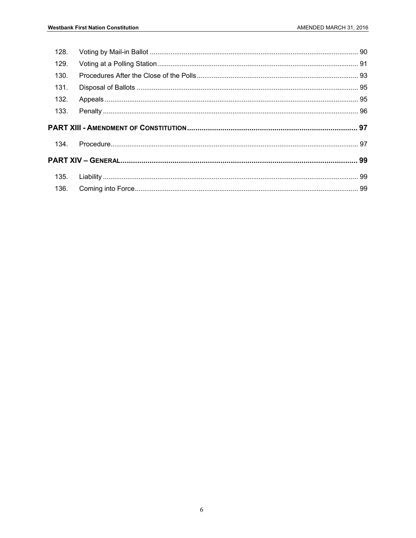| 128. |  |
|------|--|
| 129. |  |
| 130. |  |
| 131. |  |
| 132. |  |
| 133. |  |
|      |  |
|      |  |
| 134. |  |
|      |  |
| 135. |  |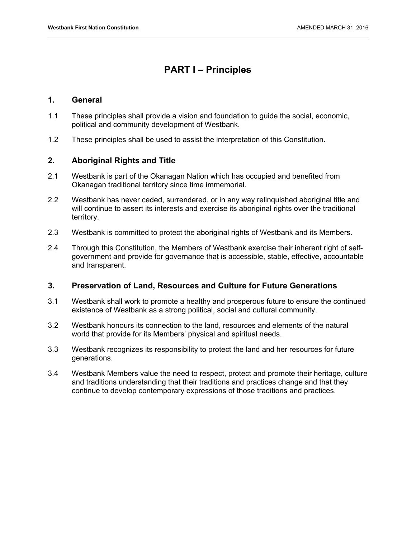# **PART I – Principles**

#### **1. General**

- 1.1 These principles shall provide a vision and foundation to guide the social, economic, political and community development of Westbank.
- 1.2 These principles shall be used to assist the interpretation of this Constitution.

#### **2. Aboriginal Rights and Title**

- 2.1 Westbank is part of the Okanagan Nation which has occupied and benefited from Okanagan traditional territory since time immemorial.
- 2.2 Westbank has never ceded, surrendered, or in any way relinquished aboriginal title and will continue to assert its interests and exercise its aboriginal rights over the traditional territory.
- 2.3 Westbank is committed to protect the aboriginal rights of Westbank and its Members.
- 2.4 Through this Constitution, the Members of Westbank exercise their inherent right of selfgovernment and provide for governance that is accessible, stable, effective, accountable and transparent.

#### **3. Preservation of Land, Resources and Culture for Future Generations**

- 3.1 Westbank shall work to promote a healthy and prosperous future to ensure the continued existence of Westbank as a strong political, social and cultural community.
- 3.2 Westbank honours its connection to the land, resources and elements of the natural world that provide for its Members' physical and spiritual needs.
- 3.3 Westbank recognizes its responsibility to protect the land and her resources for future generations.
- 3.4 Westbank Members value the need to respect, protect and promote their heritage, culture and traditions understanding that their traditions and practices change and that they continue to develop contemporary expressions of those traditions and practices.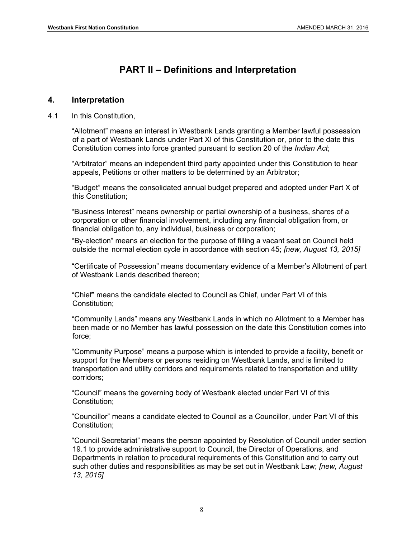# **PART II – Definitions and Interpretation**

#### **4. Interpretation**

4.1 In this Constitution,

"Allotment" means an interest in Westbank Lands granting a Member lawful possession of a part of Westbank Lands under Part XI of this Constitution or, prior to the date this Constitution comes into force granted pursuant to section 20 of the *Indian Act*;

"Arbitrator" means an independent third party appointed under this Constitution to hear appeals, Petitions or other matters to be determined by an Arbitrator;

"Budget" means the consolidated annual budget prepared and adopted under Part X of this Constitution;

"Business Interest" means ownership or partial ownership of a business, shares of a corporation or other financial involvement, including any financial obligation from, or financial obligation to, any individual, business or corporation;

"By-election" means an election for the purpose of filling a vacant seat on Council held outside the normal election cycle in accordance with section 45; *[new, August 13, 2015]*

"Certificate of Possession" means documentary evidence of a Member's Allotment of part of Westbank Lands described thereon;

"Chief" means the candidate elected to Council as Chief, under Part VI of this Constitution;

"Community Lands" means any Westbank Lands in which no Allotment to a Member has been made or no Member has lawful possession on the date this Constitution comes into force;

"Community Purpose" means a purpose which is intended to provide a facility, benefit or support for the Members or persons residing on Westbank Lands, and is limited to transportation and utility corridors and requirements related to transportation and utility corridors;

"Council" means the governing body of Westbank elected under Part VI of this Constitution;

"Councillor" means a candidate elected to Council as a Councillor, under Part VI of this Constitution;

"Council Secretariat" means the person appointed by Resolution of Council under section 19.1 to provide administrative support to Council, the Director of Operations, and Departments in relation to procedural requirements of this Constitution and to carry out such other duties and responsibilities as may be set out in Westbank Law; *[new, August 13, 2015]*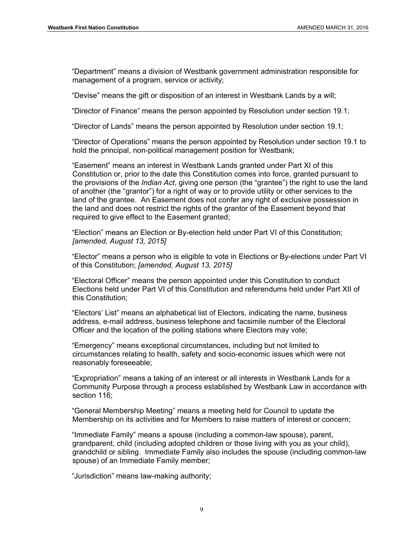"Department" means a division of Westbank government administration responsible for management of a program, service or activity;

"Devise" means the gift or disposition of an interest in Westbank Lands by a will;

"Director of Finance" means the person appointed by Resolution under section 19.1;

"Director of Lands" means the person appointed by Resolution under section 19.1;

"Director of Operations" means the person appointed by Resolution under section 19.1 to hold the principal, non-political management position for Westbank;

"Easement" means an interest in Westbank Lands granted under Part XI of this Constitution or, prior to the date this Constitution comes into force, granted pursuant to the provisions of the *Indian Act*, giving one person (the "grantee") the right to use the land of another (the "grantor") for a right of way or to provide utility or other services to the land of the grantee. An Easement does not confer any right of exclusive possession in the land and does not restrict the rights of the grantor of the Easement beyond that required to give effect to the Easement granted;

"Election" means an Election or By-election held under Part VI of this Constitution; *[amended, August 13, 2015]* 

"Elector" means a person who is eligible to vote in Elections or By-elections under Part VI of this Constitution; *[amended, August 13, 2015]* 

"Electoral Officer" means the person appointed under this Constitution to conduct Elections held under Part VI of this Constitution and referendums held under Part XII of this Constitution;

"Electors' List" means an alphabetical list of Electors, indicating the name, business address, e-mail address, business telephone and facsimile number of the Electoral Officer and the location of the polling stations where Electors may vote;

"Emergency" means exceptional circumstances, including but not limited to circumstances relating to health, safety and socio-economic issues which were not reasonably foreseeable;

"Expropriation" means a taking of an interest or all interests in Westbank Lands for a Community Purpose through a process established by Westbank Law in accordance with section 116;

"General Membership Meeting" means a meeting held for Council to update the Membership on its activities and for Members to raise matters of interest or concern;

"Immediate Family" means a spouse (including a common-law spouse), parent, grandparent, child (including adopted children or those living with you as your child), grandchild or sibling. Immediate Family also includes the spouse (including common-law spouse) of an Immediate Family member;

"Jurisdiction" means law-making authority;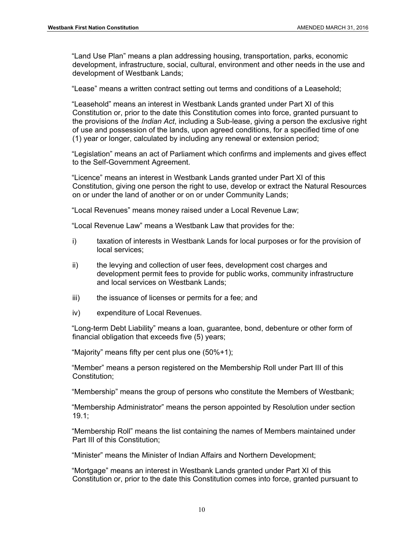"Land Use Plan" means a plan addressing housing, transportation, parks, economic development, infrastructure, social, cultural, environment and other needs in the use and development of Westbank Lands;

"Lease" means a written contract setting out terms and conditions of a Leasehold;

"Leasehold" means an interest in Westbank Lands granted under Part XI of this Constitution or, prior to the date this Constitution comes into force, granted pursuant to the provisions of the *Indian Act*, including a Sub-lease, giving a person the exclusive right of use and possession of the lands, upon agreed conditions, for a specified time of one (1) year or longer, calculated by including any renewal or extension period;

"Legislation" means an act of Parliament which confirms and implements and gives effect to the Self-Government Agreement.

"Licence" means an interest in Westbank Lands granted under Part XI of this Constitution, giving one person the right to use, develop or extract the Natural Resources on or under the land of another or on or under Community Lands;

"Local Revenues" means money raised under a Local Revenue Law;

"Local Revenue Law" means a Westbank Law that provides for the:

- i) taxation of interests in Westbank Lands for local purposes or for the provision of local services;
- ii) the levying and collection of user fees, development cost charges and development permit fees to provide for public works, community infrastructure and local services on Westbank Lands;
- iii) the issuance of licenses or permits for a fee; and
- iv) expenditure of Local Revenues.

"Long-term Debt Liability" means a loan, guarantee, bond, debenture or other form of financial obligation that exceeds five (5) years;

"Majority" means fifty per cent plus one (50%+1);

"Member" means a person registered on the Membership Roll under Part III of this Constitution;

"Membership" means the group of persons who constitute the Members of Westbank;

"Membership Administrator" means the person appointed by Resolution under section 19.1;

"Membership Roll" means the list containing the names of Members maintained under Part III of this Constitution;

"Minister" means the Minister of Indian Affairs and Northern Development;

"Mortgage" means an interest in Westbank Lands granted under Part XI of this Constitution or, prior to the date this Constitution comes into force, granted pursuant to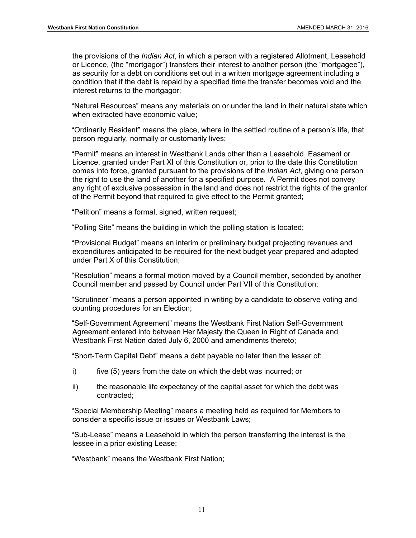the provisions of the *Indian Act*, in which a person with a registered Allotment, Leasehold or Licence, (the "mortgagor") transfers their interest to another person (the "mortgagee"), as security for a debt on conditions set out in a written mortgage agreement including a condition that if the debt is repaid by a specified time the transfer becomes void and the interest returns to the mortgagor;

"Natural Resources" means any materials on or under the land in their natural state which when extracted have economic value;

"Ordinarily Resident" means the place, where in the settled routine of a person's life, that person regularly, normally or customarily lives;

"Permit" means an interest in Westbank Lands other than a Leasehold, Easement or Licence, granted under Part XI of this Constitution or, prior to the date this Constitution comes into force, granted pursuant to the provisions of the *Indian Act*, giving one person the right to use the land of another for a specified purpose. A Permit does not convey any right of exclusive possession in the land and does not restrict the rights of the grantor of the Permit beyond that required to give effect to the Permit granted;

"Petition" means a formal, signed, written request;

"Polling Site" means the building in which the polling station is located;

"Provisional Budget" means an interim or preliminary budget projecting revenues and expenditures anticipated to be required for the next budget year prepared and adopted under Part X of this Constitution;

"Resolution" means a formal motion moved by a Council member, seconded by another Council member and passed by Council under Part VII of this Constitution;

"Scrutineer" means a person appointed in writing by a candidate to observe voting and counting procedures for an Election;

"Self-Government Agreement" means the Westbank First Nation Self-Government Agreement entered into between Her Majesty the Queen in Right of Canada and Westbank First Nation dated July 6, 2000 and amendments thereto;

"Short-Term Capital Debt" means a debt payable no later than the lesser of:

- i) five (5) years from the date on which the debt was incurred; or
- ii) the reasonable life expectancy of the capital asset for which the debt was contracted;

"Special Membership Meeting" means a meeting held as required for Members to consider a specific issue or issues or Westbank Laws;

"Sub-Lease" means a Leasehold in which the person transferring the interest is the lessee in a prior existing Lease;

"Westbank" means the Westbank First Nation;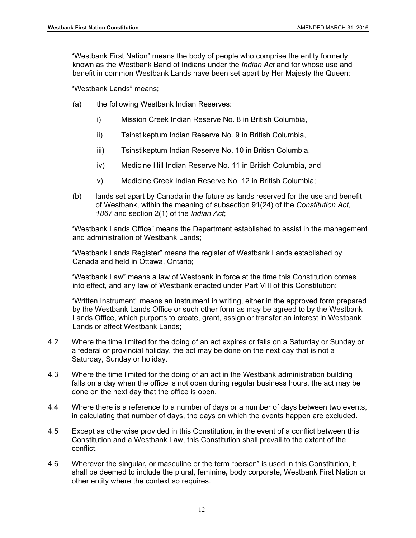"Westbank First Nation" means the body of people who comprise the entity formerly known as the Westbank Band of Indians under the *Indian Act* and for whose use and benefit in common Westbank Lands have been set apart by Her Majesty the Queen;

"Westbank Lands" means;

- (a) the following Westbank Indian Reserves:
	- i) Mission Creek Indian Reserve No. 8 in British Columbia,
	- ii) Tsinstikeptum Indian Reserve No. 9 in British Columbia,
	- iii) Tsinstikeptum Indian Reserve No. 10 in British Columbia,
	- iv) Medicine Hill Indian Reserve No. 11 in British Columbia, and
	- v) Medicine Creek Indian Reserve No. 12 in British Columbia;
- (b) lands set apart by Canada in the future as lands reserved for the use and benefit of Westbank, within the meaning of subsection 91(24) of the *Constitution Act*, *1867* and section 2(1) of the *Indian Act*;

"Westbank Lands Office" means the Department established to assist in the management and administration of Westbank Lands;

"Westbank Lands Register" means the register of Westbank Lands established by Canada and held in Ottawa, Ontario;

"Westbank Law" means a law of Westbank in force at the time this Constitution comes into effect, and any law of Westbank enacted under Part VIII of this Constitution:

"Written Instrument" means an instrument in writing, either in the approved form prepared by the Westbank Lands Office or such other form as may be agreed to by the Westbank Lands Office, which purports to create, grant, assign or transfer an interest in Westbank Lands or affect Westbank Lands;

- 4.2 Where the time limited for the doing of an act expires or falls on a Saturday or Sunday or a federal or provincial holiday, the act may be done on the next day that is not a Saturday, Sunday or holiday.
- 4.3 Where the time limited for the doing of an act in the Westbank administration building falls on a day when the office is not open during regular business hours, the act may be done on the next day that the office is open.
- 4.4 Where there is a reference to a number of days or a number of days between two events, in calculating that number of days, the days on which the events happen are excluded.
- 4.5 Except as otherwise provided in this Constitution, in the event of a conflict between this Constitution and a Westbank Law, this Constitution shall prevail to the extent of the conflict.
- 4.6 Wherever the singular**,** or masculine or the term "person" is used in this Constitution, it shall be deemed to include the plural, feminine**,** body corporate, Westbank First Nation or other entity where the context so requires.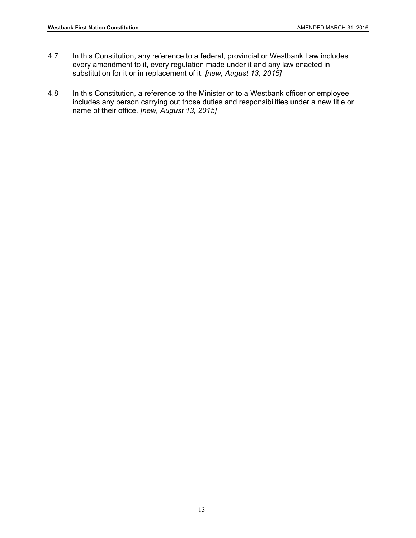- 4.7 In this Constitution, any reference to a federal, provincial or Westbank Law includes every amendment to it, every regulation made under it and any law enacted in substitution for it or in replacement of it. *[new, August 13, 2015]*
- 4.8 In this Constitution, a reference to the Minister or to a Westbank officer or employee includes any person carrying out those duties and responsibilities under a new title or name of their office. *[new, August 13, 2015]*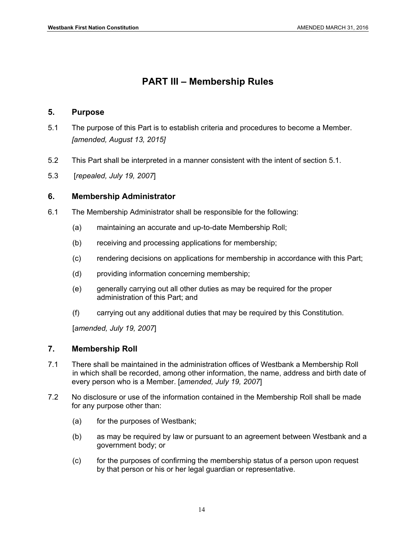# **PART III – Membership Rules**

#### **5. Purpose**

- 5.1 The purpose of this Part is to establish criteria and procedures to become a Member. *[amended, August 13, 2015]*
- 5.2 This Part shall be interpreted in a manner consistent with the intent of section 5.1.
- 5.3 [*repealed, July 19, 2007*]

#### **6. Membership Administrator**

- 6.1 The Membership Administrator shall be responsible for the following:
	- (a) maintaining an accurate and up-to-date Membership Roll;
	- (b) receiving and processing applications for membership;
	- (c) rendering decisions on applications for membership in accordance with this Part;
	- (d) providing information concerning membership;
	- (e) generally carrying out all other duties as may be required for the proper administration of this Part; and
	- (f) carrying out any additional duties that may be required by this Constitution.

[*amended, July 19, 2007*]

#### **7. Membership Roll**

- 7.1 There shall be maintained in the administration offices of Westbank a Membership Roll in which shall be recorded, among other information, the name, address and birth date of every person who is a Member. [*amended, July 19, 2007*]
- 7.2 No disclosure or use of the information contained in the Membership Roll shall be made for any purpose other than:
	- (a) for the purposes of Westbank;
	- (b) as may be required by law or pursuant to an agreement between Westbank and a government body; or
	- (c) for the purposes of confirming the membership status of a person upon request by that person or his or her legal guardian or representative.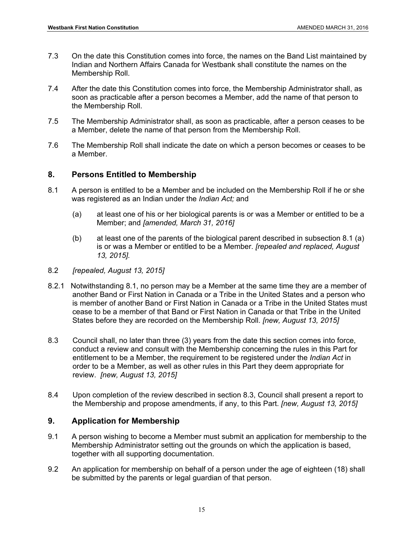- 7.3 On the date this Constitution comes into force, the names on the Band List maintained by Indian and Northern Affairs Canada for Westbank shall constitute the names on the Membership Roll.
- 7.4 After the date this Constitution comes into force, the Membership Administrator shall, as soon as practicable after a person becomes a Member, add the name of that person to the Membership Roll.
- 7.5 The Membership Administrator shall, as soon as practicable, after a person ceases to be a Member, delete the name of that person from the Membership Roll.
- 7.6 The Membership Roll shall indicate the date on which a person becomes or ceases to be a Member.

#### **8. Persons Entitled to Membership**

- 8.1 A person is entitled to be a Member and be included on the Membership Roll if he or she was registered as an Indian under the *Indian Act;* and
	- (a) at least one of his or her biological parents is or was a Member or entitled to be a Member; and *[amended, March 31, 2016]*
	- (b) at least one of the parents of the biological parent described in subsection 8.1 (a) is or was a Member or entitled to be a Member. *[repealed and replaced, August 13, 2015].*
- 8.2 *[repealed, August 13, 2015]*
- 8.2.1 Notwithstanding 8.1, no person may be a Member at the same time they are a member of another Band or First Nation in Canada or a Tribe in the United States and a person who is member of another Band or First Nation in Canada or a Tribe in the United States must cease to be a member of that Band or First Nation in Canada or that Tribe in the United States before they are recorded on the Membership Roll. *[new, August 13, 2015]*
- 8.3 Council shall, no later than three (3) years from the date this section comes into force, conduct a review and consult with the Membership concerning the rules in this Part for entitlement to be a Member, the requirement to be registered under the *Indian Act* in order to be a Member, as well as other rules in this Part they deem appropriate for review. *[new, August 13, 2015]*
- 8.4 Upon completion of the review described in section 8.3, Council shall present a report to the Membership and propose amendments, if any, to this Part. *[new, August 13, 2015]*

# **9. Application for Membership**

- 9.1 A person wishing to become a Member must submit an application for membership to the Membership Administrator setting out the grounds on which the application is based, together with all supporting documentation.
- 9.2 An application for membership on behalf of a person under the age of eighteen (18) shall be submitted by the parents or legal guardian of that person.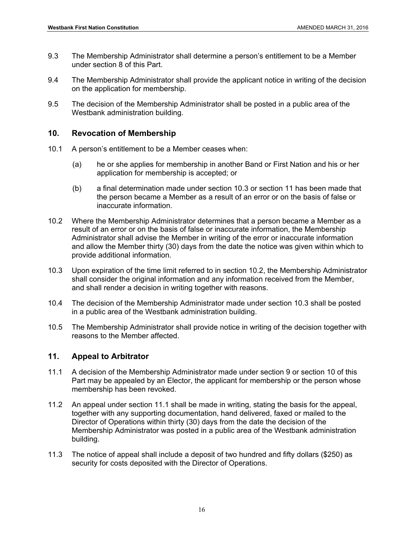- 9.3 The Membership Administrator shall determine a person's entitlement to be a Member under section 8 of this Part.
- 9.4 The Membership Administrator shall provide the applicant notice in writing of the decision on the application for membership.
- 9.5 The decision of the Membership Administrator shall be posted in a public area of the Westbank administration building.

#### **10. Revocation of Membership**

- 10.1 A person's entitlement to be a Member ceases when:
	- (a) he or she applies for membership in another Band or First Nation and his or her application for membership is accepted; or
	- (b) a final determination made under section 10.3 or section 11 has been made that the person became a Member as a result of an error or on the basis of false or inaccurate information.
- 10.2 Where the Membership Administrator determines that a person became a Member as a result of an error or on the basis of false or inaccurate information, the Membership Administrator shall advise the Member in writing of the error or inaccurate information and allow the Member thirty (30) days from the date the notice was given within which to provide additional information.
- 10.3 Upon expiration of the time limit referred to in section 10.2, the Membership Administrator shall consider the original information and any information received from the Member, and shall render a decision in writing together with reasons.
- 10.4 The decision of the Membership Administrator made under section 10.3 shall be posted in a public area of the Westbank administration building.
- 10.5 The Membership Administrator shall provide notice in writing of the decision together with reasons to the Member affected.

#### **11. Appeal to Arbitrator**

- 11.1 A decision of the Membership Administrator made under section 9 or section 10 of this Part may be appealed by an Elector, the applicant for membership or the person whose membership has been revoked.
- 11.2 An appeal under section 11.1 shall be made in writing, stating the basis for the appeal, together with any supporting documentation, hand delivered, faxed or mailed to the Director of Operations within thirty (30) days from the date the decision of the Membership Administrator was posted in a public area of the Westbank administration building.
- 11.3 The notice of appeal shall include a deposit of two hundred and fifty dollars (\$250) as security for costs deposited with the Director of Operations.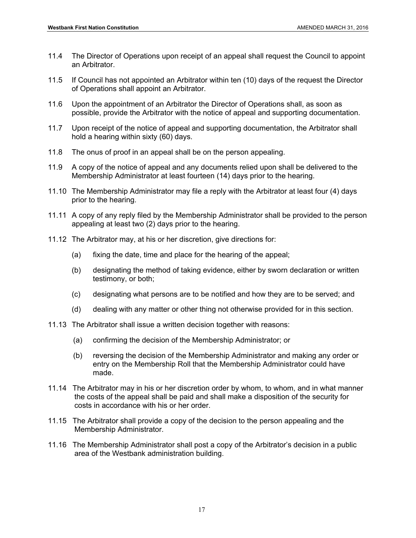- 11.4 The Director of Operations upon receipt of an appeal shall request the Council to appoint an Arbitrator.
- 11.5 If Council has not appointed an Arbitrator within ten (10) days of the request the Director of Operations shall appoint an Arbitrator.
- 11.6 Upon the appointment of an Arbitrator the Director of Operations shall, as soon as possible, provide the Arbitrator with the notice of appeal and supporting documentation.
- 11.7 Upon receipt of the notice of appeal and supporting documentation, the Arbitrator shall hold a hearing within sixty (60) days.
- 11.8 The onus of proof in an appeal shall be on the person appealing.
- 11.9 A copy of the notice of appeal and any documents relied upon shall be delivered to the Membership Administrator at least fourteen (14) days prior to the hearing.
- 11.10 The Membership Administrator may file a reply with the Arbitrator at least four (4) days prior to the hearing.
- 11.11 A copy of any reply filed by the Membership Administrator shall be provided to the person appealing at least two (2) days prior to the hearing.
- 11.12 The Arbitrator may, at his or her discretion, give directions for:
	- (a) fixing the date, time and place for the hearing of the appeal;
	- (b) designating the method of taking evidence, either by sworn declaration or written testimony, or both;
	- (c) designating what persons are to be notified and how they are to be served; and
	- (d) dealing with any matter or other thing not otherwise provided for in this section.
- 11.13 The Arbitrator shall issue a written decision together with reasons:
	- (a) confirming the decision of the Membership Administrator; or
	- (b) reversing the decision of the Membership Administrator and making any order or entry on the Membership Roll that the Membership Administrator could have made.
- 11.14 The Arbitrator may in his or her discretion order by whom, to whom, and in what manner the costs of the appeal shall be paid and shall make a disposition of the security for costs in accordance with his or her order.
- 11.15 The Arbitrator shall provide a copy of the decision to the person appealing and the Membership Administrator.
- 11.16 The Membership Administrator shall post a copy of the Arbitrator's decision in a public area of the Westbank administration building.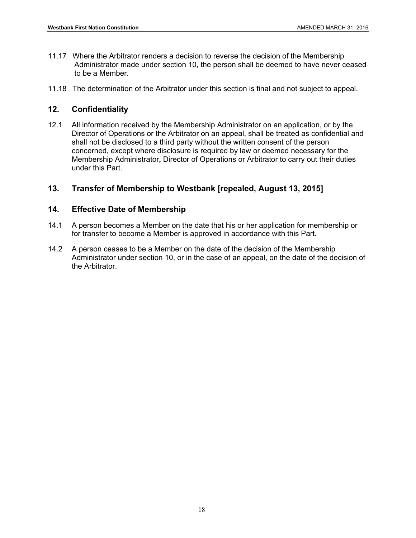- 11.17 Where the Arbitrator renders a decision to reverse the decision of the Membership Administrator made under section 10, the person shall be deemed to have never ceased to be a Member.
- 11.18 The determination of the Arbitrator under this section is final and not subject to appeal.

# **12. Confidentiality**

12.1 All information received by the Membership Administrator on an application, or by the Director of Operations or the Arbitrator on an appeal, shall be treated as confidential and shall not be disclosed to a third party without the written consent of the person concerned, except where disclosure is required by law or deemed necessary for the Membership Administrator**,** Director of Operations or Arbitrator to carry out their duties under this Part.

# **13. Transfer of Membership to Westbank [repealed, August 13, 2015]**

# **14. Effective Date of Membership**

- 14.1 A person becomes a Member on the date that his or her application for membership or for transfer to become a Member is approved in accordance with this Part.
- 14.2 A person ceases to be a Member on the date of the decision of the Membership Administrator under section 10, or in the case of an appeal, on the date of the decision of the Arbitrator.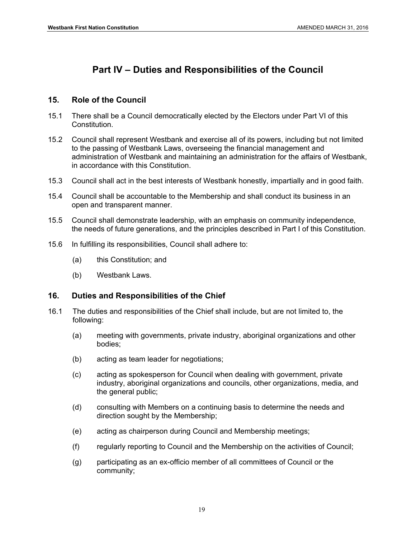# **Part IV – Duties and Responsibilities of the Council**

### **15. Role of the Council**

- 15.1 There shall be a Council democratically elected by the Electors under Part VI of this Constitution.
- 15.2 Council shall represent Westbank and exercise all of its powers, including but not limited to the passing of Westbank Laws, overseeing the financial management and administration of Westbank and maintaining an administration for the affairs of Westbank, in accordance with this Constitution.
- 15.3 Council shall act in the best interests of Westbank honestly, impartially and in good faith.
- 15.4 Council shall be accountable to the Membership and shall conduct its business in an open and transparent manner.
- 15.5 Council shall demonstrate leadership, with an emphasis on community independence, the needs of future generations, and the principles described in Part I of this Constitution.
- 15.6 In fulfilling its responsibilities, Council shall adhere to:
	- (a) this Constitution; and
	- (b) Westbank Laws.

# **16. Duties and Responsibilities of the Chief**

- 16.1 The duties and responsibilities of the Chief shall include, but are not limited to, the following:
	- (a) meeting with governments, private industry, aboriginal organizations and other bodies;
	- (b) acting as team leader for negotiations;
	- (c) acting as spokesperson for Council when dealing with government, private industry, aboriginal organizations and councils, other organizations, media, and the general public;
	- (d) consulting with Members on a continuing basis to determine the needs and direction sought by the Membership;
	- (e) acting as chairperson during Council and Membership meetings;
	- (f) regularly reporting to Council and the Membership on the activities of Council;
	- (g) participating as an ex-officio member of all committees of Council or the community;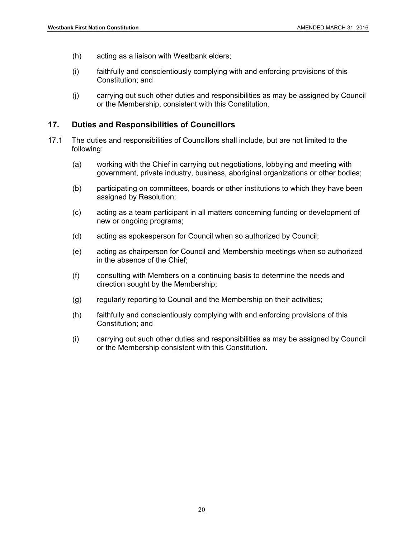- (h) acting as a liaison with Westbank elders;
- (i) faithfully and conscientiously complying with and enforcing provisions of this Constitution; and
- (j) carrying out such other duties and responsibilities as may be assigned by Council or the Membership, consistent with this Constitution.

#### **17. Duties and Responsibilities of Councillors**

- 17.1 The duties and responsibilities of Councillors shall include, but are not limited to the following:
	- (a) working with the Chief in carrying out negotiations, lobbying and meeting with government, private industry, business, aboriginal organizations or other bodies;
	- (b) participating on committees, boards or other institutions to which they have been assigned by Resolution;
	- (c) acting as a team participant in all matters concerning funding or development of new or ongoing programs;
	- (d) acting as spokesperson for Council when so authorized by Council;
	- (e) acting as chairperson for Council and Membership meetings when so authorized in the absence of the Chief;
	- (f) consulting with Members on a continuing basis to determine the needs and direction sought by the Membership;
	- (g) regularly reporting to Council and the Membership on their activities;
	- (h) faithfully and conscientiously complying with and enforcing provisions of this Constitution; and
	- (i) carrying out such other duties and responsibilities as may be assigned by Council or the Membership consistent with this Constitution.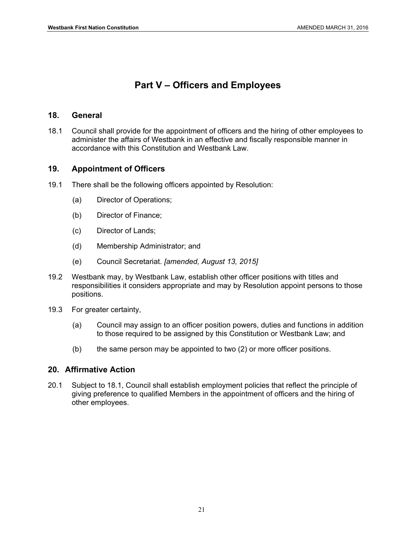# **Part V – Officers and Employees**

#### **18. General**

18.1 Council shall provide for the appointment of officers and the hiring of other employees to administer the affairs of Westbank in an effective and fiscally responsible manner in accordance with this Constitution and Westbank Law.

#### **19. Appointment of Officers**

- 19.1 There shall be the following officers appointed by Resolution:
	- (a) Director of Operations;
	- (b) Director of Finance;
	- (c) Director of Lands;
	- (d) Membership Administrator; and
	- (e) Council Secretariat. *[amended, August 13, 2015]*
- 19.2 Westbank may, by Westbank Law, establish other officer positions with titles and responsibilities it considers appropriate and may by Resolution appoint persons to those positions.
- 19.3 For greater certainty,
	- (a) Council may assign to an officer position powers, duties and functions in addition to those required to be assigned by this Constitution or Westbank Law; and
	- (b) the same person may be appointed to two (2) or more officer positions.

#### **20. Affirmative Action**

20.1 Subject to 18.1, Council shall establish employment policies that reflect the principle of giving preference to qualified Members in the appointment of officers and the hiring of other employees.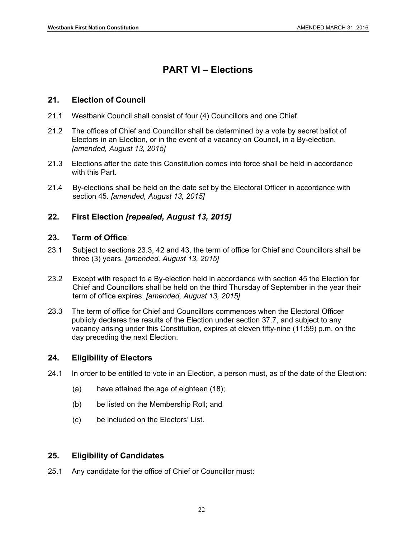# **PART VI – Elections**

#### **21. Election of Council**

- 21.1 Westbank Council shall consist of four (4) Councillors and one Chief.
- 21.2 The offices of Chief and Councillor shall be determined by a vote by secret ballot of Electors in an Election, or in the event of a vacancy on Council, in a By-election. *[amended, August 13, 2015]*
- 21.3 Elections after the date this Constitution comes into force shall be held in accordance with this Part.
- 21.4 By-elections shall be held on the date set by the Electoral Officer in accordance with section 45. *[amended, August 13, 2015]*

# **22. First Election** *[repealed, August 13, 2015]*

#### **23. Term of Office**

- 23.1 Subject to sections 23.3, 42 and 43, the term of office for Chief and Councillors shall be three (3) years. *[amended, August 13, 2015]*
- 23.2 Except with respect to a By-election held in accordance with section 45 the Election for Chief and Councillors shall be held on the third Thursday of September in the year their term of office expires. *[amended, August 13, 2015]*
- 23.3 The term of office for Chief and Councillors commences when the Electoral Officer publicly declares the results of the Election under section 37.7, and subject to any vacancy arising under this Constitution, expires at eleven fifty-nine (11:59) p.m. on the day preceding the next Election.

#### **24. Eligibility of Electors**

- 24.1 In order to be entitled to vote in an Election, a person must, as of the date of the Election:
	- (a) have attained the age of eighteen (18);
	- (b) be listed on the Membership Roll; and
	- (c) be included on the Electors' List.

# **25. Eligibility of Candidates**

25.1 Any candidate for the office of Chief or Councillor must: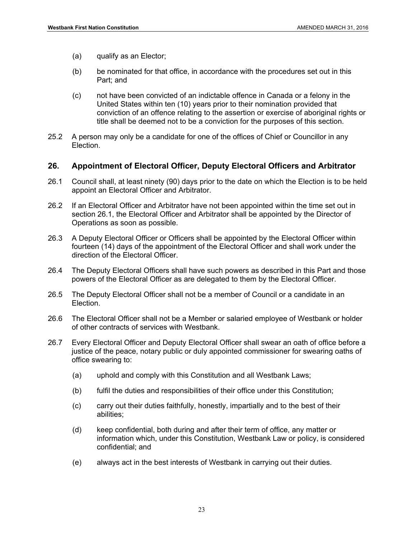- (a) qualify as an Elector;
- (b) be nominated for that office, in accordance with the procedures set out in this Part; and
- (c) not have been convicted of an indictable offence in Canada or a felony in the United States within ten (10) years prior to their nomination provided that conviction of an offence relating to the assertion or exercise of aboriginal rights or title shall be deemed not to be a conviction for the purposes of this section.
- 25.2 A person may only be a candidate for one of the offices of Chief or Councillor in any Election.

#### **26. Appointment of Electoral Officer, Deputy Electoral Officers and Arbitrator**

- 26.1 Council shall, at least ninety (90) days prior to the date on which the Election is to be held appoint an Electoral Officer and Arbitrator.
- 26.2 If an Electoral Officer and Arbitrator have not been appointed within the time set out in section 26.1, the Electoral Officer and Arbitrator shall be appointed by the Director of Operations as soon as possible.
- 26.3 A Deputy Electoral Officer or Officers shall be appointed by the Electoral Officer within fourteen (14) days of the appointment of the Electoral Officer and shall work under the direction of the Electoral Officer.
- 26.4 The Deputy Electoral Officers shall have such powers as described in this Part and those powers of the Electoral Officer as are delegated to them by the Electoral Officer.
- 26.5 The Deputy Electoral Officer shall not be a member of Council or a candidate in an Election.
- 26.6 The Electoral Officer shall not be a Member or salaried employee of Westbank or holder of other contracts of services with Westbank.
- 26.7 Every Electoral Officer and Deputy Electoral Officer shall swear an oath of office before a justice of the peace, notary public or duly appointed commissioner for swearing oaths of office swearing to:
	- (a) uphold and comply with this Constitution and all Westbank Laws;
	- (b) fulfil the duties and responsibilities of their office under this Constitution;
	- (c) carry out their duties faithfully, honestly, impartially and to the best of their abilities;
	- (d) keep confidential, both during and after their term of office, any matter or information which, under this Constitution, Westbank Law or policy, is considered confidential; and
	- (e) always act in the best interests of Westbank in carrying out their duties.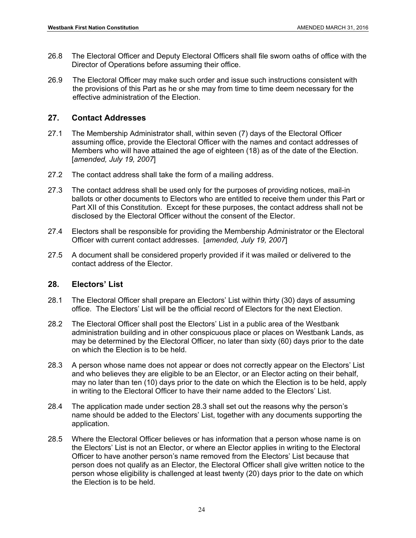- 26.8 The Electoral Officer and Deputy Electoral Officers shall file sworn oaths of office with the Director of Operations before assuming their office.
- 26.9 The Electoral Officer may make such order and issue such instructions consistent with the provisions of this Part as he or she may from time to time deem necessary for the effective administration of the Election.

#### **27. Contact Addresses**

- 27.1 The Membership Administrator shall, within seven (7) days of the Electoral Officer assuming office, provide the Electoral Officer with the names and contact addresses of Members who will have attained the age of eighteen (18) as of the date of the Election. [*amended, July 19, 2007*]
- 27.2 The contact address shall take the form of a mailing address.
- 27.3 The contact address shall be used only for the purposes of providing notices, mail-in ballots or other documents to Electors who are entitled to receive them under this Part or Part XII of this Constitution. Except for these purposes, the contact address shall not be disclosed by the Electoral Officer without the consent of the Elector.
- 27.4 Electors shall be responsible for providing the Membership Administrator or the Electoral Officer with current contact addresses. [*amended, July 19, 2007*]
- 27.5 A document shall be considered properly provided if it was mailed or delivered to the contact address of the Elector.

#### **28. Electors' List**

- 28.1 The Electoral Officer shall prepare an Electors' List within thirty (30) days of assuming office. The Electors' List will be the official record of Electors for the next Election.
- 28.2 The Electoral Officer shall post the Electors' List in a public area of the Westbank administration building and in other conspicuous place or places on Westbank Lands, as may be determined by the Electoral Officer, no later than sixty (60) days prior to the date on which the Election is to be held.
- 28.3 A person whose name does not appear or does not correctly appear on the Electors' List and who believes they are eligible to be an Elector, or an Elector acting on their behalf, may no later than ten (10) days prior to the date on which the Election is to be held, apply in writing to the Electoral Officer to have their name added to the Electors' List.
- 28.4 The application made under section 28.3 shall set out the reasons why the person's name should be added to the Electors' List, together with any documents supporting the application.
- 28.5 Where the Electoral Officer believes or has information that a person whose name is on the Electors' List is not an Elector, or where an Elector applies in writing to the Electoral Officer to have another person's name removed from the Electors' List because that person does not qualify as an Elector, the Electoral Officer shall give written notice to the person whose eligibility is challenged at least twenty (20) days prior to the date on which the Election is to be held.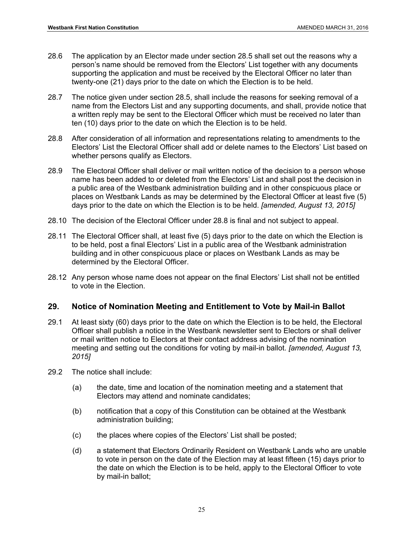- 28.6 The application by an Elector made under section 28.5 shall set out the reasons why a person's name should be removed from the Electors' List together with any documents supporting the application and must be received by the Electoral Officer no later than twenty-one (21) days prior to the date on which the Election is to be held.
- 28.7 The notice given under section 28.5, shall include the reasons for seeking removal of a name from the Electors List and any supporting documents, and shall, provide notice that a written reply may be sent to the Electoral Officer which must be received no later than ten (10) days prior to the date on which the Election is to be held.
- 28.8 After consideration of all information and representations relating to amendments to the Electors' List the Electoral Officer shall add or delete names to the Electors' List based on whether persons qualify as Electors.
- 28.9 The Electoral Officer shall deliver or mail written notice of the decision to a person whose name has been added to or deleted from the Electors' List and shall post the decision in a public area of the Westbank administration building and in other conspicuous place or places on Westbank Lands as may be determined by the Electoral Officer at least five (5) days prior to the date on which the Election is to be held. *[amended, August 13, 2015]*
- 28.10 The decision of the Electoral Officer under 28.8 is final and not subject to appeal.
- 28.11 The Electoral Officer shall, at least five (5) days prior to the date on which the Election is to be held, post a final Electors' List in a public area of the Westbank administration building and in other conspicuous place or places on Westbank Lands as may be determined by the Electoral Officer.
- 28.12 Any person whose name does not appear on the final Electors' List shall not be entitled to vote in the Election.

# **29. Notice of Nomination Meeting and Entitlement to Vote by Mail-in Ballot**

- 29.1 At least sixty (60) days prior to the date on which the Election is to be held, the Electoral Officer shall publish a notice in the Westbank newsletter sent to Electors or shall deliver or mail written notice to Electors at their contact address advising of the nomination meeting and setting out the conditions for voting by mail-in ballot. *[amended, August 13, 2015]*
- 29.2 The notice shall include:
	- (a) the date, time and location of the nomination meeting and a statement that Electors may attend and nominate candidates;
	- (b) notification that a copy of this Constitution can be obtained at the Westbank administration building;
	- (c) the places where copies of the Electors' List shall be posted;
	- (d) a statement that Electors Ordinarily Resident on Westbank Lands who are unable to vote in person on the date of the Election may at least fifteen (15) days prior to the date on which the Election is to be held, apply to the Electoral Officer to vote by mail-in ballot;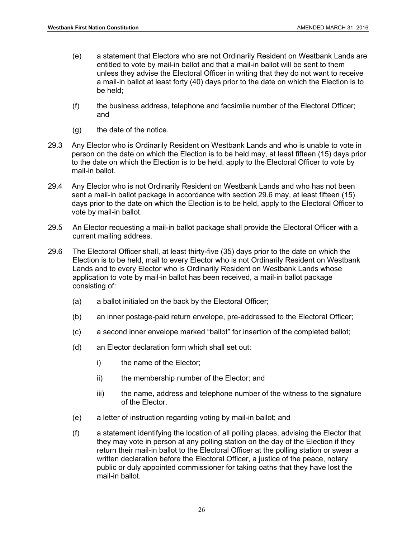- (e) a statement that Electors who are not Ordinarily Resident on Westbank Lands are entitled to vote by mail-in ballot and that a mail-in ballot will be sent to them unless they advise the Electoral Officer in writing that they do not want to receive a mail-in ballot at least forty (40) days prior to the date on which the Election is to be held;
- (f) the business address, telephone and facsimile number of the Electoral Officer; and
- $(q)$  the date of the notice.
- 29.3 Any Elector who is Ordinarily Resident on Westbank Lands and who is unable to vote in person on the date on which the Election is to be held may, at least fifteen (15) days prior to the date on which the Election is to be held, apply to the Electoral Officer to vote by mail-in ballot.
- 29.4 Any Elector who is not Ordinarily Resident on Westbank Lands and who has not been sent a mail-in ballot package in accordance with section 29.6 may, at least fifteen (15) days prior to the date on which the Election is to be held, apply to the Electoral Officer to vote by mail-in ballot.
- 29.5 An Elector requesting a mail-in ballot package shall provide the Electoral Officer with a current mailing address.
- 29.6 The Electoral Officer shall, at least thirty-five (35) days prior to the date on which the Election is to be held, mail to every Elector who is not Ordinarily Resident on Westbank Lands and to every Elector who is Ordinarily Resident on Westbank Lands whose application to vote by mail-in ballot has been received, a mail-in ballot package consisting of:
	- (a) a ballot initialed on the back by the Electoral Officer;
	- (b) an inner postage-paid return envelope, pre-addressed to the Electoral Officer;
	- (c) a second inner envelope marked "ballot" for insertion of the completed ballot;
	- (d) an Elector declaration form which shall set out:
		- i) the name of the Elector;
		- ii) the membership number of the Elector; and
		- iii) the name, address and telephone number of the witness to the signature of the Elector.
	- (e) a letter of instruction regarding voting by mail-in ballot; and
	- (f) a statement identifying the location of all polling places, advising the Elector that they may vote in person at any polling station on the day of the Election if they return their mail-in ballot to the Electoral Officer at the polling station or swear a written declaration before the Electoral Officer, a justice of the peace, notary public or duly appointed commissioner for taking oaths that they have lost the mail-in ballot.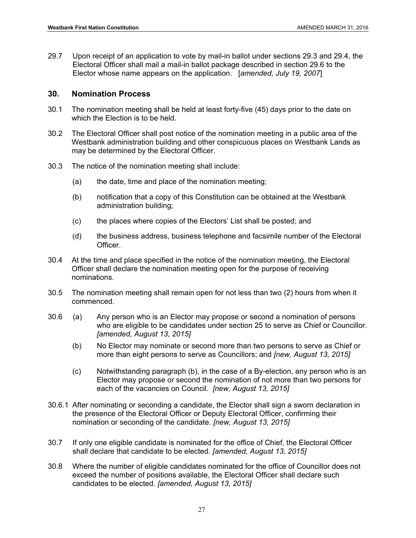29.7 Upon receipt of an application to vote by mail-in ballot under sections 29.3 and 29.4, the Electoral Officer shall mail a mail-in ballot package described in section 29.6 to the Elector whose name appears on the application. [*amended, July 19, 2007*]

#### **30. Nomination Process**

- 30.1 The nomination meeting shall be held at least forty-five (45) days prior to the date on which the Election is to be held.
- 30.2 The Electoral Officer shall post notice of the nomination meeting in a public area of the Westbank administration building and other conspicuous places on Westbank Lands as may be determined by the Electoral Officer.
- 30.3 The notice of the nomination meeting shall include:
	- (a) the date, time and place of the nomination meeting;
	- (b) notification that a copy of this Constitution can be obtained at the Westbank administration building;
	- (c) the places where copies of the Electors' List shall be posted; and
	- (d) the business address, business telephone and facsimile number of the Electoral Officer.
- 30.4 At the time and place specified in the notice of the nomination meeting, the Electoral Officer shall declare the nomination meeting open for the purpose of receiving nominations.
- 30.5 The nomination meeting shall remain open for not less than two (2) hours from when it commenced.
- 30.6 (a) Any person who is an Elector may propose or second a nomination of persons who are eligible to be candidates under section 25 to serve as Chief or Councillor. *[amended, August 13, 2015]*
	- (b) No Elector may nominate or second more than two persons to serve as Chief or more than eight persons to serve as Councillors; and *[new, August 13, 2015]*
	- (c) Notwithstanding paragraph (b), in the case of a By-election, any person who is an Elector may propose or second the nomination of not more than two persons for each of the vacancies on Council. *[new, August 13, 2015]*
- 30.6.1 After nominating or seconding a candidate, the Elector shall sign a sworn declaration in the presence of the Electoral Officer or Deputy Electoral Officer, confirming their nomination or seconding of the candidate. *[new, August 13, 2015]*
- 30.7 If only one eligible candidate is nominated for the office of Chief, the Electoral Officer shall declare that candidate to be elected. *[amended, August 13, 2015]*
- 30.8 Where the number of eligible candidates nominated for the office of Councillor does not exceed the number of positions available, the Electoral Officer shall declare such candidates to be elected. *[amended, August 13, 2015]*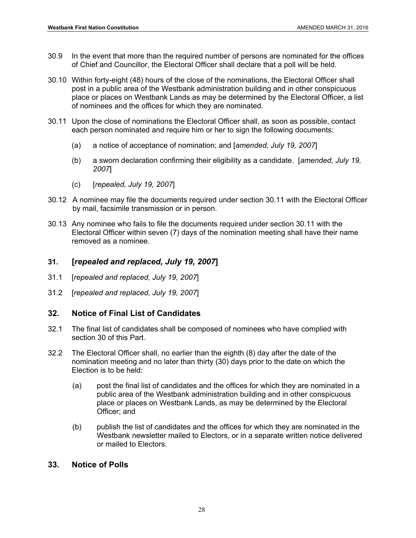- 30.9 In the event that more than the required number of persons are nominated for the offices of Chief and Councillor, the Electoral Officer shall declare that a poll will be held.
- 30.10 Within forty-eight (48) hours of the close of the nominations, the Electoral Officer shall post in a public area of the Westbank administration building and in other conspicuous place or places on Westbank Lands as may be determined by the Electoral Officer, a list of nominees and the offices for which they are nominated.
- 30.11 Upon the close of nominations the Electoral Officer shall, as soon as possible, contact each person nominated and require him or her to sign the following documents:
	- (a) a notice of acceptance of nomination; and [*amended, July 19, 2007*]
	- (b) a sworn declaration confirming their eligibility as a candidate. [*amended, July 19, 2007*]
	- (c) [*repealed, July 19, 2007*]
- 30.12 A nominee may file the documents required under section 30.11 with the Electoral Officer by mail, facsimile transmission or in person.
- 30.13 Any nominee who fails to file the documents required under section 30.11 with the Electoral Officer within seven (7) days of the nomination meeting shall have their name removed as a nominee.

# **31. [***repealed and replaced, July 19, 2007***]**

- 31.1 [*repealed and replaced, July 19, 2007*]
- 31.2 [*repealed and replaced, July 19, 2007*]

#### **32. Notice of Final List of Candidates**

- 32.1 The final list of candidates shall be composed of nominees who have complied with section 30 of this Part.
- 32.2 The Electoral Officer shall, no earlier than the eighth (8) day after the date of the nomination meeting and no later than thirty (30) days prior to the date on which the Election is to be held:
	- (a) post the final list of candidates and the offices for which they are nominated in a public area of the Westbank administration building and in other conspicuous place or places on Westbank Lands, as may be determined by the Electoral Officer; and
	- (b) publish the list of candidates and the offices for which they are nominated in the Westbank newsletter mailed to Electors, or in a separate written notice delivered or mailed to Electors.

# **33. Notice of Polls**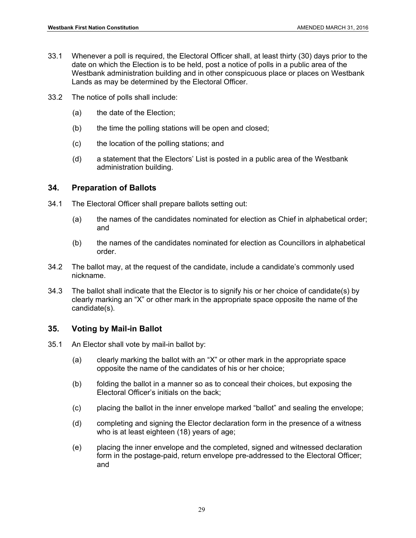- 33.1 Whenever a poll is required, the Electoral Officer shall, at least thirty (30) days prior to the date on which the Election is to be held, post a notice of polls in a public area of the Westbank administration building and in other conspicuous place or places on Westbank Lands as may be determined by the Electoral Officer.
- 33.2 The notice of polls shall include:
	- (a) the date of the Election;
	- (b) the time the polling stations will be open and closed;
	- (c) the location of the polling stations; and
	- (d) a statement that the Electors' List is posted in a public area of the Westbank administration building.

#### **34. Preparation of Ballots**

- 34.1 The Electoral Officer shall prepare ballots setting out:
	- (a) the names of the candidates nominated for election as Chief in alphabetical order; and
	- (b) the names of the candidates nominated for election as Councillors in alphabetical order.
- 34.2 The ballot may, at the request of the candidate, include a candidate's commonly used nickname.
- 34.3 The ballot shall indicate that the Elector is to signify his or her choice of candidate(s) by clearly marking an "X" or other mark in the appropriate space opposite the name of the candidate(s).

# **35. Voting by Mail-in Ballot**

- 35.1 An Elector shall vote by mail-in ballot by:
	- (a) clearly marking the ballot with an "X" or other mark in the appropriate space opposite the name of the candidates of his or her choice;
	- (b) folding the ballot in a manner so as to conceal their choices, but exposing the Electoral Officer's initials on the back;
	- (c) placing the ballot in the inner envelope marked "ballot" and sealing the envelope;
	- (d) completing and signing the Elector declaration form in the presence of a witness who is at least eighteen (18) years of age;
	- (e) placing the inner envelope and the completed, signed and witnessed declaration form in the postage-paid, return envelope pre-addressed to the Electoral Officer; and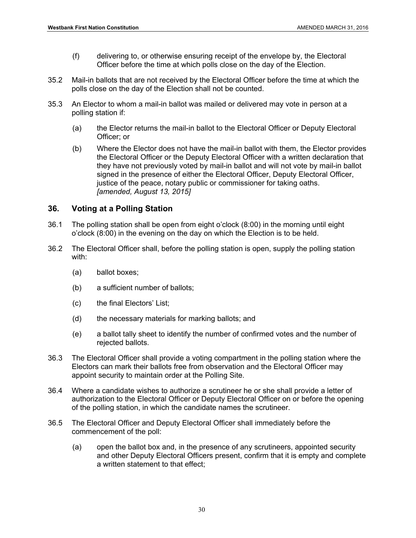- (f) delivering to, or otherwise ensuring receipt of the envelope by, the Electoral Officer before the time at which polls close on the day of the Election.
- 35.2 Mail-in ballots that are not received by the Electoral Officer before the time at which the polls close on the day of the Election shall not be counted.
- 35.3 An Elector to whom a mail-in ballot was mailed or delivered may vote in person at a polling station if:
	- (a) the Elector returns the mail-in ballot to the Electoral Officer or Deputy Electoral Officer; or
	- (b) Where the Elector does not have the mail-in ballot with them, the Elector provides the Electoral Officer or the Deputy Electoral Officer with a written declaration that they have not previously voted by mail-in ballot and will not vote by mail-in ballot signed in the presence of either the Electoral Officer, Deputy Electoral Officer, justice of the peace, notary public or commissioner for taking oaths. *[amended, August 13, 2015]*

#### **36. Voting at a Polling Station**

- 36.1 The polling station shall be open from eight o'clock (8:00) in the morning until eight o'clock (8:00) in the evening on the day on which the Election is to be held.
- 36.2 The Electoral Officer shall, before the polling station is open, supply the polling station with:
	- (a) ballot boxes;
	- (b) a sufficient number of ballots;
	- (c) the final Electors' List;
	- (d) the necessary materials for marking ballots; and
	- (e) a ballot tally sheet to identify the number of confirmed votes and the number of rejected ballots.
- 36.3 The Electoral Officer shall provide a voting compartment in the polling station where the Electors can mark their ballots free from observation and the Electoral Officer may appoint security to maintain order at the Polling Site.
- 36.4 Where a candidate wishes to authorize a scrutineer he or she shall provide a letter of authorization to the Electoral Officer or Deputy Electoral Officer on or before the opening of the polling station, in which the candidate names the scrutineer.
- 36.5 The Electoral Officer and Deputy Electoral Officer shall immediately before the commencement of the poll:
	- (a) open the ballot box and, in the presence of any scrutineers, appointed security and other Deputy Electoral Officers present, confirm that it is empty and complete a written statement to that effect;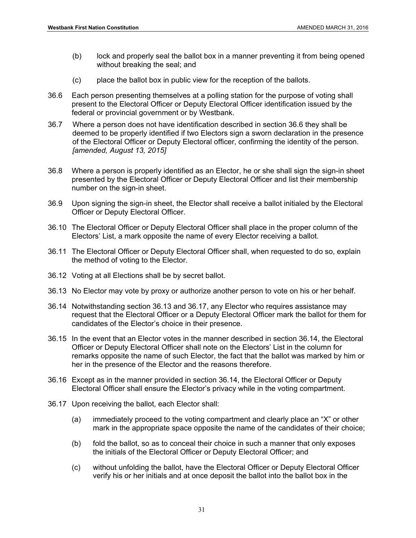- (b) lock and properly seal the ballot box in a manner preventing it from being opened without breaking the seal; and
- (c) place the ballot box in public view for the reception of the ballots.
- 36.6 Each person presenting themselves at a polling station for the purpose of voting shall present to the Electoral Officer or Deputy Electoral Officer identification issued by the federal or provincial government or by Westbank.
- 36.7 Where a person does not have identification described in section 36.6 they shall be deemed to be properly identified if two Electors sign a sworn declaration in the presence of the Electoral Officer or Deputy Electoral officer, confirming the identity of the person. *[amended, August 13, 2015]*
- 36.8 Where a person is properly identified as an Elector, he or she shall sign the sign-in sheet presented by the Electoral Officer or Deputy Electoral Officer and list their membership number on the sign-in sheet.
- 36.9 Upon signing the sign-in sheet, the Elector shall receive a ballot initialed by the Electoral Officer or Deputy Electoral Officer.
- 36.10 The Electoral Officer or Deputy Electoral Officer shall place in the proper column of the Electors' List, a mark opposite the name of every Elector receiving a ballot.
- 36.11 The Electoral Officer or Deputy Electoral Officer shall, when requested to do so, explain the method of voting to the Elector.
- 36.12 Voting at all Elections shall be by secret ballot.
- 36.13 No Elector may vote by proxy or authorize another person to vote on his or her behalf.
- 36.14 Notwithstanding section 36.13 and 36.17, any Elector who requires assistance may request that the Electoral Officer or a Deputy Electoral Officer mark the ballot for them for candidates of the Elector's choice in their presence.
- 36.15 In the event that an Elector votes in the manner described in section 36.14, the Electoral Officer or Deputy Electoral Officer shall note on the Electors' List in the column for remarks opposite the name of such Elector, the fact that the ballot was marked by him or her in the presence of the Elector and the reasons therefore.
- 36.16 Except as in the manner provided in section 36.14, the Electoral Officer or Deputy Electoral Officer shall ensure the Elector's privacy while in the voting compartment.
- 36.17 Upon receiving the ballot, each Elector shall:
	- (a) immediately proceed to the voting compartment and clearly place an "X" or other mark in the appropriate space opposite the name of the candidates of their choice;
	- (b) fold the ballot, so as to conceal their choice in such a manner that only exposes the initials of the Electoral Officer or Deputy Electoral Officer; and
	- (c) without unfolding the ballot, have the Electoral Officer or Deputy Electoral Officer verify his or her initials and at once deposit the ballot into the ballot box in the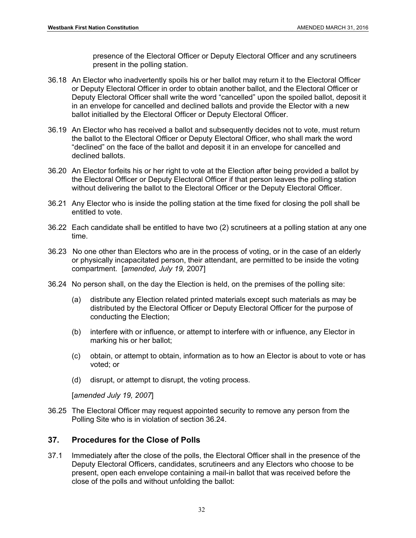presence of the Electoral Officer or Deputy Electoral Officer and any scrutineers present in the polling station.

- 36.18 An Elector who inadvertently spoils his or her ballot may return it to the Electoral Officer or Deputy Electoral Officer in order to obtain another ballot, and the Electoral Officer or Deputy Electoral Officer shall write the word "cancelled" upon the spoiled ballot, deposit it in an envelope for cancelled and declined ballots and provide the Elector with a new ballot initialled by the Electoral Officer or Deputy Electoral Officer.
- 36.19 An Elector who has received a ballot and subsequently decides not to vote, must return the ballot to the Electoral Officer or Deputy Electoral Officer, who shall mark the word "declined" on the face of the ballot and deposit it in an envelope for cancelled and declined ballots.
- 36.20 An Elector forfeits his or her right to vote at the Election after being provided a ballot by the Electoral Officer or Deputy Electoral Officer if that person leaves the polling station without delivering the ballot to the Electoral Officer or the Deputy Electoral Officer.
- 36.21 Any Elector who is inside the polling station at the time fixed for closing the poll shall be entitled to vote.
- 36.22 Each candidate shall be entitled to have two (2) scrutineers at a polling station at any one time.
- 36.23 No one other than Electors who are in the process of voting, or in the case of an elderly or physically incapacitated person, their attendant, are permitted to be inside the voting compartment. [*amended, July 19,* 2007]
- 36.24 No person shall, on the day the Election is held, on the premises of the polling site:
	- (a) distribute any Election related printed materials except such materials as may be distributed by the Electoral Officer or Deputy Electoral Officer for the purpose of conducting the Election;
	- (b) interfere with or influence, or attempt to interfere with or influence, any Elector in marking his or her ballot;
	- (c) obtain, or attempt to obtain, information as to how an Elector is about to vote or has voted; or
	- (d) disrupt, or attempt to disrupt, the voting process.

[*amended July 19, 2007*]

36.25 The Electoral Officer may request appointed security to remove any person from the Polling Site who is in violation of section 36.24.

# **37. Procedures for the Close of Polls**

37.1 Immediately after the close of the polls, the Electoral Officer shall in the presence of the Deputy Electoral Officers, candidates, scrutineers and any Electors who choose to be present, open each envelope containing a mail-in ballot that was received before the close of the polls and without unfolding the ballot: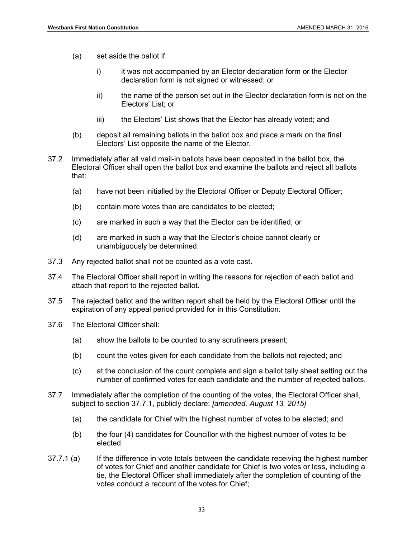- (a) set aside the ballot if:
	- i) it was not accompanied by an Elector declaration form or the Elector declaration form is not signed or witnessed; or
	- ii) the name of the person set out in the Elector declaration form is not on the Electors' List; or
	- iii) the Electors' List shows that the Elector has already voted; and
- (b) deposit all remaining ballots in the ballot box and place a mark on the final Electors' List opposite the name of the Elector.
- 37.2 Immediately after all valid mail-in ballots have been deposited in the ballot box, the Electoral Officer shall open the ballot box and examine the ballots and reject all ballots that:
	- (a) have not been initialled by the Electoral Officer or Deputy Electoral Officer;
	- (b) contain more votes than are candidates to be elected;
	- (c) are marked in such a way that the Elector can be identified; or
	- (d) are marked in such a way that the Elector's choice cannot clearly or unambiguously be determined.
- 37.3 Any rejected ballot shall not be counted as a vote cast.
- 37.4 The Electoral Officer shall report in writing the reasons for rejection of each ballot and attach that report to the rejected ballot.
- 37.5 The rejected ballot and the written report shall be held by the Electoral Officer until the expiration of any appeal period provided for in this Constitution.
- 37.6 The Electoral Officer shall:
	- (a) show the ballots to be counted to any scrutineers present;
	- (b) count the votes given for each candidate from the ballots not rejected; and
	- (c) at the conclusion of the count complete and sign a ballot tally sheet setting out the number of confirmed votes for each candidate and the number of rejected ballots.
- 37.7 Immediately after the completion of the counting of the votes, the Electoral Officer shall, subject to section 37.7.1, publicly declare: *[amended, August 13, 2015]* 
	- (a) the candidate for Chief with the highest number of votes to be elected; and
	- (b) the four (4) candidates for Councillor with the highest number of votes to be elected.
- 37.7.1 (a) If the difference in vote totals between the candidate receiving the highest number of votes for Chief and another candidate for Chief is two votes or less, including a tie, the Electoral Officer shall immediately after the completion of counting of the votes conduct a recount of the votes for Chief;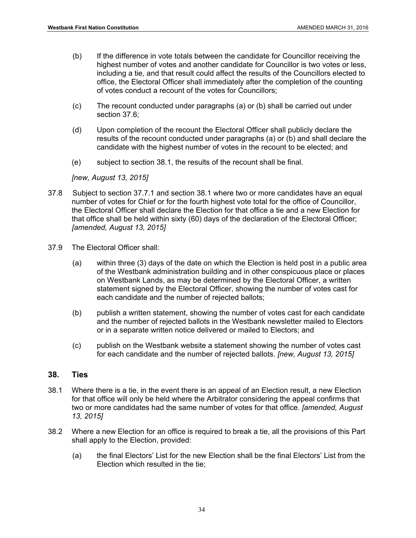- (b) If the difference in vote totals between the candidate for Councillor receiving the highest number of votes and another candidate for Councillor is two votes or less, including a tie, and that result could affect the results of the Councillors elected to office, the Electoral Officer shall immediately after the completion of the counting of votes conduct a recount of the votes for Councillors;
- (c) The recount conducted under paragraphs (a) or (b) shall be carried out under section 37.6;
- (d) Upon completion of the recount the Electoral Officer shall publicly declare the results of the recount conducted under paragraphs (a) or (b) and shall declare the candidate with the highest number of votes in the recount to be elected; and
- (e) subject to section 38.1, the results of the recount shall be final.

*[new, August 13, 2015]* 

- 37.8 Subject to section 37.7.1 and section 38.1 where two or more candidates have an equal number of votes for Chief or for the fourth highest vote total for the office of Councillor, the Electoral Officer shall declare the Election for that office a tie and a new Election for that office shall be held within sixty (60) days of the declaration of the Electoral Officer; *[amended, August 13, 2015]*
- 37.9 The Electoral Officer shall:
	- (a) within three (3) days of the date on which the Election is held post in a public area of the Westbank administration building and in other conspicuous place or places on Westbank Lands, as may be determined by the Electoral Officer, a written statement signed by the Electoral Officer, showing the number of votes cast for each candidate and the number of rejected ballots;
	- (b) publish a written statement, showing the number of votes cast for each candidate and the number of rejected ballots in the Westbank newsletter mailed to Electors or in a separate written notice delivered or mailed to Electors; and
	- (c) publish on the Westbank website a statement showing the number of votes cast for each candidate and the number of rejected ballots. *[new, August 13, 2015]*

#### **38. Ties**

- 38.1 Where there is a tie, in the event there is an appeal of an Election result, a new Election for that office will only be held where the Arbitrator considering the appeal confirms that two or more candidates had the same number of votes for that office. *[amended, August 13, 2015]*
- 38.2 Where a new Election for an office is required to break a tie, all the provisions of this Part shall apply to the Election, provided:
	- (a) the final Electors' List for the new Election shall be the final Electors' List from the Election which resulted in the tie;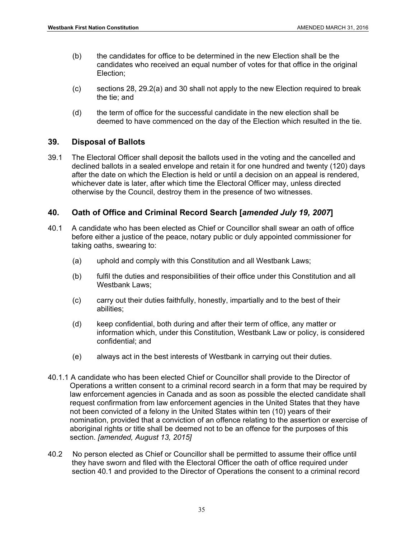- (b) the candidates for office to be determined in the new Election shall be the candidates who received an equal number of votes for that office in the original Election;
- (c) sections 28, 29.2(a) and 30 shall not apply to the new Election required to break the tie; and
- (d) the term of office for the successful candidate in the new election shall be deemed to have commenced on the day of the Election which resulted in the tie.

#### **39. Disposal of Ballots**

39.1 The Electoral Officer shall deposit the ballots used in the voting and the cancelled and declined ballots in a sealed envelope and retain it for one hundred and twenty (120) days after the date on which the Election is held or until a decision on an appeal is rendered, whichever date is later, after which time the Electoral Officer may, unless directed otherwise by the Council, destroy them in the presence of two witnesses.

#### **40. Oath of Office and Criminal Record Search [***amended July 19, 2007***]**

- 40.1 A candidate who has been elected as Chief or Councillor shall swear an oath of office before either a justice of the peace, notary public or duly appointed commissioner for taking oaths, swearing to:
	- (a) uphold and comply with this Constitution and all Westbank Laws;
	- (b) fulfil the duties and responsibilities of their office under this Constitution and all Westbank Laws;
	- (c) carry out their duties faithfully, honestly, impartially and to the best of their abilities;
	- (d) keep confidential, both during and after their term of office, any matter or information which, under this Constitution, Westbank Law or policy, is considered confidential; and
	- (e) always act in the best interests of Westbank in carrying out their duties.
- 40.1.1 A candidate who has been elected Chief or Councillor shall provide to the Director of Operations a written consent to a criminal record search in a form that may be required by law enforcement agencies in Canada and as soon as possible the elected candidate shall request confirmation from law enforcement agencies in the United States that they have not been convicted of a felony in the United States within ten (10) years of their nomination, provided that a conviction of an offence relating to the assertion or exercise of aboriginal rights or title shall be deemed not to be an offence for the purposes of this section. *[amended, August 13, 2015]*
- 40.2 No person elected as Chief or Councillor shall be permitted to assume their office until they have sworn and filed with the Electoral Officer the oath of office required under section 40.1 and provided to the Director of Operations the consent to a criminal record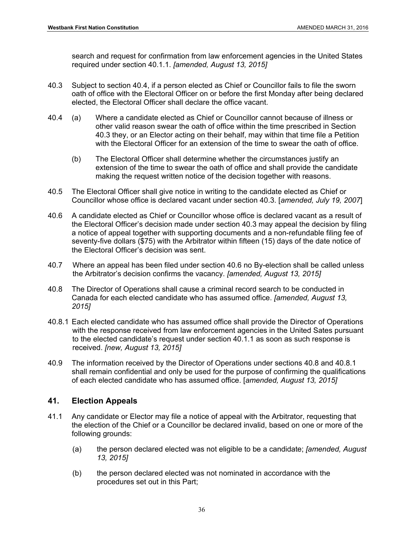search and request for confirmation from law enforcement agencies in the United States required under section 40.1.1. *[amended, August 13, 2015]* 

- 40.3 Subject to section 40.4, if a person elected as Chief or Councillor fails to file the sworn oath of office with the Electoral Officer on or before the first Monday after being declared elected, the Electoral Officer shall declare the office vacant.
- 40.4 (a) Where a candidate elected as Chief or Councillor cannot because of illness or other valid reason swear the oath of office within the time prescribed in Section 40.3 they, or an Elector acting on their behalf, may within that time file a Petition with the Electoral Officer for an extension of the time to swear the oath of office.
	- (b) The Electoral Officer shall determine whether the circumstances justify an extension of the time to swear the oath of office and shall provide the candidate making the request written notice of the decision together with reasons.
- 40.5 The Electoral Officer shall give notice in writing to the candidate elected as Chief or Councillor whose office is declared vacant under section 40.3. [*amended, July 19, 2007*]
- 40.6 A candidate elected as Chief or Councillor whose office is declared vacant as a result of the Electoral Officer's decision made under section 40.3 may appeal the decision by filing a notice of appeal together with supporting documents and a non-refundable filing fee of seventy-five dollars (\$75) with the Arbitrator within fifteen (15) days of the date notice of the Electoral Officer's decision was sent.
- 40.7 Where an appeal has been filed under section 40.6 no By-election shall be called unless the Arbitrator's decision confirms the vacancy. *[amended, August 13, 2015]*
- 40.8 The Director of Operations shall cause a criminal record search to be conducted in Canada for each elected candidate who has assumed office. *[amended, August 13, 2015]*
- 40.8.1 Each elected candidate who has assumed office shall provide the Director of Operations with the response received from law enforcement agencies in the United Sates pursuant to the elected candidate's request under section 40.1.1 as soon as such response is received. *[new, August 13, 2015]*
- 40.9 The information received by the Director of Operations under sections 40.8 and 40.8.1 shall remain confidential and only be used for the purpose of confirming the qualifications of each elected candidate who has assumed office. [*amended, August 13, 2015]*

# **41. Election Appeals**

- 41.1 Any candidate or Elector may file a notice of appeal with the Arbitrator, requesting that the election of the Chief or a Councillor be declared invalid, based on one or more of the following grounds:
	- (a) the person declared elected was not eligible to be a candidate; *[amended, August 13, 2015]*
	- (b) the person declared elected was not nominated in accordance with the procedures set out in this Part;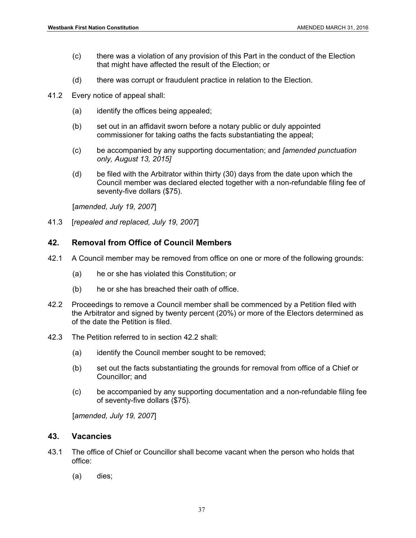- (c) there was a violation of any provision of this Part in the conduct of the Election that might have affected the result of the Election; or
- (d) there was corrupt or fraudulent practice in relation to the Election.
- 41.2 Every notice of appeal shall:
	- (a) identify the offices being appealed;
	- (b) set out in an affidavit sworn before a notary public or duly appointed commissioner for taking oaths the facts substantiating the appeal;
	- (c) be accompanied by any supporting documentation; and *[amended punctuation only, August 13, 2015]*
	- (d) be filed with the Arbitrator within thirty (30) days from the date upon which the Council member was declared elected together with a non-refundable filing fee of seventy-five dollars (\$75).

[*amended, July 19, 2007*]

41.3 [*repealed and replaced, July 19, 2007*]

#### **42. Removal from Office of Council Members**

- 42.1 A Council member may be removed from office on one or more of the following grounds:
	- (a) he or she has violated this Constitution; or
	- (b) he or she has breached their oath of office.
- 42.2 Proceedings to remove a Council member shall be commenced by a Petition filed with the Arbitrator and signed by twenty percent (20%) or more of the Electors determined as of the date the Petition is filed.
- 42.3 The Petition referred to in section 42.2 shall:
	- (a) identify the Council member sought to be removed;
	- (b) set out the facts substantiating the grounds for removal from office of a Chief or Councillor; and
	- (c) be accompanied by any supporting documentation and a non-refundable filing fee of seventy-five dollars (\$75).

[*amended, July 19, 2007*]

#### **43. Vacancies**

- 43.1 The office of Chief or Councillor shall become vacant when the person who holds that office:
	- (a) dies;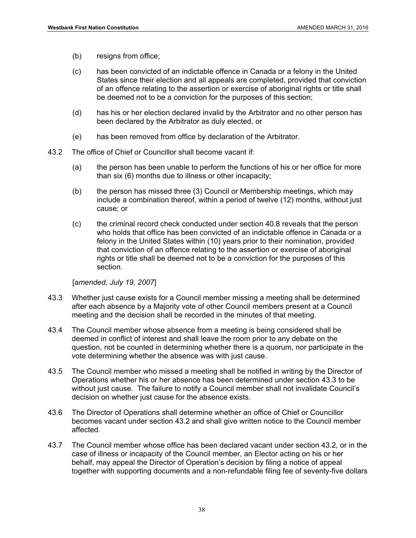- (b) resigns from office;
- (c) has been convicted of an indictable offence in Canada or a felony in the United States since their election and all appeals are completed, provided that conviction of an offence relating to the assertion or exercise of aboriginal rights or title shall be deemed not to be a conviction for the purposes of this section;
- (d) has his or her election declared invalid by the Arbitrator and no other person has been declared by the Arbitrator as duly elected, or
- (e) has been removed from office by declaration of the Arbitrator.
- 43.2 The office of Chief or Councillor shall become vacant if:
	- (a) the person has been unable to perform the functions of his or her office for more than six (6) months due to illness or other incapacity;
	- (b) the person has missed three (3) Council or Membership meetings, which may include a combination thereof, within a period of twelve (12) months, without just cause; or
	- (c) the criminal record check conducted under section 40.8 reveals that the person who holds that office has been convicted of an indictable offence in Canada or a felony in the United States within (10) years prior to their nomination, provided that conviction of an offence relating to the assertion or exercise of aboriginal rights or title shall be deemed not to be a conviction for the purposes of this section.

[*amended, July 19, 2007*]

- 43.3 Whether just cause exists for a Council member missing a meeting shall be determined after each absence by a Majority vote of other Council members present at a Council meeting and the decision shall be recorded in the minutes of that meeting.
- 43.4 The Council member whose absence from a meeting is being considered shall be deemed in conflict of interest and shall leave the room prior to any debate on the question, not be counted in determining whether there is a quorum, nor participate in the vote determining whether the absence was with just cause.
- 43.5 The Council member who missed a meeting shall be notified in writing by the Director of Operations whether his or her absence has been determined under section 43.3 to be without just cause. The failure to notify a Council member shall not invalidate Council's decision on whether just cause for the absence exists.
- 43.6 The Director of Operations shall determine whether an office of Chief or Councillor becomes vacant under section 43.2 and shall give written notice to the Council member affected.
- 43.7 The Council member whose office has been declared vacant under section 43.2, or in the case of illness or incapacity of the Council member, an Elector acting on his or her behalf, may appeal the Director of Operation's decision by filing a notice of appeal together with supporting documents and a non-refundable filing fee of seventy-five dollars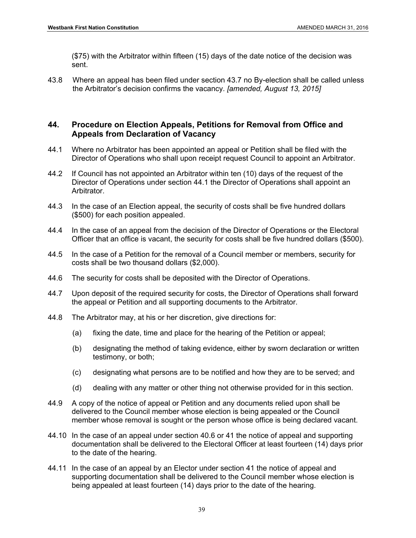(\$75) with the Arbitrator within fifteen (15) days of the date notice of the decision was sent.

43.8 Where an appeal has been filed under section 43.7 no By-election shall be called unless the Arbitrator's decision confirms the vacancy. *[amended, August 13, 2015]* 

# **44. Procedure on Election Appeals, Petitions for Removal from Office and Appeals from Declaration of Vacancy**

- 44.1 Where no Arbitrator has been appointed an appeal or Petition shall be filed with the Director of Operations who shall upon receipt request Council to appoint an Arbitrator.
- 44.2 If Council has not appointed an Arbitrator within ten (10) days of the request of the Director of Operations under section 44.1 the Director of Operations shall appoint an Arbitrator.
- 44.3 In the case of an Election appeal, the security of costs shall be five hundred dollars (\$500) for each position appealed.
- 44.4 In the case of an appeal from the decision of the Director of Operations or the Electoral Officer that an office is vacant, the security for costs shall be five hundred dollars (\$500).
- 44.5 In the case of a Petition for the removal of a Council member or members, security for costs shall be two thousand dollars (\$2,000).
- 44.6 The security for costs shall be deposited with the Director of Operations.
- 44.7 Upon deposit of the required security for costs, the Director of Operations shall forward the appeal or Petition and all supporting documents to the Arbitrator.
- 44.8 The Arbitrator may, at his or her discretion, give directions for:
	- (a) fixing the date, time and place for the hearing of the Petition or appeal;
	- (b) designating the method of taking evidence, either by sworn declaration or written testimony, or both;
	- (c) designating what persons are to be notified and how they are to be served; and
	- (d) dealing with any matter or other thing not otherwise provided for in this section.
- 44.9 A copy of the notice of appeal or Petition and any documents relied upon shall be delivered to the Council member whose election is being appealed or the Council member whose removal is sought or the person whose office is being declared vacant.
- 44.10 In the case of an appeal under section 40.6 or 41 the notice of appeal and supporting documentation shall be delivered to the Electoral Officer at least fourteen (14) days prior to the date of the hearing.
- 44.11 In the case of an appeal by an Elector under section 41 the notice of appeal and supporting documentation shall be delivered to the Council member whose election is being appealed at least fourteen (14) days prior to the date of the hearing.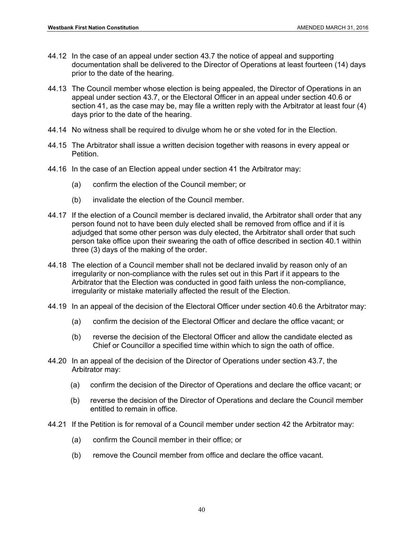- 44.12 In the case of an appeal under section 43.7 the notice of appeal and supporting documentation shall be delivered to the Director of Operations at least fourteen (14) days prior to the date of the hearing.
- 44.13 The Council member whose election is being appealed, the Director of Operations in an appeal under section 43.7, or the Electoral Officer in an appeal under section 40.6 or section 41, as the case may be, may file a written reply with the Arbitrator at least four (4) days prior to the date of the hearing.
- 44.14 No witness shall be required to divulge whom he or she voted for in the Election.
- 44.15 The Arbitrator shall issue a written decision together with reasons in every appeal or Petition.
- 44.16 In the case of an Election appeal under section 41 the Arbitrator may:
	- (a) confirm the election of the Council member; or
	- (b) invalidate the election of the Council member.
- 44.17 If the election of a Council member is declared invalid, the Arbitrator shall order that any person found not to have been duly elected shall be removed from office and if it is adjudged that some other person was duly elected, the Arbitrator shall order that such person take office upon their swearing the oath of office described in section 40.1 within three (3) days of the making of the order.
- 44.18 The election of a Council member shall not be declared invalid by reason only of an irregularity or non-compliance with the rules set out in this Part if it appears to the Arbitrator that the Election was conducted in good faith unless the non-compliance, irregularity or mistake materially affected the result of the Election.
- 44.19 In an appeal of the decision of the Electoral Officer under section 40.6 the Arbitrator may:
	- (a) confirm the decision of the Electoral Officer and declare the office vacant; or
	- (b) reverse the decision of the Electoral Officer and allow the candidate elected as Chief or Councillor a specified time within which to sign the oath of office.
- 44.20 In an appeal of the decision of the Director of Operations under section 43.7, the Arbitrator may:
	- (a) confirm the decision of the Director of Operations and declare the office vacant; or
	- (b) reverse the decision of the Director of Operations and declare the Council member entitled to remain in office.
- 44.21 If the Petition is for removal of a Council member under section 42 the Arbitrator may:
	- (a) confirm the Council member in their office; or
	- (b) remove the Council member from office and declare the office vacant.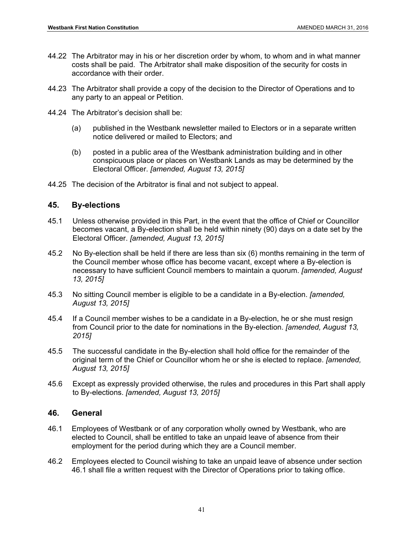- 44.22 The Arbitrator may in his or her discretion order by whom, to whom and in what manner costs shall be paid. The Arbitrator shall make disposition of the security for costs in accordance with their order.
- 44.23 The Arbitrator shall provide a copy of the decision to the Director of Operations and to any party to an appeal or Petition.
- 44.24 The Arbitrator's decision shall be:
	- (a) published in the Westbank newsletter mailed to Electors or in a separate written notice delivered or mailed to Electors; and
	- (b) posted in a public area of the Westbank administration building and in other conspicuous place or places on Westbank Lands as may be determined by the Electoral Officer. *[amended, August 13, 2015]*
- 44.25 The decision of the Arbitrator is final and not subject to appeal.

# **45. By-elections**

- 45.1 Unless otherwise provided in this Part, in the event that the office of Chief or Councillor becomes vacant, a By-election shall be held within ninety (90) days on a date set by the Electoral Officer. *[amended, August 13, 2015]*
- 45.2 No By-election shall be held if there are less than six (6) months remaining in the term of the Council member whose office has become vacant, except where a By-election is necessary to have sufficient Council members to maintain a quorum. *[amended, August 13, 2015]*
- 45.3 No sitting Council member is eligible to be a candidate in a By-election. *[amended, August 13, 2015]*
- 45.4 If a Council member wishes to be a candidate in a By-election, he or she must resign from Council prior to the date for nominations in the By-election. *[amended, August 13, 2015]*
- 45.5 The successful candidate in the By-election shall hold office for the remainder of the original term of the Chief or Councillor whom he or she is elected to replace. *[amended, August 13, 2015]*
- 45.6 Except as expressly provided otherwise, the rules and procedures in this Part shall apply to By-elections. *[amended, August 13, 2015]*

# **46. General**

- 46.1 Employees of Westbank or of any corporation wholly owned by Westbank, who are elected to Council, shall be entitled to take an unpaid leave of absence from their employment for the period during which they are a Council member.
- 46.2 Employees elected to Council wishing to take an unpaid leave of absence under section 46.1 shall file a written request with the Director of Operations prior to taking office.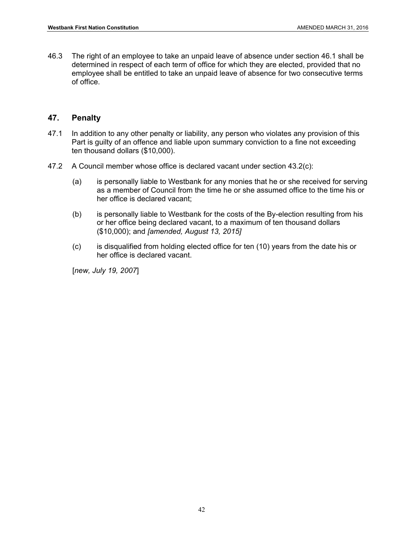46.3 The right of an employee to take an unpaid leave of absence under section 46.1 shall be determined in respect of each term of office for which they are elected, provided that no employee shall be entitled to take an unpaid leave of absence for two consecutive terms of office.

# **47. Penalty**

- 47.1 In addition to any other penalty or liability, any person who violates any provision of this Part is guilty of an offence and liable upon summary conviction to a fine not exceeding ten thousand dollars (\$10,000).
- 47.2 A Council member whose office is declared vacant under section 43.2(c):
	- (a) is personally liable to Westbank for any monies that he or she received for serving as a member of Council from the time he or she assumed office to the time his or her office is declared vacant;
	- (b) is personally liable to Westbank for the costs of the By-election resulting from his or her office being declared vacant, to a maximum of ten thousand dollars (\$10,000); and *[amended, August 13, 2015]*
	- (c) is disqualified from holding elected office for ten (10) years from the date his or her office is declared vacant.

[*new, July 19, 2007*]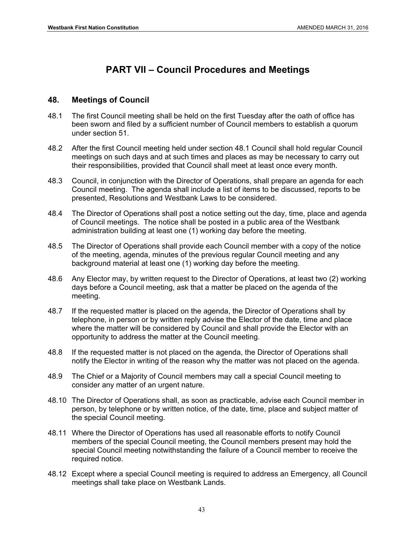# **PART VII – Council Procedures and Meetings**

# **48. Meetings of Council**

- 48.1 The first Council meeting shall be held on the first Tuesday after the oath of office has been sworn and filed by a sufficient number of Council members to establish a quorum under section 51.
- 48.2 After the first Council meeting held under section 48.1 Council shall hold regular Council meetings on such days and at such times and places as may be necessary to carry out their responsibilities, provided that Council shall meet at least once every month.
- 48.3 Council, in conjunction with the Director of Operations, shall prepare an agenda for each Council meeting. The agenda shall include a list of items to be discussed, reports to be presented, Resolutions and Westbank Laws to be considered.
- 48.4 The Director of Operations shall post a notice setting out the day, time, place and agenda of Council meetings. The notice shall be posted in a public area of the Westbank administration building at least one (1) working day before the meeting.
- 48.5 The Director of Operations shall provide each Council member with a copy of the notice of the meeting, agenda, minutes of the previous regular Council meeting and any background material at least one (1) working day before the meeting.
- 48.6 Any Elector may, by written request to the Director of Operations, at least two (2) working days before a Council meeting, ask that a matter be placed on the agenda of the meeting.
- 48.7 If the requested matter is placed on the agenda, the Director of Operations shall by telephone, in person or by written reply advise the Elector of the date, time and place where the matter will be considered by Council and shall provide the Elector with an opportunity to address the matter at the Council meeting.
- 48.8 If the requested matter is not placed on the agenda, the Director of Operations shall notify the Elector in writing of the reason why the matter was not placed on the agenda.
- 48.9 The Chief or a Majority of Council members may call a special Council meeting to consider any matter of an urgent nature.
- 48.10 The Director of Operations shall, as soon as practicable, advise each Council member in person, by telephone or by written notice, of the date, time, place and subject matter of the special Council meeting.
- 48.11 Where the Director of Operations has used all reasonable efforts to notify Council members of the special Council meeting, the Council members present may hold the special Council meeting notwithstanding the failure of a Council member to receive the required notice.
- 48.12 Except where a special Council meeting is required to address an Emergency, all Council meetings shall take place on Westbank Lands.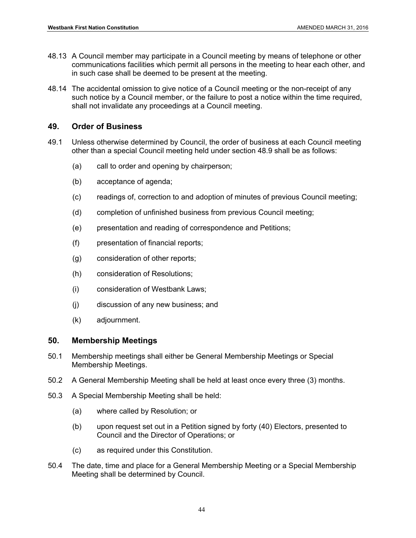- 48.13 A Council member may participate in a Council meeting by means of telephone or other communications facilities which permit all persons in the meeting to hear each other, and in such case shall be deemed to be present at the meeting.
- 48.14 The accidental omission to give notice of a Council meeting or the non-receipt of any such notice by a Council member, or the failure to post a notice within the time required, shall not invalidate any proceedings at a Council meeting.

# **49. Order of Business**

- 49.1 Unless otherwise determined by Council, the order of business at each Council meeting other than a special Council meeting held under section 48.9 shall be as follows:
	- (a) call to order and opening by chairperson;
	- (b) acceptance of agenda;
	- (c) readings of, correction to and adoption of minutes of previous Council meeting;
	- (d) completion of unfinished business from previous Council meeting;
	- (e) presentation and reading of correspondence and Petitions;
	- (f) presentation of financial reports;
	- (g) consideration of other reports;
	- (h) consideration of Resolutions;
	- (i) consideration of Westbank Laws;
	- (j) discussion of any new business; and
	- (k) adjournment.

# **50. Membership Meetings**

- 50.1 Membership meetings shall either be General Membership Meetings or Special Membership Meetings.
- 50.2 A General Membership Meeting shall be held at least once every three (3) months.
- 50.3 A Special Membership Meeting shall be held:
	- (a) where called by Resolution; or
	- (b) upon request set out in a Petition signed by forty (40) Electors, presented to Council and the Director of Operations; or
	- (c) as required under this Constitution.
- 50.4 The date, time and place for a General Membership Meeting or a Special Membership Meeting shall be determined by Council.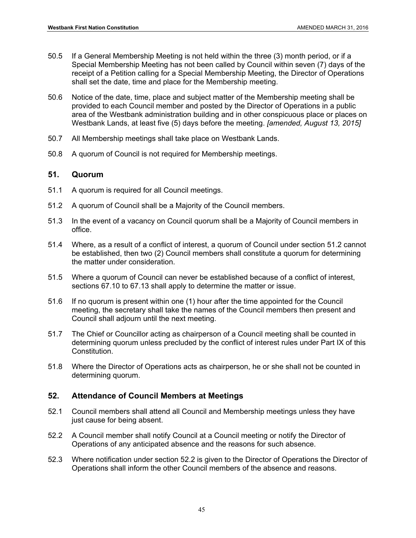- 50.5 If a General Membership Meeting is not held within the three (3) month period, or if a Special Membership Meeting has not been called by Council within seven (7) days of the receipt of a Petition calling for a Special Membership Meeting, the Director of Operations shall set the date, time and place for the Membership meeting.
- 50.6 Notice of the date, time, place and subject matter of the Membership meeting shall be provided to each Council member and posted by the Director of Operations in a public area of the Westbank administration building and in other conspicuous place or places on Westbank Lands, at least five (5) days before the meeting. *[amended, August 13, 2015]*
- 50.7 All Membership meetings shall take place on Westbank Lands.
- 50.8 A quorum of Council is not required for Membership meetings.

# **51. Quorum**

- 51.1 A quorum is required for all Council meetings.
- 51.2 A quorum of Council shall be a Majority of the Council members.
- 51.3 In the event of a vacancy on Council quorum shall be a Majority of Council members in office.
- 51.4 Where, as a result of a conflict of interest, a quorum of Council under section 51.2 cannot be established, then two (2) Council members shall constitute a quorum for determining the matter under consideration.
- 51.5 Where a quorum of Council can never be established because of a conflict of interest, sections 67.10 to 67.13 shall apply to determine the matter or issue.
- 51.6 If no quorum is present within one (1) hour after the time appointed for the Council meeting, the secretary shall take the names of the Council members then present and Council shall adjourn until the next meeting.
- 51.7 The Chief or Councillor acting as chairperson of a Council meeting shall be counted in determining quorum unless precluded by the conflict of interest rules under Part IX of this Constitution.
- 51.8 Where the Director of Operations acts as chairperson, he or she shall not be counted in determining quorum.

# **52. Attendance of Council Members at Meetings**

- 52.1 Council members shall attend all Council and Membership meetings unless they have just cause for being absent.
- 52.2 A Council member shall notify Council at a Council meeting or notify the Director of Operations of any anticipated absence and the reasons for such absence.
- 52.3 Where notification under section 52.2 is given to the Director of Operations the Director of Operations shall inform the other Council members of the absence and reasons.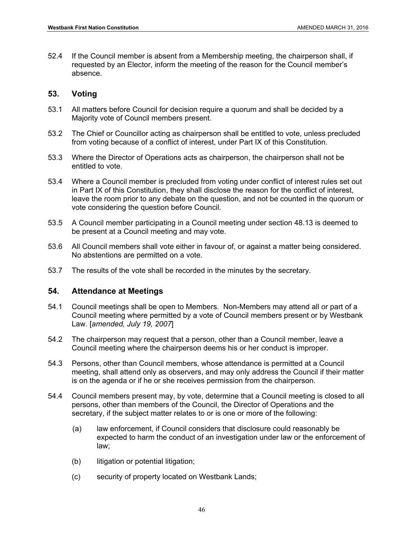52.4 If the Council member is absent from a Membership meeting, the chairperson shall, if requested by an Elector, inform the meeting of the reason for the Council member's absence.

# **53. Voting**

- 53.1 All matters before Council for decision require a quorum and shall be decided by a Majority vote of Council members present.
- 53.2 The Chief or Councillor acting as chairperson shall be entitled to vote, unless precluded from voting because of a conflict of interest, under Part IX of this Constitution.
- 53.3 Where the Director of Operations acts as chairperson, the chairperson shall not be entitled to vote.
- 53.4 Where a Council member is precluded from voting under conflict of interest rules set out in Part IX of this Constitution, they shall disclose the reason for the conflict of interest, leave the room prior to any debate on the question, and not be counted in the quorum or vote considering the question before Council.
- 53.5 A Council member participating in a Council meeting under section 48.13 is deemed to be present at a Council meeting and may vote.
- 53.6 All Council members shall vote either in favour of, or against a matter being considered. No abstentions are permitted on a vote.
- 53.7 The results of the vote shall be recorded in the minutes by the secretary.

# **54. Attendance at Meetings**

- 54.1 Council meetings shall be open to Members. Non-Members may attend all or part of a Council meeting where permitted by a vote of Council members present or by Westbank Law. [*amended, July 19, 2007*]
- 54.2 The chairperson may request that a person, other than a Council member, leave a Council meeting where the chairperson deems his or her conduct is improper.
- 54.3 Persons, other than Council members, whose attendance is permitted at a Council meeting, shall attend only as observers, and may only address the Council if their matter is on the agenda or if he or she receives permission from the chairperson.
- 54.4 Council members present may, by vote, determine that a Council meeting is closed to all persons, other than members of the Council, the Director of Operations and the secretary, if the subject matter relates to or is one or more of the following:
	- (a) law enforcement, if Council considers that disclosure could reasonably be expected to harm the conduct of an investigation under law or the enforcement of law;
	- (b) litigation or potential litigation;
	- (c) security of property located on Westbank Lands;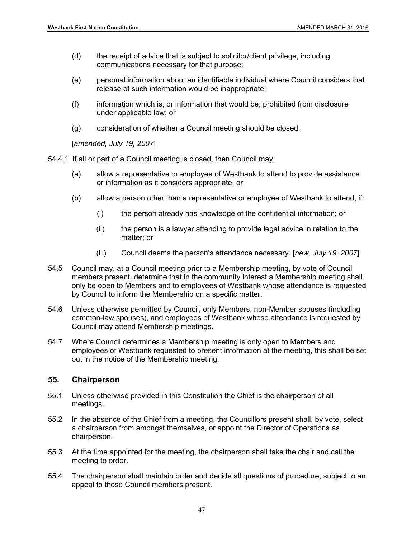- (d) the receipt of advice that is subject to solicitor/client privilege, including communications necessary for that purpose;
- (e) personal information about an identifiable individual where Council considers that release of such information would be inappropriate;
- (f) information which is, or information that would be, prohibited from disclosure under applicable law; or
- (g) consideration of whether a Council meeting should be closed.

[*amended, July 19, 2007*]

- 54.4.1 If all or part of a Council meeting is closed, then Council may:
	- (a) allow a representative or employee of Westbank to attend to provide assistance or information as it considers appropriate; or
	- (b) allow a person other than a representative or employee of Westbank to attend, if:
		- (i) the person already has knowledge of the confidential information; or
		- (ii) the person is a lawyer attending to provide legal advice in relation to the matter; or
		- (iii) Council deems the person's attendance necessary. [*new, July 19, 2007*]
- 54.5 Council may, at a Council meeting prior to a Membership meeting, by vote of Council members present, determine that in the community interest a Membership meeting shall only be open to Members and to employees of Westbank whose attendance is requested by Council to inform the Membership on a specific matter.
- 54.6 Unless otherwise permitted by Council, only Members, non-Member spouses (including common-law spouses), and employees of Westbank whose attendance is requested by Council may attend Membership meetings.
- 54.7 Where Council determines a Membership meeting is only open to Members and employees of Westbank requested to present information at the meeting, this shall be set out in the notice of the Membership meeting.

#### **55. Chairperson**

- 55.1 Unless otherwise provided in this Constitution the Chief is the chairperson of all meetings.
- 55.2 In the absence of the Chief from a meeting, the Councillors present shall, by vote, select a chairperson from amongst themselves, or appoint the Director of Operations as chairperson.
- 55.3 At the time appointed for the meeting, the chairperson shall take the chair and call the meeting to order.
- 55.4 The chairperson shall maintain order and decide all questions of procedure, subject to an appeal to those Council members present.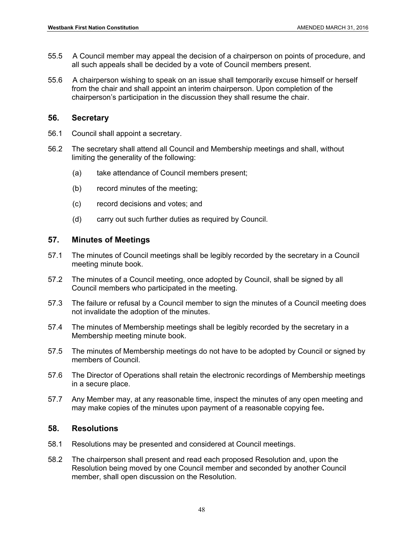- 55.5 A Council member may appeal the decision of a chairperson on points of procedure, and all such appeals shall be decided by a vote of Council members present.
- 55.6 A chairperson wishing to speak on an issue shall temporarily excuse himself or herself from the chair and shall appoint an interim chairperson. Upon completion of the chairperson's participation in the discussion they shall resume the chair.

### **56. Secretary**

- 56.1 Council shall appoint a secretary.
- 56.2 The secretary shall attend all Council and Membership meetings and shall, without limiting the generality of the following:
	- (a) take attendance of Council members present;
	- (b) record minutes of the meeting;
	- (c) record decisions and votes; and
	- (d) carry out such further duties as required by Council.

### **57. Minutes of Meetings**

- 57.1 The minutes of Council meetings shall be legibly recorded by the secretary in a Council meeting minute book.
- 57.2 The minutes of a Council meeting, once adopted by Council, shall be signed by all Council members who participated in the meeting.
- 57.3 The failure or refusal by a Council member to sign the minutes of a Council meeting does not invalidate the adoption of the minutes.
- 57.4 The minutes of Membership meetings shall be legibly recorded by the secretary in a Membership meeting minute book.
- 57.5 The minutes of Membership meetings do not have to be adopted by Council or signed by members of Council.
- 57.6 The Director of Operations shall retain the electronic recordings of Membership meetings in a secure place.
- 57.7 Any Member may, at any reasonable time, inspect the minutes of any open meeting and may make copies of the minutes upon payment of a reasonable copying fee**.**

#### **58. Resolutions**

- 58.1 Resolutions may be presented and considered at Council meetings.
- 58.2 The chairperson shall present and read each proposed Resolution and, upon the Resolution being moved by one Council member and seconded by another Council member, shall open discussion on the Resolution.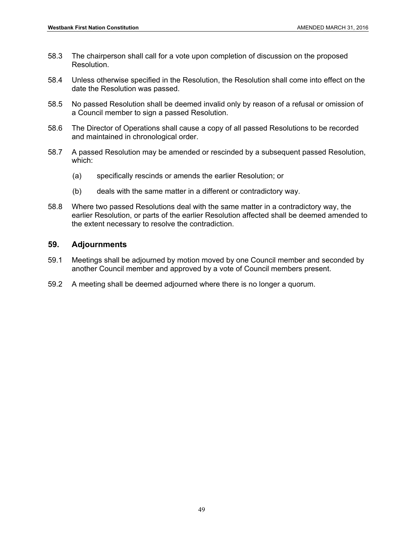- 58.3 The chairperson shall call for a vote upon completion of discussion on the proposed Resolution.
- 58.4 Unless otherwise specified in the Resolution, the Resolution shall come into effect on the date the Resolution was passed.
- 58.5 No passed Resolution shall be deemed invalid only by reason of a refusal or omission of a Council member to sign a passed Resolution.
- 58.6 The Director of Operations shall cause a copy of all passed Resolutions to be recorded and maintained in chronological order.
- 58.7 A passed Resolution may be amended or rescinded by a subsequent passed Resolution, which:
	- (a) specifically rescinds or amends the earlier Resolution; or
	- (b) deals with the same matter in a different or contradictory way.
- 58.8 Where two passed Resolutions deal with the same matter in a contradictory way, the earlier Resolution, or parts of the earlier Resolution affected shall be deemed amended to the extent necessary to resolve the contradiction.

#### **59. Adjournments**

- 59.1 Meetings shall be adjourned by motion moved by one Council member and seconded by another Council member and approved by a vote of Council members present.
- 59.2 A meeting shall be deemed adjourned where there is no longer a quorum.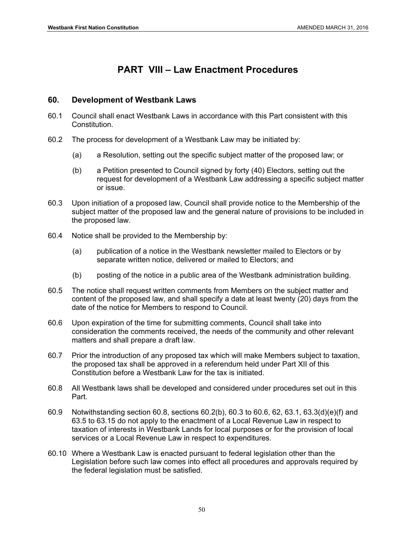# **PART VIII – Law Enactment Procedures**

# **60. Development of Westbank Laws**

- 60.1 Council shall enact Westbank Laws in accordance with this Part consistent with this Constitution.
- 60.2 The process for development of a Westbank Law may be initiated by:
	- (a) a Resolution, setting out the specific subject matter of the proposed law; or
	- (b) a Petition presented to Council signed by forty (40) Electors, setting out the request for development of a Westbank Law addressing a specific subject matter or issue.
- 60.3 Upon initiation of a proposed law, Council shall provide notice to the Membership of the subject matter of the proposed law and the general nature of provisions to be included in the proposed law.
- 60.4 Notice shall be provided to the Membership by:
	- (a) publication of a notice in the Westbank newsletter mailed to Electors or by separate written notice, delivered or mailed to Electors; and
	- (b) posting of the notice in a public area of the Westbank administration building.
- 60.5 The notice shall request written comments from Members on the subject matter and content of the proposed law, and shall specify a date at least twenty (20) days from the date of the notice for Members to respond to Council.
- 60.6 Upon expiration of the time for submitting comments, Council shall take into consideration the comments received, the needs of the community and other relevant matters and shall prepare a draft law.
- 60.7 Prior the introduction of any proposed tax which will make Members subject to taxation, the proposed tax shall be approved in a referendum held under Part XII of this Constitution before a Westbank Law for the tax is initiated.
- 60.8 All Westbank laws shall be developed and considered under procedures set out in this Part.
- 60.9 Notwithstanding section 60.8, sections 60.2(b), 60.3 to 60.6, 62, 63.1, 63.3(d)(e)(f) and 63.5 to 63.15 do not apply to the enactment of a Local Revenue Law in respect to taxation of interests in Westbank Lands for local purposes or for the provision of local services or a Local Revenue Law in respect to expenditures.
- 60.10 Where a Westbank Law is enacted pursuant to federal legislation other than the Legislation before such law comes into effect all procedures and approvals required by the federal legislation must be satisfied.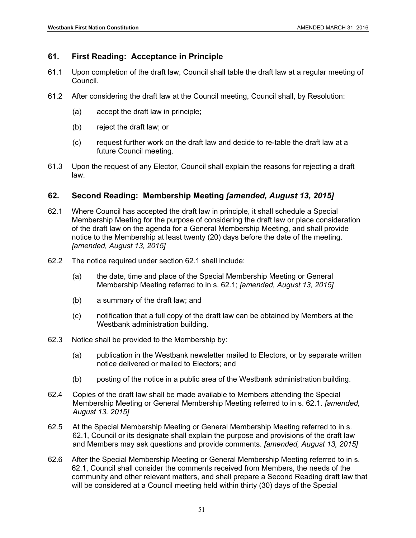# **61. First Reading: Acceptance in Principle**

- 61.1 Upon completion of the draft law, Council shall table the draft law at a regular meeting of Council.
- 61.2 After considering the draft law at the Council meeting, Council shall, by Resolution:
	- (a) accept the draft law in principle;
	- (b) reject the draft law; or
	- (c) request further work on the draft law and decide to re-table the draft law at a future Council meeting.
- 61.3 Upon the request of any Elector, Council shall explain the reasons for rejecting a draft law.

# **62. Second Reading: Membership Meeting** *[amended, August 13, 2015]*

- 62.1 Where Council has accepted the draft law in principle, it shall schedule a Special Membership Meeting for the purpose of considering the draft law or place consideration of the draft law on the agenda for a General Membership Meeting, and shall provide notice to the Membership at least twenty (20) days before the date of the meeting. *[amended, August 13, 2015]*
- 62.2 The notice required under section 62.1 shall include:
	- (a) the date, time and place of the Special Membership Meeting or General Membership Meeting referred to in s. 62.1; *[amended, August 13, 2015]*
	- (b) a summary of the draft law; and
	- (c) notification that a full copy of the draft law can be obtained by Members at the Westbank administration building.
- 62.3 Notice shall be provided to the Membership by:
	- (a) publication in the Westbank newsletter mailed to Electors, or by separate written notice delivered or mailed to Electors; and
	- (b) posting of the notice in a public area of the Westbank administration building.
- 62.4 Copies of the draft law shall be made available to Members attending the Special Membership Meeting or General Membership Meeting referred to in s. 62.1. *[amended, August 13, 2015]*
- 62.5 At the Special Membership Meeting or General Membership Meeting referred to in s. 62.1, Council or its designate shall explain the purpose and provisions of the draft law and Members may ask questions and provide comments. *[amended, August 13, 2015]*
- 62.6 After the Special Membership Meeting or General Membership Meeting referred to in s. 62.1, Council shall consider the comments received from Members, the needs of the community and other relevant matters, and shall prepare a Second Reading draft law that will be considered at a Council meeting held within thirty (30) days of the Special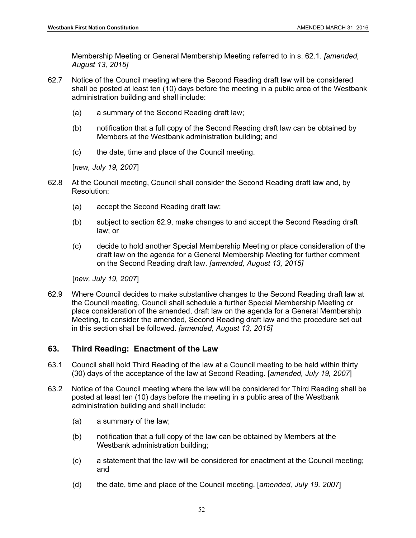Membership Meeting or General Membership Meeting referred to in s. 62.1. *[amended, August 13, 2015]* 

- 62.7 Notice of the Council meeting where the Second Reading draft law will be considered shall be posted at least ten (10) days before the meeting in a public area of the Westbank administration building and shall include:
	- (a) a summary of the Second Reading draft law;
	- (b) notification that a full copy of the Second Reading draft law can be obtained by Members at the Westbank administration building; and
	- (c) the date, time and place of the Council meeting.

[*new, July 19, 2007*]

- 62.8 At the Council meeting, Council shall consider the Second Reading draft law and, by Resolution:
	- (a) accept the Second Reading draft law;
	- (b) subject to section 62.9, make changes to and accept the Second Reading draft law; or
	- (c) decide to hold another Special Membership Meeting or place consideration of the draft law on the agenda for a General Membership Meeting for further comment on the Second Reading draft law. *[amended, August 13, 2015]*

[*new, July 19, 2007*]

62.9 Where Council decides to make substantive changes to the Second Reading draft law at the Council meeting, Council shall schedule a further Special Membership Meeting or place consideration of the amended, draft law on the agenda for a General Membership Meeting, to consider the amended, Second Reading draft law and the procedure set out in this section shall be followed. *[amended, August 13, 2015]*

# **63. Third Reading: Enactment of the Law**

- 63.1 Council shall hold Third Reading of the law at a Council meeting to be held within thirty (30) days of the acceptance of the law at Second Reading. [*amended, July 19, 2007*]
- 63.2 Notice of the Council meeting where the law will be considered for Third Reading shall be posted at least ten (10) days before the meeting in a public area of the Westbank administration building and shall include:
	- (a) a summary of the law;
	- (b) notification that a full copy of the law can be obtained by Members at the Westbank administration building;
	- (c) a statement that the law will be considered for enactment at the Council meeting; and
	- (d) the date, time and place of the Council meeting. [*amended, July 19, 2007*]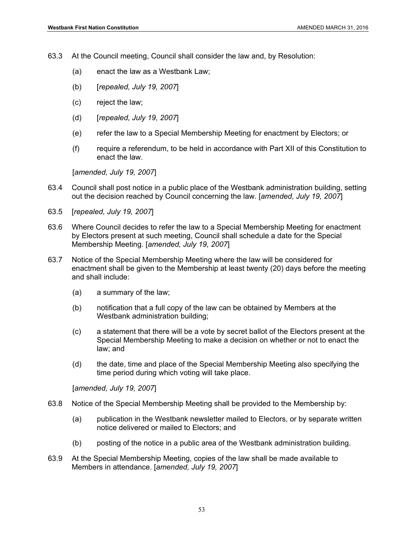63.3 At the Council meeting, Council shall consider the law and, by Resolution:

- (a) enact the law as a Westbank Law;
- (b) [*repealed, July 19, 2007*]
- (c) reject the law;
- (d) [*repealed, July 19, 2007*]
- (e) refer the law to a Special Membership Meeting for enactment by Electors; or
- (f) require a referendum, to be held in accordance with Part XII of this Constitution to enact the law.

[*amended, July 19, 2007*]

- 63.4 Council shall post notice in a public place of the Westbank administration building, setting out the decision reached by Council concerning the law. [*amended, July 19, 2007*]
- 63.5 [*repealed, July 19, 2007*]
- 63.6 Where Council decides to refer the law to a Special Membership Meeting for enactment by Electors present at such meeting, Council shall schedule a date for the Special Membership Meeting. [*amended, July 19, 2007*]
- 63.7 Notice of the Special Membership Meeting where the law will be considered for enactment shall be given to the Membership at least twenty (20) days before the meeting and shall include:
	- (a) a summary of the law;
	- (b) notification that a full copy of the law can be obtained by Members at the Westbank administration building;
	- (c) a statement that there will be a vote by secret ballot of the Electors present at the Special Membership Meeting to make a decision on whether or not to enact the law; and
	- (d) the date, time and place of the Special Membership Meeting also specifying the time period during which voting will take place.

[*amended, July 19, 2007*]

- 63.8 Notice of the Special Membership Meeting shall be provided to the Membership by:
	- (a) publication in the Westbank newsletter mailed to Electors, or by separate written notice delivered or mailed to Electors; and
	- (b) posting of the notice in a public area of the Westbank administration building.
- 63.9 At the Special Membership Meeting, copies of the law shall be made available to Members in attendance. [*amended, July 19, 2007*]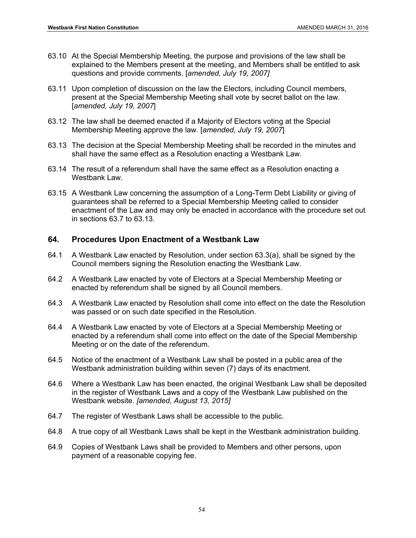- 63.10 At the Special Membership Meeting, the purpose and provisions of the law shall be explained to the Members present at the meeting, and Members shall be entitled to ask questions and provide comments. [*amended, July 19, 2007]*
- 63.11 Upon completion of discussion on the law the Electors, including Council members, present at the Special Membership Meeting shall vote by secret ballot on the law. [*amended, July 19, 2007*]
- 63.12 The law shall be deemed enacted if a Majority of Electors voting at the Special Membership Meeting approve the law. [*amended, July 19, 2007*]
- 63.13 The decision at the Special Membership Meeting shall be recorded in the minutes and shall have the same effect as a Resolution enacting a Westbank Law.
- 63.14 The result of a referendum shall have the same effect as a Resolution enacting a Westbank Law.
- 63.15 A Westbank Law concerning the assumption of a Long-Term Debt Liability or giving of guarantees shall be referred to a Special Membership Meeting called to consider enactment of the Law and may only be enacted in accordance with the procedure set out in sections 63.7 to 63.13.

# **64. Procedures Upon Enactment of a Westbank Law**

- 64.1 A Westbank Law enacted by Resolution, under section 63.3(a), shall be signed by the Council members signing the Resolution enacting the Westbank Law.
- 64.2 A Westbank Law enacted by vote of Electors at a Special Membership Meeting or enacted by referendum shall be signed by all Council members.
- 64.3 A Westbank Law enacted by Resolution shall come into effect on the date the Resolution was passed or on such date specified in the Resolution.
- 64.4 A Westbank Law enacted by vote of Electors at a Special Membership Meeting or enacted by a referendum shall come into effect on the date of the Special Membership Meeting or on the date of the referendum.
- 64.5 Notice of the enactment of a Westbank Law shall be posted in a public area of the Westbank administration building within seven (7) days of its enactment.
- 64.6 Where a Westbank Law has been enacted, the original Westbank Law shall be deposited in the register of Westbank Laws and a copy of the Westbank Law published on the Westbank website. *[amended, August 13, 2015]*
- 64.7 The register of Westbank Laws shall be accessible to the public.
- 64.8 A true copy of all Westbank Laws shall be kept in the Westbank administration building.
- 64.9 Copies of Westbank Laws shall be provided to Members and other persons, upon payment of a reasonable copying fee.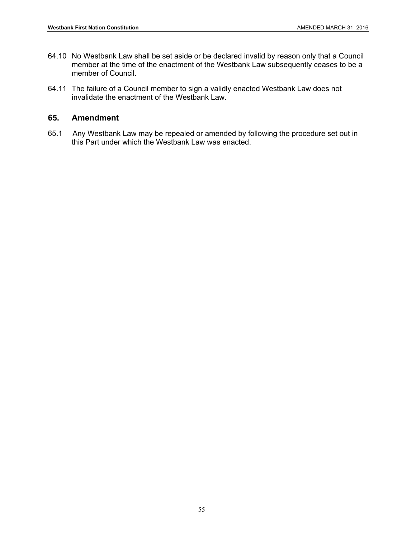- 64.10 No Westbank Law shall be set aside or be declared invalid by reason only that a Council member at the time of the enactment of the Westbank Law subsequently ceases to be a member of Council.
- 64.11 The failure of a Council member to sign a validly enacted Westbank Law does not invalidate the enactment of the Westbank Law.

## **65. Amendment**

65.1 Any Westbank Law may be repealed or amended by following the procedure set out in this Part under which the Westbank Law was enacted.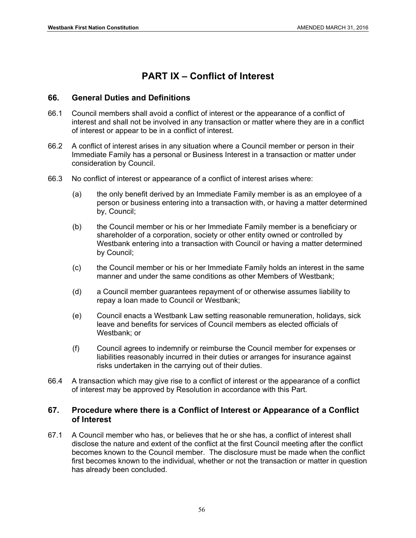# **PART IX – Conflict of Interest**

# **66. General Duties and Definitions**

- 66.1 Council members shall avoid a conflict of interest or the appearance of a conflict of interest and shall not be involved in any transaction or matter where they are in a conflict of interest or appear to be in a conflict of interest.
- 66.2 A conflict of interest arises in any situation where a Council member or person in their Immediate Family has a personal or Business Interest in a transaction or matter under consideration by Council.
- 66.3 No conflict of interest or appearance of a conflict of interest arises where:
	- (a) the only benefit derived by an Immediate Family member is as an employee of a person or business entering into a transaction with, or having a matter determined by, Council;
	- (b) the Council member or his or her Immediate Family member is a beneficiary or shareholder of a corporation, society or other entity owned or controlled by Westbank entering into a transaction with Council or having a matter determined by Council;
	- (c) the Council member or his or her Immediate Family holds an interest in the same manner and under the same conditions as other Members of Westbank;
	- (d) a Council member guarantees repayment of or otherwise assumes liability to repay a loan made to Council or Westbank;
	- (e) Council enacts a Westbank Law setting reasonable remuneration, holidays, sick leave and benefits for services of Council members as elected officials of Westbank; or
	- (f) Council agrees to indemnify or reimburse the Council member for expenses or liabilities reasonably incurred in their duties or arranges for insurance against risks undertaken in the carrying out of their duties.
- 66.4 A transaction which may give rise to a conflict of interest or the appearance of a conflict of interest may be approved by Resolution in accordance with this Part.

# **67. Procedure where there is a Conflict of Interest or Appearance of a Conflict of Interest**

67.1 A Council member who has, or believes that he or she has, a conflict of interest shall disclose the nature and extent of the conflict at the first Council meeting after the conflict becomes known to the Council member. The disclosure must be made when the conflict first becomes known to the individual, whether or not the transaction or matter in question has already been concluded.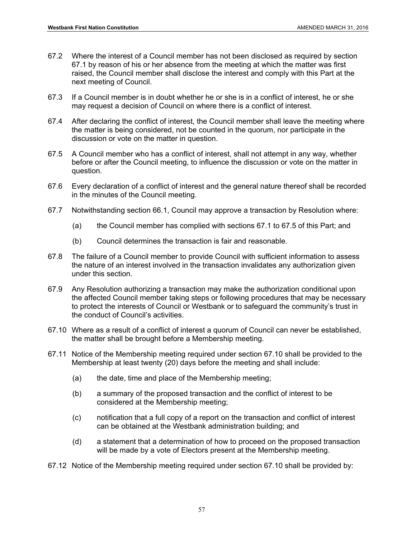- 67.2 Where the interest of a Council member has not been disclosed as required by section 67.1 by reason of his or her absence from the meeting at which the matter was first raised, the Council member shall disclose the interest and comply with this Part at the next meeting of Council.
- 67.3 If a Council member is in doubt whether he or she is in a conflict of interest, he or she may request a decision of Council on where there is a conflict of interest.
- 67.4 After declaring the conflict of interest, the Council member shall leave the meeting where the matter is being considered, not be counted in the quorum, nor participate in the discussion or vote on the matter in question.
- 67.5 A Council member who has a conflict of interest, shall not attempt in any way, whether before or after the Council meeting, to influence the discussion or vote on the matter in question.
- 67.6 Every declaration of a conflict of interest and the general nature thereof shall be recorded in the minutes of the Council meeting.
- 67.7 Notwithstanding section 66.1, Council may approve a transaction by Resolution where:
	- (a) the Council member has complied with sections 67.1 to 67.5 of this Part; and
	- (b) Council determines the transaction is fair and reasonable.
- 67.8 The failure of a Council member to provide Council with sufficient information to assess the nature of an interest involved in the transaction invalidates any authorization given under this section.
- 67.9 Any Resolution authorizing a transaction may make the authorization conditional upon the affected Council member taking steps or following procedures that may be necessary to protect the interests of Council or Westbank or to safeguard the community's trust in the conduct of Council's activities.
- 67.10 Where as a result of a conflict of interest a quorum of Council can never be established, the matter shall be brought before a Membership meeting.
- 67.11 Notice of the Membership meeting required under section 67.10 shall be provided to the Membership at least twenty (20) days before the meeting and shall include:
	- (a) the date, time and place of the Membership meeting;
	- (b) a summary of the proposed transaction and the conflict of interest to be considered at the Membership meeting;
	- (c) notification that a full copy of a report on the transaction and conflict of interest can be obtained at the Westbank administration building; and
	- (d) a statement that a determination of how to proceed on the proposed transaction will be made by a vote of Electors present at the Membership meeting.
- 67.12 Notice of the Membership meeting required under section 67.10 shall be provided by: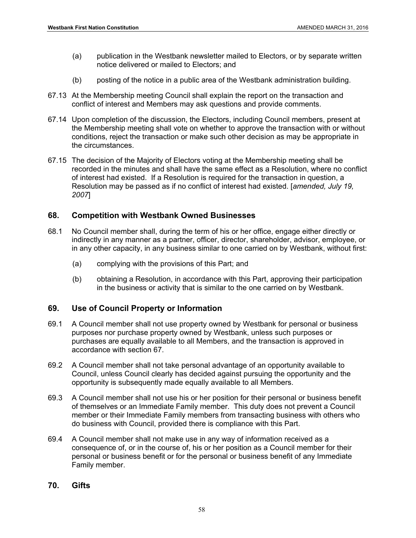- (a) publication in the Westbank newsletter mailed to Electors, or by separate written notice delivered or mailed to Electors; and
- (b) posting of the notice in a public area of the Westbank administration building.
- 67.13 At the Membership meeting Council shall explain the report on the transaction and conflict of interest and Members may ask questions and provide comments.
- 67.14 Upon completion of the discussion, the Electors, including Council members, present at the Membership meeting shall vote on whether to approve the transaction with or without conditions, reject the transaction or make such other decision as may be appropriate in the circumstances.
- 67.15 The decision of the Majority of Electors voting at the Membership meeting shall be recorded in the minutes and shall have the same effect as a Resolution, where no conflict of interest had existed. If a Resolution is required for the transaction in question, a Resolution may be passed as if no conflict of interest had existed. [*amended, July 19, 2007*]

# **68. Competition with Westbank Owned Businesses**

- 68.1 No Council member shall, during the term of his or her office, engage either directly or indirectly in any manner as a partner, officer, director, shareholder, advisor, employee, or in any other capacity, in any business similar to one carried on by Westbank, without first:
	- (a) complying with the provisions of this Part; and
	- (b) obtaining a Resolution, in accordance with this Part, approving their participation in the business or activity that is similar to the one carried on by Westbank.

# **69. Use of Council Property or Information**

- 69.1 A Council member shall not use property owned by Westbank for personal or business purposes nor purchase property owned by Westbank, unless such purposes or purchases are equally available to all Members, and the transaction is approved in accordance with section 67.
- 69.2 A Council member shall not take personal advantage of an opportunity available to Council, unless Council clearly has decided against pursuing the opportunity and the opportunity is subsequently made equally available to all Members.
- 69.3 A Council member shall not use his or her position for their personal or business benefit of themselves or an Immediate Family member. This duty does not prevent a Council member or their Immediate Family members from transacting business with others who do business with Council, provided there is compliance with this Part.
- 69.4 A Council member shall not make use in any way of information received as a consequence of, or in the course of, his or her position as a Council member for their personal or business benefit or for the personal or business benefit of any Immediate Family member.

# **70. Gifts**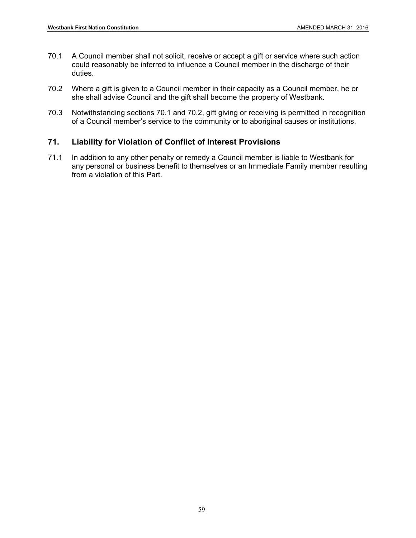- 70.1 A Council member shall not solicit, receive or accept a gift or service where such action could reasonably be inferred to influence a Council member in the discharge of their duties.
- 70.2 Where a gift is given to a Council member in their capacity as a Council member, he or she shall advise Council and the gift shall become the property of Westbank.
- 70.3 Notwithstanding sections 70.1 and 70.2, gift giving or receiving is permitted in recognition of a Council member's service to the community or to aboriginal causes or institutions.

# **71. Liability for Violation of Conflict of Interest Provisions**

71.1 In addition to any other penalty or remedy a Council member is liable to Westbank for any personal or business benefit to themselves or an Immediate Family member resulting from a violation of this Part.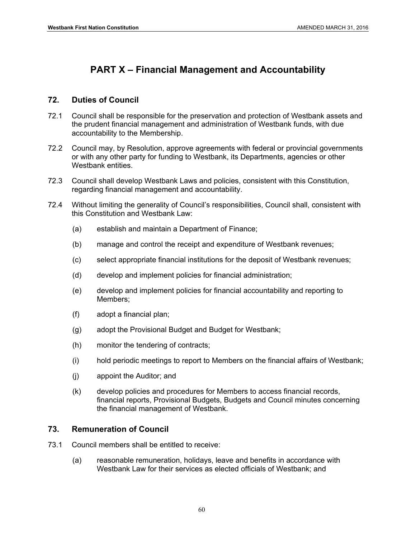# **PART X – Financial Management and Accountability**

# **72. Duties of Council**

- 72.1 Council shall be responsible for the preservation and protection of Westbank assets and the prudent financial management and administration of Westbank funds, with due accountability to the Membership.
- 72.2 Council may, by Resolution, approve agreements with federal or provincial governments or with any other party for funding to Westbank, its Departments, agencies or other Westbank entities.
- 72.3 Council shall develop Westbank Laws and policies, consistent with this Constitution, regarding financial management and accountability.
- 72.4 Without limiting the generality of Council's responsibilities, Council shall, consistent with this Constitution and Westbank Law:
	- (a) establish and maintain a Department of Finance;
	- (b) manage and control the receipt and expenditure of Westbank revenues;
	- (c) select appropriate financial institutions for the deposit of Westbank revenues;
	- (d) develop and implement policies for financial administration;
	- (e) develop and implement policies for financial accountability and reporting to Members;
	- (f) adopt a financial plan;
	- (g) adopt the Provisional Budget and Budget for Westbank;
	- (h) monitor the tendering of contracts;
	- (i) hold periodic meetings to report to Members on the financial affairs of Westbank;
	- (j) appoint the Auditor; and
	- (k) develop policies and procedures for Members to access financial records, financial reports, Provisional Budgets, Budgets and Council minutes concerning the financial management of Westbank.

# **73. Remuneration of Council**

- 73.1 Council members shall be entitled to receive:
	- (a) reasonable remuneration, holidays, leave and benefits in accordance with Westbank Law for their services as elected officials of Westbank; and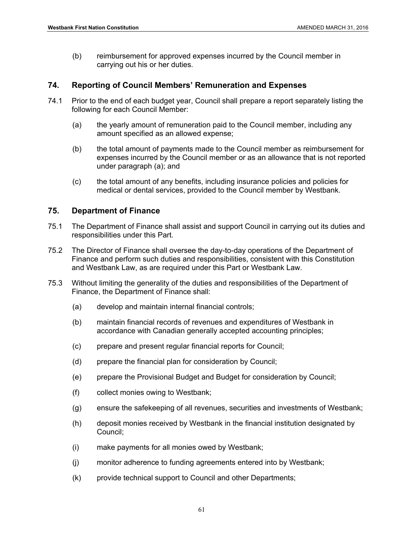(b) reimbursement for approved expenses incurred by the Council member in carrying out his or her duties.

### **74. Reporting of Council Members' Remuneration and Expenses**

- 74.1 Prior to the end of each budget year, Council shall prepare a report separately listing the following for each Council Member:
	- (a) the yearly amount of remuneration paid to the Council member, including any amount specified as an allowed expense;
	- (b) the total amount of payments made to the Council member as reimbursement for expenses incurred by the Council member or as an allowance that is not reported under paragraph (a); and
	- (c) the total amount of any benefits, including insurance policies and policies for medical or dental services, provided to the Council member by Westbank.

#### **75. Department of Finance**

- 75.1 The Department of Finance shall assist and support Council in carrying out its duties and responsibilities under this Part.
- 75.2 The Director of Finance shall oversee the day-to-day operations of the Department of Finance and perform such duties and responsibilities, consistent with this Constitution and Westbank Law, as are required under this Part or Westbank Law.
- 75.3 Without limiting the generality of the duties and responsibilities of the Department of Finance, the Department of Finance shall:
	- (a) develop and maintain internal financial controls;
	- (b) maintain financial records of revenues and expenditures of Westbank in accordance with Canadian generally accepted accounting principles;
	- (c) prepare and present regular financial reports for Council;
	- (d) prepare the financial plan for consideration by Council;
	- (e) prepare the Provisional Budget and Budget for consideration by Council;
	- (f) collect monies owing to Westbank;
	- (g) ensure the safekeeping of all revenues, securities and investments of Westbank;
	- (h) deposit monies received by Westbank in the financial institution designated by Council;
	- (i) make payments for all monies owed by Westbank;
	- (j) monitor adherence to funding agreements entered into by Westbank;
	- (k) provide technical support to Council and other Departments;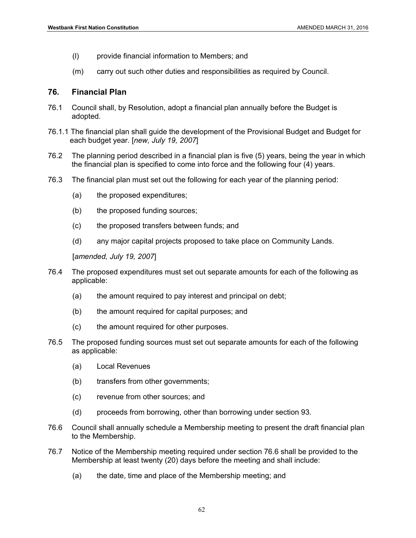- (l) provide financial information to Members; and
- (m) carry out such other duties and responsibilities as required by Council.

### **76. Financial Plan**

- 76.1 Council shall, by Resolution, adopt a financial plan annually before the Budget is adopted.
- 76.1.1 The financial plan shall guide the development of the Provisional Budget and Budget for each budget year. [*new, July 19, 2007*]
- 76.2 The planning period described in a financial plan is five (5) years, being the year in which the financial plan is specified to come into force and the following four (4) years.
- 76.3 The financial plan must set out the following for each year of the planning period:
	- (a) the proposed expenditures;
	- (b) the proposed funding sources;
	- (c) the proposed transfers between funds; and
	- (d) any major capital projects proposed to take place on Community Lands.

[*amended, July 19, 2007*]

- 76.4 The proposed expenditures must set out separate amounts for each of the following as applicable:
	- (a) the amount required to pay interest and principal on debt;
	- (b) the amount required for capital purposes; and
	- (c) the amount required for other purposes.
- 76.5 The proposed funding sources must set out separate amounts for each of the following as applicable:
	- (a) Local Revenues
	- (b) transfers from other governments;
	- (c) revenue from other sources; and
	- (d) proceeds from borrowing, other than borrowing under section 93*.*
- 76.6 Council shall annually schedule a Membership meeting to present the draft financial plan to the Membership.
- 76.7 Notice of the Membership meeting required under section 76.6 shall be provided to the Membership at least twenty (20) days before the meeting and shall include:
	- (a) the date, time and place of the Membership meeting; and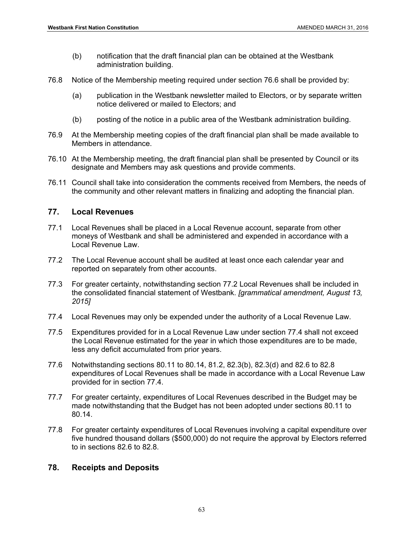- (b) notification that the draft financial plan can be obtained at the Westbank administration building.
- 76.8 Notice of the Membership meeting required under section 76.6 shall be provided by:
	- (a) publication in the Westbank newsletter mailed to Electors, or by separate written notice delivered or mailed to Electors; and
	- (b) posting of the notice in a public area of the Westbank administration building.
- 76.9 At the Membership meeting copies of the draft financial plan shall be made available to Members in attendance.
- 76.10 At the Membership meeting, the draft financial plan shall be presented by Council or its designate and Members may ask questions and provide comments.
- 76.11 Council shall take into consideration the comments received from Members, the needs of the community and other relevant matters in finalizing and adopting the financial plan.

#### **77. Local Revenues**

- 77.1 Local Revenues shall be placed in a Local Revenue account, separate from other moneys of Westbank and shall be administered and expended in accordance with a Local Revenue Law.
- 77.2 The Local Revenue account shall be audited at least once each calendar year and reported on separately from other accounts.
- 77.3 For greater certainty, notwithstanding section 77.2 Local Revenues shall be included in the consolidated financial statement of Westbank. *[grammatical amendment, August 13, 2015]*
- 77.4 Local Revenues may only be expended under the authority of a Local Revenue Law.
- 77.5 Expenditures provided for in a Local Revenue Law under section 77.4 shall not exceed the Local Revenue estimated for the year in which those expenditures are to be made, less any deficit accumulated from prior years.
- 77.6 Notwithstanding sections 80.11 to 80.14, 81.2, 82.3(b), 82.3(d) and 82.6 to 82.8 expenditures of Local Revenues shall be made in accordance with a Local Revenue Law provided for in section 77.4.
- 77.7 For greater certainty, expenditures of Local Revenues described in the Budget may be made notwithstanding that the Budget has not been adopted under sections 80.11 to 80.14.
- 77.8 For greater certainty expenditures of Local Revenues involving a capital expenditure over five hundred thousand dollars (\$500,000) do not require the approval by Electors referred to in sections 82.6 to 82.8.

# **78. Receipts and Deposits**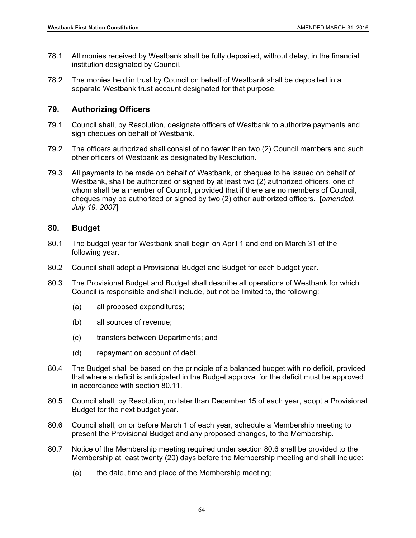- 78.1 All monies received by Westbank shall be fully deposited, without delay, in the financial institution designated by Council.
- 78.2 The monies held in trust by Council on behalf of Westbank shall be deposited in a separate Westbank trust account designated for that purpose.

# **79. Authorizing Officers**

- 79.1 Council shall, by Resolution, designate officers of Westbank to authorize payments and sign cheques on behalf of Westbank.
- 79.2 The officers authorized shall consist of no fewer than two (2) Council members and such other officers of Westbank as designated by Resolution.
- 79.3 All payments to be made on behalf of Westbank, or cheques to be issued on behalf of Westbank, shall be authorized or signed by at least two (2) authorized officers, one of whom shall be a member of Council, provided that if there are no members of Council, cheques may be authorized or signed by two (2) other authorized officers. [*amended, July 19, 2007*]

# **80. Budget**

- 80.1 The budget year for Westbank shall begin on April 1 and end on March 31 of the following year.
- 80.2 Council shall adopt a Provisional Budget and Budget for each budget year.
- 80.3 The Provisional Budget and Budget shall describe all operations of Westbank for which Council is responsible and shall include, but not be limited to, the following:
	- (a) all proposed expenditures;
	- (b) all sources of revenue;
	- (c) transfers between Departments; and
	- (d) repayment on account of debt.
- 80.4 The Budget shall be based on the principle of a balanced budget with no deficit, provided that where a deficit is anticipated in the Budget approval for the deficit must be approved in accordance with section 80.11.
- 80.5 Council shall, by Resolution, no later than December 15 of each year, adopt a Provisional Budget for the next budget year.
- 80.6 Council shall, on or before March 1 of each year, schedule a Membership meeting to present the Provisional Budget and any proposed changes, to the Membership.
- 80.7 Notice of the Membership meeting required under section 80.6 shall be provided to the Membership at least twenty (20) days before the Membership meeting and shall include:
	- (a) the date, time and place of the Membership meeting;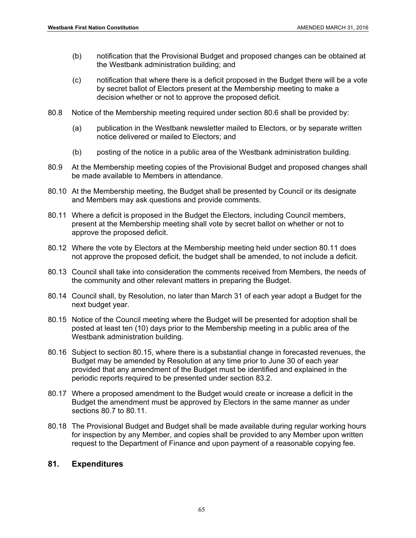- (b) notification that the Provisional Budget and proposed changes can be obtained at the Westbank administration building; and
- (c) notification that where there is a deficit proposed in the Budget there will be a vote by secret ballot of Electors present at the Membership meeting to make a decision whether or not to approve the proposed deficit.
- 80.8 Notice of the Membership meeting required under section 80.6 shall be provided by:
	- (a) publication in the Westbank newsletter mailed to Electors, or by separate written notice delivered or mailed to Electors; and
	- (b) posting of the notice in a public area of the Westbank administration building.
- 80.9 At the Membership meeting copies of the Provisional Budget and proposed changes shall be made available to Members in attendance.
- 80.10 At the Membership meeting, the Budget shall be presented by Council or its designate and Members may ask questions and provide comments.
- 80.11 Where a deficit is proposed in the Budget the Electors, including Council members, present at the Membership meeting shall vote by secret ballot on whether or not to approve the proposed deficit.
- 80.12 Where the vote by Electors at the Membership meeting held under section 80.11 does not approve the proposed deficit, the budget shall be amended, to not include a deficit.
- 80.13 Council shall take into consideration the comments received from Members, the needs of the community and other relevant matters in preparing the Budget.
- 80.14 Council shall, by Resolution, no later than March 31 of each year adopt a Budget for the next budget year.
- 80.15 Notice of the Council meeting where the Budget will be presented for adoption shall be posted at least ten (10) days prior to the Membership meeting in a public area of the Westbank administration building.
- 80.16 Subject to section 80.15, where there is a substantial change in forecasted revenues, the Budget may be amended by Resolution at any time prior to June 30 of each year provided that any amendment of the Budget must be identified and explained in the periodic reports required to be presented under section 83.2.
- 80.17 Where a proposed amendment to the Budget would create or increase a deficit in the Budget the amendment must be approved by Electors in the same manner as under sections 80.7 to 80.11.
- 80.18 The Provisional Budget and Budget shall be made available during regular working hours for inspection by any Member, and copies shall be provided to any Member upon written request to the Department of Finance and upon payment of a reasonable copying fee.

## **81. Expenditures**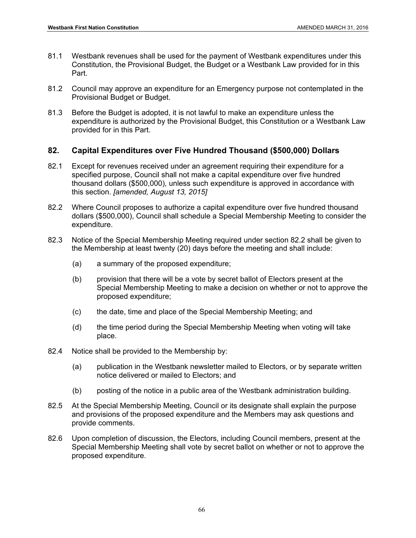- 81.1 Westbank revenues shall be used for the payment of Westbank expenditures under this Constitution, the Provisional Budget, the Budget or a Westbank Law provided for in this Part.
- 81.2 Council may approve an expenditure for an Emergency purpose not contemplated in the Provisional Budget or Budget.
- 81.3 Before the Budget is adopted, it is not lawful to make an expenditure unless the expenditure is authorized by the Provisional Budget, this Constitution or a Westbank Law provided for in this Part.

# **82. Capital Expenditures over Five Hundred Thousand (\$500,000) Dollars**

- 82.1 Except for revenues received under an agreement requiring their expenditure for a specified purpose, Council shall not make a capital expenditure over five hundred thousand dollars (\$500,000), unless such expenditure is approved in accordance with this section. *[amended, August 13, 2015]*
- 82.2 Where Council proposes to authorize a capital expenditure over five hundred thousand dollars (\$500,000), Council shall schedule a Special Membership Meeting to consider the expenditure.
- 82.3 Notice of the Special Membership Meeting required under section 82.2 shall be given to the Membership at least twenty (20) days before the meeting and shall include:
	- (a) a summary of the proposed expenditure;
	- (b) provision that there will be a vote by secret ballot of Electors present at the Special Membership Meeting to make a decision on whether or not to approve the proposed expenditure;
	- (c) the date, time and place of the Special Membership Meeting; and
	- (d) the time period during the Special Membership Meeting when voting will take place.
- 82.4 Notice shall be provided to the Membership by:
	- (a) publication in the Westbank newsletter mailed to Electors, or by separate written notice delivered or mailed to Electors; and
	- (b) posting of the notice in a public area of the Westbank administration building.
- 82.5 At the Special Membership Meeting, Council or its designate shall explain the purpose and provisions of the proposed expenditure and the Members may ask questions and provide comments.
- 82.6 Upon completion of discussion, the Electors, including Council members, present at the Special Membership Meeting shall vote by secret ballot on whether or not to approve the proposed expenditure.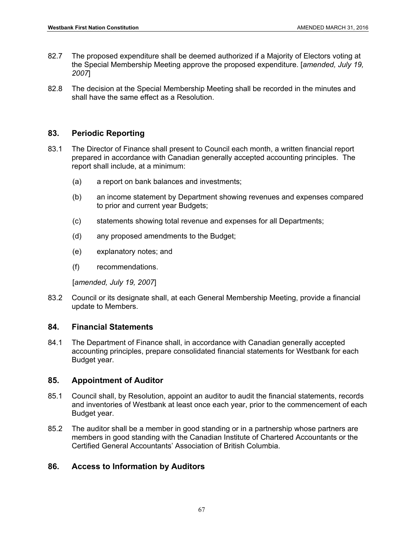- 82.7 The proposed expenditure shall be deemed authorized if a Majority of Electors voting at the Special Membership Meeting approve the proposed expenditure. [*amended, July 19, 2007*]
- 82.8 The decision at the Special Membership Meeting shall be recorded in the minutes and shall have the same effect as a Resolution.

# **83. Periodic Reporting**

- 83.1 The Director of Finance shall present to Council each month, a written financial report prepared in accordance with Canadian generally accepted accounting principles. The report shall include, at a minimum:
	- (a) a report on bank balances and investments;
	- (b) an income statement by Department showing revenues and expenses compared to prior and current year Budgets;
	- (c) statements showing total revenue and expenses for all Departments;
	- (d) any proposed amendments to the Budget;
	- (e) explanatory notes; and
	- (f) recommendations.

[*amended, July 19, 2007*]

83.2 Council or its designate shall, at each General Membership Meeting, provide a financial update to Members.

# **84. Financial Statements**

84.1 The Department of Finance shall, in accordance with Canadian generally accepted accounting principles, prepare consolidated financial statements for Westbank for each Budget year.

# **85. Appointment of Auditor**

- 85.1 Council shall, by Resolution, appoint an auditor to audit the financial statements, records and inventories of Westbank at least once each year, prior to the commencement of each Budget year.
- 85.2 The auditor shall be a member in good standing or in a partnership whose partners are members in good standing with the Canadian Institute of Chartered Accountants or the Certified General Accountants' Association of British Columbia.

# **86. Access to Information by Auditors**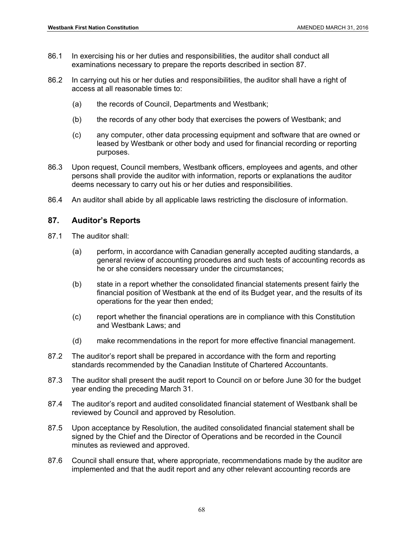- 86.1 In exercising his or her duties and responsibilities, the auditor shall conduct all examinations necessary to prepare the reports described in section 87.
- 86.2 In carrying out his or her duties and responsibilities, the auditor shall have a right of access at all reasonable times to:
	- (a) the records of Council, Departments and Westbank;
	- (b) the records of any other body that exercises the powers of Westbank; and
	- (c) any computer, other data processing equipment and software that are owned or leased by Westbank or other body and used for financial recording or reporting purposes.
- 86.3 Upon request, Council members, Westbank officers, employees and agents, and other persons shall provide the auditor with information, reports or explanations the auditor deems necessary to carry out his or her duties and responsibilities.
- 86.4 An auditor shall abide by all applicable laws restricting the disclosure of information.

### **87. Auditor's Reports**

- 87.1 The auditor shall:
	- (a) perform, in accordance with Canadian generally accepted auditing standards, a general review of accounting procedures and such tests of accounting records as he or she considers necessary under the circumstances;
	- (b) state in a report whether the consolidated financial statements present fairly the financial position of Westbank at the end of its Budget year, and the results of its operations for the year then ended;
	- (c) report whether the financial operations are in compliance with this Constitution and Westbank Laws; and
	- (d) make recommendations in the report for more effective financial management.
- 87.2 The auditor's report shall be prepared in accordance with the form and reporting standards recommended by the Canadian Institute of Chartered Accountants.
- 87.3 The auditor shall present the audit report to Council on or before June 30 for the budget year ending the preceding March 31.
- 87.4 The auditor's report and audited consolidated financial statement of Westbank shall be reviewed by Council and approved by Resolution.
- 87.5 Upon acceptance by Resolution, the audited consolidated financial statement shall be signed by the Chief and the Director of Operations and be recorded in the Council minutes as reviewed and approved.
- 87.6 Council shall ensure that, where appropriate, recommendations made by the auditor are implemented and that the audit report and any other relevant accounting records are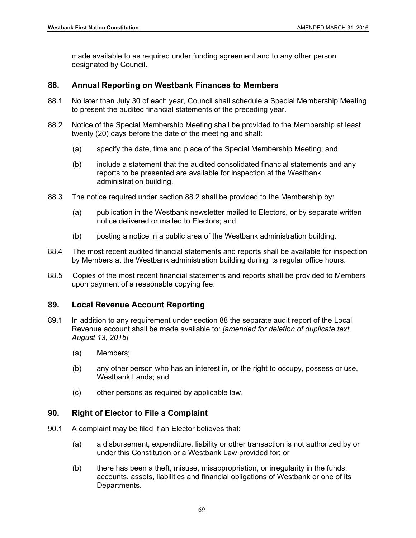made available to as required under funding agreement and to any other person designated by Council.

# **88. Annual Reporting on Westbank Finances to Members**

- 88.1 No later than July 30 of each year, Council shall schedule a Special Membership Meeting to present the audited financial statements of the preceding year.
- 88.2 Notice of the Special Membership Meeting shall be provided to the Membership at least twenty (20) days before the date of the meeting and shall:
	- (a) specify the date, time and place of the Special Membership Meeting; and
	- (b) include a statement that the audited consolidated financial statements and any reports to be presented are available for inspection at the Westbank administration building.
- 88.3 The notice required under section 88.2 shall be provided to the Membership by:
	- (a) publication in the Westbank newsletter mailed to Electors, or by separate written notice delivered or mailed to Electors; and
	- (b) posting a notice in a public area of the Westbank administration building.
- 88.4 The most recent audited financial statements and reports shall be available for inspection by Members at the Westbank administration building during its regular office hours.
- 88.5 Copies of the most recent financial statements and reports shall be provided to Members upon payment of a reasonable copying fee.

# **89. Local Revenue Account Reporting**

- 89.1 In addition to any requirement under section 88 the separate audit report of the Local Revenue account shall be made available to: *[amended for deletion of duplicate text, August 13, 2015]*
	- (a) Members;
	- (b) any other person who has an interest in, or the right to occupy, possess or use, Westbank Lands; and
	- (c) other persons as required by applicable law.

# **90. Right of Elector to File a Complaint**

- 90.1 A complaint may be filed if an Elector believes that:
	- (a) a disbursement, expenditure, liability or other transaction is not authorized by or under this Constitution or a Westbank Law provided for; or
	- (b) there has been a theft, misuse, misappropriation, or irregularity in the funds, accounts, assets, liabilities and financial obligations of Westbank or one of its Departments.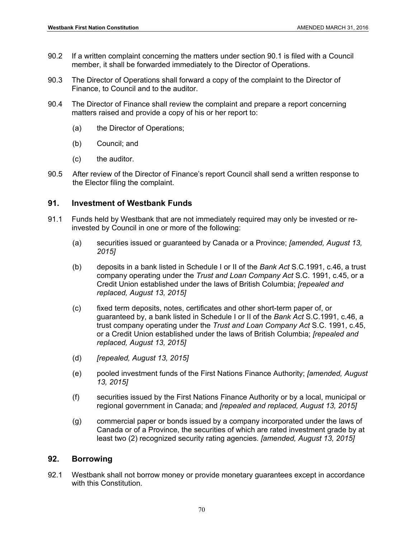- 90.2 If a written complaint concerning the matters under section 90.1 is filed with a Council member, it shall be forwarded immediately to the Director of Operations.
- 90.3 The Director of Operations shall forward a copy of the complaint to the Director of Finance, to Council and to the auditor.
- 90.4 The Director of Finance shall review the complaint and prepare a report concerning matters raised and provide a copy of his or her report to:
	- (a) the Director of Operations;
	- (b) Council; and
	- (c) the auditor.
- 90.5 After review of the Director of Finance's report Council shall send a written response to the Elector filing the complaint.

# **91. Investment of Westbank Funds**

- 91.1 Funds held by Westbank that are not immediately required may only be invested or reinvested by Council in one or more of the following:
	- (a) securities issued or guaranteed by Canada or a Province; *[amended, August 13, 2015]*
	- (b) deposits in a bank listed in Schedule I or II of the *Bank Act* S.C.1991, c.46, a trust company operating under the *Trust and Loan Company Act* S.C. 1991, c.45, or a Credit Union established under the laws of British Columbia; *[repealed and replaced, August 13, 2015]*
	- (c) fixed term deposits, notes, certificates and other short-term paper of, or guaranteed by, a bank listed in Schedule I or II of the *Bank Act* S.C.1991, c.46, a trust company operating under the *Trust and Loan Company Act* S.C. 1991, c.45, or a Credit Union established under the laws of British Columbia; *[repealed and replaced, August 13, 2015]*
	- (d) *[repealed, August 13, 2015]*
	- (e) pooled investment funds of the First Nations Finance Authority; *[amended, August 13, 2015]*
	- (f) securities issued by the First Nations Finance Authority or by a local, municipal or regional government in Canada; and *[repealed and replaced, August 13, 2015]*
	- (g) commercial paper or bonds issued by a company incorporated under the laws of Canada or of a Province, the securities of which are rated investment grade by at least two (2) recognized security rating agencies. *[amended, August 13, 2015]*

# **92. Borrowing**

92.1 Westbank shall not borrow money or provide monetary guarantees except in accordance with this Constitution.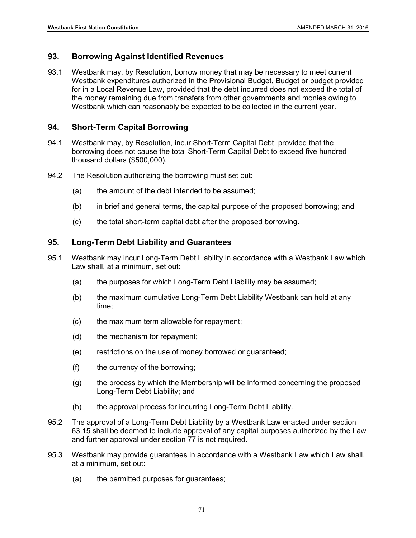### **93. Borrowing Against Identified Revenues**

93.1 Westbank may, by Resolution, borrow money that may be necessary to meet current Westbank expenditures authorized in the Provisional Budget, Budget or budget provided for in a Local Revenue Law, provided that the debt incurred does not exceed the total of the money remaining due from transfers from other governments and monies owing to Westbank which can reasonably be expected to be collected in the current year.

### **94. Short-Term Capital Borrowing**

- 94.1 Westbank may, by Resolution, incur Short-Term Capital Debt, provided that the borrowing does not cause the total Short-Term Capital Debt to exceed five hundred thousand dollars (\$500,000).
- 94.2 The Resolution authorizing the borrowing must set out:
	- (a) the amount of the debt intended to be assumed;
	- (b) in brief and general terms, the capital purpose of the proposed borrowing; and
	- (c) the total short-term capital debt after the proposed borrowing.

#### **95. Long-Term Debt Liability and Guarantees**

- 95.1 Westbank may incur Long-Term Debt Liability in accordance with a Westbank Law which Law shall, at a minimum, set out:
	- (a) the purposes for which Long-Term Debt Liability may be assumed;
	- (b) the maximum cumulative Long-Term Debt Liability Westbank can hold at any time;
	- (c) the maximum term allowable for repayment;
	- (d) the mechanism for repayment;
	- (e) restrictions on the use of money borrowed or guaranteed;
	- (f) the currency of the borrowing;
	- (g) the process by which the Membership will be informed concerning the proposed Long-Term Debt Liability; and
	- (h) the approval process for incurring Long-Term Debt Liability.
- 95.2 The approval of a Long-Term Debt Liability by a Westbank Law enacted under section 63.15 shall be deemed to include approval of any capital purposes authorized by the Law and further approval under section 77 is not required.
- 95.3 Westbank may provide guarantees in accordance with a Westbank Law which Law shall, at a minimum, set out:
	- (a) the permitted purposes for guarantees;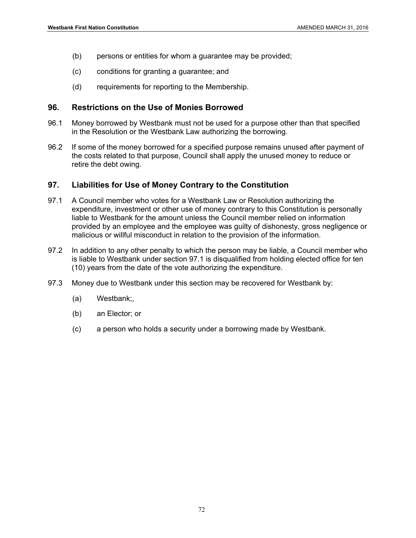- (b) persons or entities for whom a guarantee may be provided;
- (c) conditions for granting a guarantee; and
- (d) requirements for reporting to the Membership.

#### **96. Restrictions on the Use of Monies Borrowed**

- 96.1 Money borrowed by Westbank must not be used for a purpose other than that specified in the Resolution or the Westbank Law authorizing the borrowing.
- 96.2 If some of the money borrowed for a specified purpose remains unused after payment of the costs related to that purpose, Council shall apply the unused money to reduce or retire the debt owing.

### **97. Liabilities for Use of Money Contrary to the Constitution**

- 97.1 A Council member who votes for a Westbank Law or Resolution authorizing the expenditure, investment or other use of money contrary to this Constitution is personally liable to Westbank for the amount unless the Council member relied on information provided by an employee and the employee was guilty of dishonesty, gross negligence or malicious or willful misconduct in relation to the provision of the information.
- 97.2 In addition to any other penalty to which the person may be liable, a Council member who is liable to Westbank under section 97.1 is disqualified from holding elected office for ten (10) years from the date of the vote authorizing the expenditure.
- 97.3 Money due to Westbank under this section may be recovered for Westbank by:
	- (a) Westbank;,
	- (b) an Elector; or
	- (c) a person who holds a security under a borrowing made by Westbank.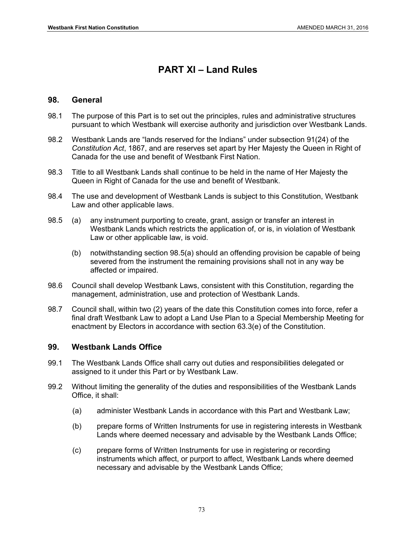# **PART XI – Land Rules**

#### **98. General**

- 98.1 The purpose of this Part is to set out the principles, rules and administrative structures pursuant to which Westbank will exercise authority and jurisdiction over Westbank Lands.
- 98.2 Westbank Lands are "lands reserved for the Indians" under subsection 91(24) of the *Constitution Act*, 1867, and are reserves set apart by Her Majesty the Queen in Right of Canada for the use and benefit of Westbank First Nation.
- 98.3 Title to all Westbank Lands shall continue to be held in the name of Her Majesty the Queen in Right of Canada for the use and benefit of Westbank.
- 98.4 The use and development of Westbank Lands is subject to this Constitution, Westbank Law and other applicable laws.
- 98.5 (a) any instrument purporting to create, grant, assign or transfer an interest in Westbank Lands which restricts the application of, or is, in violation of Westbank Law or other applicable law, is void.
	- (b) notwithstanding section 98.5(a) should an offending provision be capable of being severed from the instrument the remaining provisions shall not in any way be affected or impaired.
- 98.6 Council shall develop Westbank Laws, consistent with this Constitution, regarding the management, administration, use and protection of Westbank Lands.
- 98.7 Council shall, within two (2) years of the date this Constitution comes into force, refer a final draft Westbank Law to adopt a Land Use Plan to a Special Membership Meeting for enactment by Electors in accordance with section 63.3(e) of the Constitution.

## **99. Westbank Lands Office**

- 99.1 The Westbank Lands Office shall carry out duties and responsibilities delegated or assigned to it under this Part or by Westbank Law.
- 99.2 Without limiting the generality of the duties and responsibilities of the Westbank Lands Office, it shall:
	- (a) administer Westbank Lands in accordance with this Part and Westbank Law;
	- (b) prepare forms of Written Instruments for use in registering interests in Westbank Lands where deemed necessary and advisable by the Westbank Lands Office;
	- (c) prepare forms of Written Instruments for use in registering or recording instruments which affect, or purport to affect, Westbank Lands where deemed necessary and advisable by the Westbank Lands Office;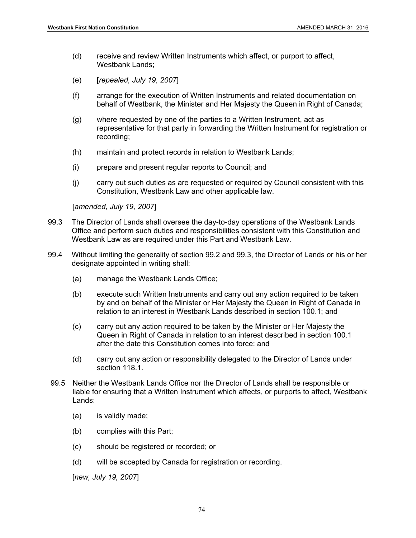- (d) receive and review Written Instruments which affect, or purport to affect, Westbank Lands;
- (e) [*repealed, July 19, 2007*]
- (f) arrange for the execution of Written Instruments and related documentation on behalf of Westbank, the Minister and Her Majesty the Queen in Right of Canada;
- (g) where requested by one of the parties to a Written Instrument, act as representative for that party in forwarding the Written Instrument for registration or recording;
- (h) maintain and protect records in relation to Westbank Lands;
- (i) prepare and present regular reports to Council; and
- (j) carry out such duties as are requested or required by Council consistent with this Constitution, Westbank Law and other applicable law.

[*amended, July 19, 2007*]

- 99.3 The Director of Lands shall oversee the day-to-day operations of the Westbank Lands Office and perform such duties and responsibilities consistent with this Constitution and Westbank Law as are required under this Part and Westbank Law.
- 99.4 Without limiting the generality of section 99.2 and 99.3, the Director of Lands or his or her designate appointed in writing shall:
	- (a) manage the Westbank Lands Office;
	- (b) execute such Written Instruments and carry out any action required to be taken by and on behalf of the Minister or Her Majesty the Queen in Right of Canada in relation to an interest in Westbank Lands described in section 100.1; and
	- (c) carry out any action required to be taken by the Minister or Her Majesty the Queen in Right of Canada in relation to an interest described in section 100.1 after the date this Constitution comes into force; and
	- (d) carry out any action or responsibility delegated to the Director of Lands under section 118.1.
- 99.5 Neither the Westbank Lands Office nor the Director of Lands shall be responsible or liable for ensuring that a Written Instrument which affects, or purports to affect, Westbank Lands:
	- (a) is validly made;
	- (b) complies with this Part;
	- (c) should be registered or recorded; or
	- (d) will be accepted by Canada for registration or recording.

[*new, July 19, 2007*]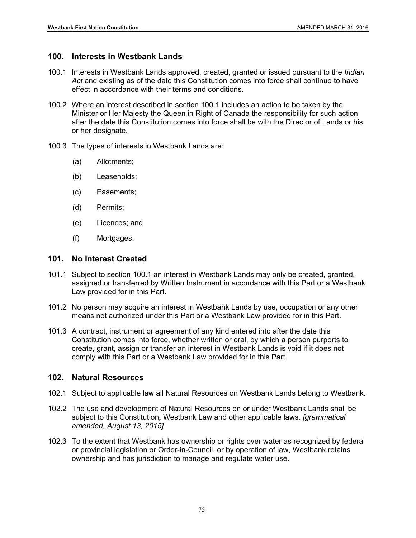# **100. Interests in Westbank Lands**

- 100.1 Interests in Westbank Lands approved, created, granted or issued pursuant to the *Indian Act* and existing as of the date this Constitution comes into force shall continue to have effect in accordance with their terms and conditions.
- 100.2 Where an interest described in section 100.1 includes an action to be taken by the Minister or Her Majesty the Queen in Right of Canada the responsibility for such action after the date this Constitution comes into force shall be with the Director of Lands or his or her designate.
- 100.3 The types of interests in Westbank Lands are:
	- (a) Allotments;
	- (b) Leaseholds;
	- (c) Easements;
	- (d) Permits;
	- (e) Licences; and
	- (f) Mortgages.

# **101. No Interest Created**

- 101.1 Subject to section 100.1 an interest in Westbank Lands may only be created, granted, assigned or transferred by Written Instrument in accordance with this Part or a Westbank Law provided for in this Part.
- 101.2 No person may acquire an interest in Westbank Lands by use, occupation or any other means not authorized under this Part or a Westbank Law provided for in this Part.
- 101.3 A contract, instrument or agreement of any kind entered into after the date this Constitution comes into force, whether written or oral, by which a person purports to create**,** grant, assign or transfer an interest in Westbank Lands is void if it does not comply with this Part or a Westbank Law provided for in this Part.

# **102. Natural Resources**

- 102.1 Subject to applicable law all Natural Resources on Westbank Lands belong to Westbank.
- 102.2 The use and development of Natural Resources on or under Westbank Lands shall be subject to this Constitution**,** Westbank Law and other applicable laws. *[grammatical amended, August 13, 2015]*
- 102.3 To the extent that Westbank has ownership or rights over water as recognized by federal or provincial legislation or Order-in-Council, or by operation of law, Westbank retains ownership and has jurisdiction to manage and regulate water use.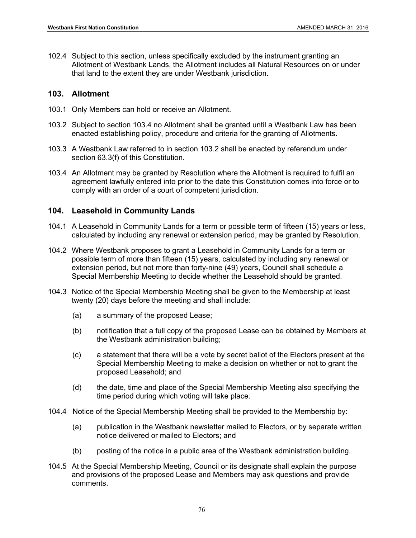102.4 Subject to this section, unless specifically excluded by the instrument granting an Allotment of Westbank Lands, the Allotment includes all Natural Resources on or under that land to the extent they are under Westbank jurisdiction.

#### **103. Allotment**

- 103.1 Only Members can hold or receive an Allotment.
- 103.2 Subject to section 103.4 no Allotment shall be granted until a Westbank Law has been enacted establishing policy, procedure and criteria for the granting of Allotments.
- 103.3 A Westbank Law referred to in section 103.2 shall be enacted by referendum under section 63.3(f) of this Constitution.
- 103.4 An Allotment may be granted by Resolution where the Allotment is required to fulfil an agreement lawfully entered into prior to the date this Constitution comes into force or to comply with an order of a court of competent jurisdiction.

#### **104. Leasehold in Community Lands**

- 104.1 A Leasehold in Community Lands for a term or possible term of fifteen (15) years or less, calculated by including any renewal or extension period, may be granted by Resolution.
- 104.2 Where Westbank proposes to grant a Leasehold in Community Lands for a term or possible term of more than fifteen (15) years, calculated by including any renewal or extension period, but not more than forty-nine (49) years, Council shall schedule a Special Membership Meeting to decide whether the Leasehold should be granted.
- 104.3 Notice of the Special Membership Meeting shall be given to the Membership at least twenty (20) days before the meeting and shall include:
	- (a) a summary of the proposed Lease;
	- (b) notification that a full copy of the proposed Lease can be obtained by Members at the Westbank administration building;
	- (c) a statement that there will be a vote by secret ballot of the Electors present at the Special Membership Meeting to make a decision on whether or not to grant the proposed Leasehold; and
	- (d) the date, time and place of the Special Membership Meeting also specifying the time period during which voting will take place.
- 104.4 Notice of the Special Membership Meeting shall be provided to the Membership by:
	- (a) publication in the Westbank newsletter mailed to Electors, or by separate written notice delivered or mailed to Electors; and
	- (b) posting of the notice in a public area of the Westbank administration building.
- 104.5 At the Special Membership Meeting, Council or its designate shall explain the purpose and provisions of the proposed Lease and Members may ask questions and provide comments.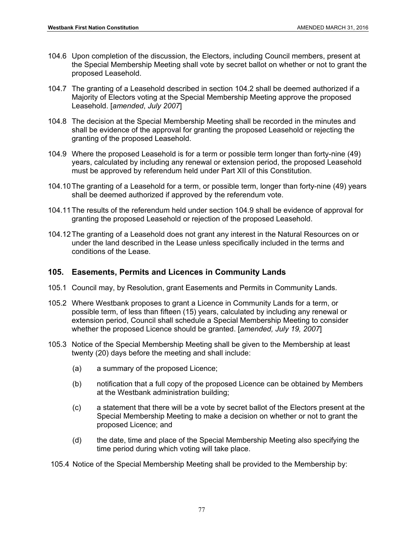- 104.6 Upon completion of the discussion, the Electors, including Council members, present at the Special Membership Meeting shall vote by secret ballot on whether or not to grant the proposed Leasehold.
- 104.7 The granting of a Leasehold described in section 104.2 shall be deemed authorized if a Majority of Electors voting at the Special Membership Meeting approve the proposed Leasehold. [*amended*, *July 2007*]
- 104.8 The decision at the Special Membership Meeting shall be recorded in the minutes and shall be evidence of the approval for granting the proposed Leasehold or rejecting the granting of the proposed Leasehold.
- 104.9 Where the proposed Leasehold is for a term or possible term longer than forty-nine (49) years, calculated by including any renewal or extension period, the proposed Leasehold must be approved by referendum held under Part XII of this Constitution.
- 104.10 The granting of a Leasehold for a term, or possible term, longer than forty-nine (49) years shall be deemed authorized if approved by the referendum vote.
- 104.11 The results of the referendum held under section 104.9 shall be evidence of approval for granting the proposed Leasehold or rejection of the proposed Leasehold.
- 104.12 The granting of a Leasehold does not grant any interest in the Natural Resources on or under the land described in the Lease unless specifically included in the terms and conditions of the Lease.

# **105. Easements, Permits and Licences in Community Lands**

- 105.1 Council may, by Resolution, grant Easements and Permits in Community Lands.
- 105.2 Where Westbank proposes to grant a Licence in Community Lands for a term, or possible term, of less than fifteen (15) years, calculated by including any renewal or extension period, Council shall schedule a Special Membership Meeting to consider whether the proposed Licence should be granted. [*amended, July 19, 2007*]
- 105.3 Notice of the Special Membership Meeting shall be given to the Membership at least twenty (20) days before the meeting and shall include:
	- (a) a summary of the proposed Licence;
	- (b) notification that a full copy of the proposed Licence can be obtained by Members at the Westbank administration building;
	- (c) a statement that there will be a vote by secret ballot of the Electors present at the Special Membership Meeting to make a decision on whether or not to grant the proposed Licence; and
	- (d) the date, time and place of the Special Membership Meeting also specifying the time period during which voting will take place.

105.4 Notice of the Special Membership Meeting shall be provided to the Membership by: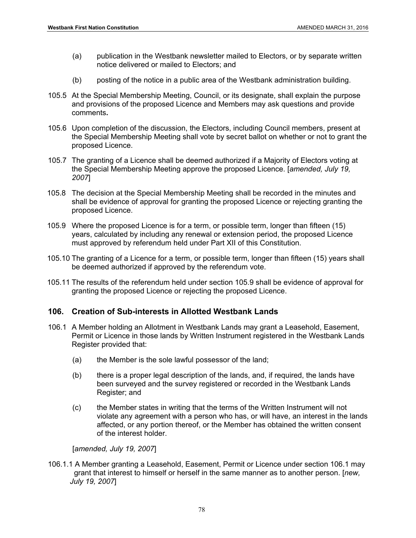- (a) publication in the Westbank newsletter mailed to Electors, or by separate written notice delivered or mailed to Electors; and
- (b) posting of the notice in a public area of the Westbank administration building.
- 105.5 At the Special Membership Meeting, Council, or its designate, shall explain the purpose and provisions of the proposed Licence and Members may ask questions and provide comments**.**
- 105.6 Upon completion of the discussion, the Electors, including Council members, present at the Special Membership Meeting shall vote by secret ballot on whether or not to grant the proposed Licence.
- 105.7 The granting of a Licence shall be deemed authorized if a Majority of Electors voting at the Special Membership Meeting approve the proposed Licence. [*amended, July 19, 2007*]
- 105.8 The decision at the Special Membership Meeting shall be recorded in the minutes and shall be evidence of approval for granting the proposed Licence or rejecting granting the proposed Licence.
- 105.9 Where the proposed Licence is for a term, or possible term, longer than fifteen (15) years, calculated by including any renewal or extension period, the proposed Licence must approved by referendum held under Part XII of this Constitution.
- 105.10 The granting of a Licence for a term, or possible term, longer than fifteen (15) years shall be deemed authorized if approved by the referendum vote.
- 105.11 The results of the referendum held under section 105.9 shall be evidence of approval for granting the proposed Licence or rejecting the proposed Licence.

#### **106. Creation of Sub-interests in Allotted Westbank Lands**

- 106.1 A Member holding an Allotment in Westbank Lands may grant a Leasehold, Easement, Permit or Licence in those lands by Written Instrument registered in the Westbank Lands Register provided that:
	- (a) the Member is the sole lawful possessor of the land;
	- (b) there is a proper legal description of the lands, and, if required, the lands have been surveyed and the survey registered or recorded in the Westbank Lands Register; and
	- (c) the Member states in writing that the terms of the Written Instrument will not violate any agreement with a person who has, or will have, an interest in the lands affected, or any portion thereof, or the Member has obtained the written consent of the interest holder.

[*amended, July 19, 2007*]

106.1.1 A Member granting a Leasehold, Easement, Permit or Licence under section 106.1 may grant that interest to himself or herself in the same manner as to another person. [*new, July 19, 2007*]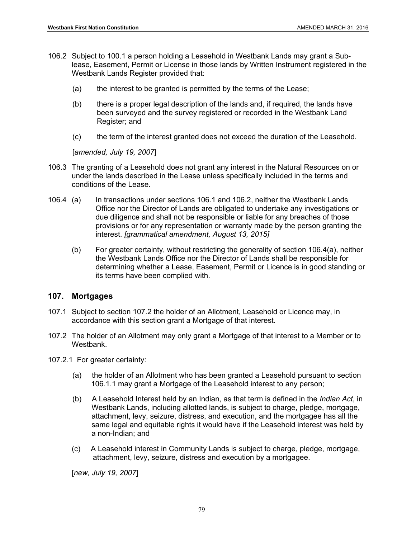- 106.2 Subject to 100.1 a person holding a Leasehold in Westbank Lands may grant a Sublease, Easement, Permit or License in those lands by Written Instrument registered in the Westbank Lands Register provided that:
	- (a) the interest to be granted is permitted by the terms of the Lease;
	- (b) there is a proper legal description of the lands and, if required, the lands have been surveyed and the survey registered or recorded in the Westbank Land Register; and
	- (c) the term of the interest granted does not exceed the duration of the Leasehold.

[*amended, July 19, 2007*]

- 106.3 The granting of a Leasehold does not grant any interest in the Natural Resources on or under the lands described in the Lease unless specifically included in the terms and conditions of the Lease.
- 106.4 (a) In transactions under sections 106.1 and 106.2, neither the Westbank Lands Office nor the Director of Lands are obligated to undertake any investigations or due diligence and shall not be responsible or liable for any breaches of those provisions or for any representation or warranty made by the person granting the interest. *[grammatical amendment, August 13, 2015]*
	- (b) For greater certainty, without restricting the generality of section 106.4(a), neither the Westbank Lands Office nor the Director of Lands shall be responsible for determining whether a Lease, Easement, Permit or Licence is in good standing or its terms have been complied with.

#### **107. Mortgages**

- 107.1 Subject to section 107.2 the holder of an Allotment, Leasehold or Licence may, in accordance with this section grant a Mortgage of that interest.
- 107.2 The holder of an Allotment may only grant a Mortgage of that interest to a Member or to Westbank.
- 107.2.1 For greater certainty:
	- (a) the holder of an Allotment who has been granted a Leasehold pursuant to section 106.1.1 may grant a Mortgage of the Leasehold interest to any person;
	- (b) A Leasehold Interest held by an Indian, as that term is defined in the *Indian Act*, in Westbank Lands, including allotted lands, is subject to charge, pledge, mortgage, attachment, levy, seizure, distress, and execution, and the mortgagee has all the same legal and equitable rights it would have if the Leasehold interest was held by a non-Indian; and
	- (c) A Leasehold interest in Community Lands is subject to charge, pledge, mortgage, attachment, levy, seizure, distress and execution by a mortgagee.

[*new, July 19, 2007*]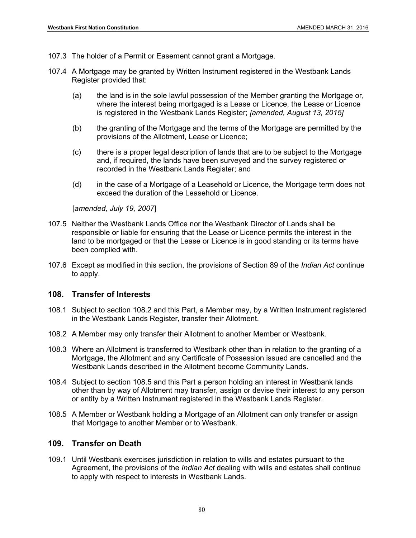- 107.3 The holder of a Permit or Easement cannot grant a Mortgage.
- 107.4 A Mortgage may be granted by Written Instrument registered in the Westbank Lands Register provided that:
	- (a) the land is in the sole lawful possession of the Member granting the Mortgage or, where the interest being mortgaged is a Lease or Licence, the Lease or Licence is registered in the Westbank Lands Register; *[amended, August 13, 2015]*
	- (b) the granting of the Mortgage and the terms of the Mortgage are permitted by the provisions of the Allotment, Lease or Licence;
	- (c) there is a proper legal description of lands that are to be subject to the Mortgage and, if required, the lands have been surveyed and the survey registered or recorded in the Westbank Lands Register; and
	- (d) in the case of a Mortgage of a Leasehold or Licence, the Mortgage term does not exceed the duration of the Leasehold or Licence.

[*amended, July 19, 2007*]

- 107.5 Neither the Westbank Lands Office nor the Westbank Director of Lands shall be responsible or liable for ensuring that the Lease or Licence permits the interest in the land to be mortgaged or that the Lease or Licence is in good standing or its terms have been complied with.
- 107.6 Except as modified in this section, the provisions of Section 89 of the *Indian Act* continue to apply.

#### **108. Transfer of Interests**

- 108.1 Subject to section 108.2 and this Part, a Member may, by a Written Instrument registered in the Westbank Lands Register, transfer their Allotment.
- 108.2 A Member may only transfer their Allotment to another Member or Westbank.
- 108.3 Where an Allotment is transferred to Westbank other than in relation to the granting of a Mortgage, the Allotment and any Certificate of Possession issued are cancelled and the Westbank Lands described in the Allotment become Community Lands.
- 108.4 Subject to section 108.5 and this Part a person holding an interest in Westbank lands other than by way of Allotment may transfer, assign or devise their interest to any person or entity by a Written Instrument registered in the Westbank Lands Register.
- 108.5 A Member or Westbank holding a Mortgage of an Allotment can only transfer or assign that Mortgage to another Member or to Westbank.

#### **109. Transfer on Death**

109.1 Until Westbank exercises jurisdiction in relation to wills and estates pursuant to the Agreement, the provisions of the *Indian Act* dealing with wills and estates shall continue to apply with respect to interests in Westbank Lands.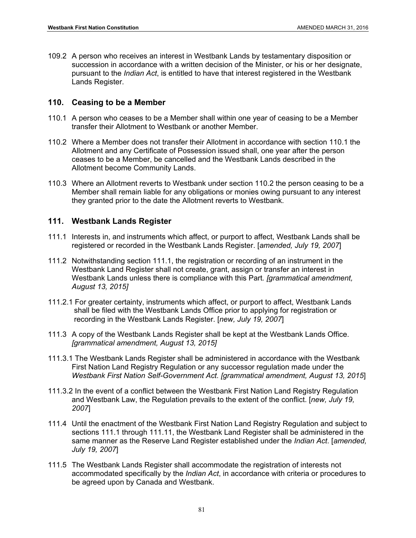109.2 A person who receives an interest in Westbank Lands by testamentary disposition or succession in accordance with a written decision of the Minister, or his or her designate, pursuant to the *Indian Act*, is entitled to have that interest registered in the Westbank Lands Register.

#### **110. Ceasing to be a Member**

- 110.1 A person who ceases to be a Member shall within one year of ceasing to be a Member transfer their Allotment to Westbank or another Member.
- 110.2 Where a Member does not transfer their Allotment in accordance with section 110.1 the Allotment and any Certificate of Possession issued shall, one year after the person ceases to be a Member, be cancelled and the Westbank Lands described in the Allotment become Community Lands.
- 110.3 Where an Allotment reverts to Westbank under section 110.2 the person ceasing to be a Member shall remain liable for any obligations or monies owing pursuant to any interest they granted prior to the date the Allotment reverts to Westbank.

#### **111. Westbank Lands Register**

- 111.1 Interests in, and instruments which affect, or purport to affect, Westbank Lands shall be registered or recorded in the Westbank Lands Register. [*amended, July 19, 2007*]
- 111.2 Notwithstanding section 111.1, the registration or recording of an instrument in the Westbank Land Register shall not create, grant, assign or transfer an interest in Westbank Lands unless there is compliance with this Part*. [grammatical amendment, August 13, 2015]*
- 111.2.1 For greater certainty, instruments which affect, or purport to affect, Westbank Lands shall be filed with the Westbank Lands Office prior to applying for registration or recording in the Westbank Lands Register. [*new, July 19, 2007*]
- 111.3 A copy of the Westbank Lands Register shall be kept at the Westbank Lands Office. *[grammatical amendment, August 13, 2015]*
- 111.3.1 The Westbank Lands Register shall be administered in accordance with the Westbank First Nation Land Registry Regulation or any successor regulation made under the *Westbank First Nation Self-Government Act. [grammatical amendment, August 13, 2015*]
- 111.3.2 In the event of a conflict between the Westbank First Nation Land Registry Regulation and Westbank Law, the Regulation prevails to the extent of the conflict. [*new, July 19, 2007*]
- 111.4 Until the enactment of the Westbank First Nation Land Registry Regulation and subject to sections 111.1 through 111.11, the Westbank Land Register shall be administered in the same manner as the Reserve Land Register established under the *Indian Act*. [*amended, July 19, 2007*]
- 111.5 The Westbank Lands Register shall accommodate the registration of interests not accommodated specifically by the *Indian Act*, in accordance with criteria or procedures to be agreed upon by Canada and Westbank.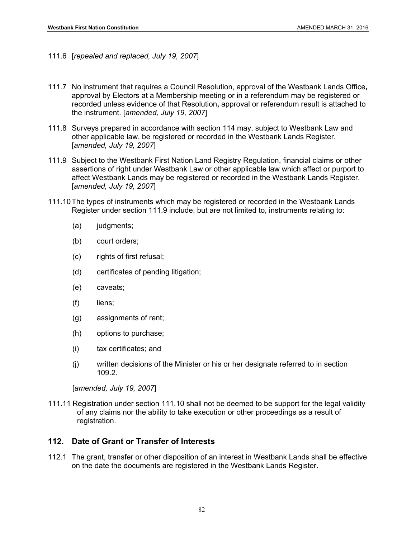- 111.6 [*repealed and replaced, July 19, 2007*]
- 111.7 No instrument that requires a Council Resolution, approval of the Westbank Lands Office**,**  approval by Electors at a Membership meeting or in a referendum may be registered or recorded unless evidence of that Resolution**,** approval or referendum result is attached to the instrument. [*amended, July 19, 2007*]
- 111.8 Surveys prepared in accordance with section 114 may, subject to Westbank Law and other applicable law, be registered or recorded in the Westbank Lands Register. [*amended, July 19, 2007*]
- 111.9 Subject to the Westbank First Nation Land Registry Regulation, financial claims or other assertions of right under Westbank Law or other applicable law which affect or purport to affect Westbank Lands may be registered or recorded in the Westbank Lands Register. [*amended, July 19, 2007*]
- 111.10 The types of instruments which may be registered or recorded in the Westbank Lands Register under section 111.9 include, but are not limited to, instruments relating to:
	- (a) judgments;
	- (b) court orders;
	- (c) rights of first refusal;
	- (d) certificates of pending litigation;
	- (e) caveats;
	- (f) liens;
	- (g) assignments of rent;
	- (h) options to purchase;
	- (i) tax certificates; and
	- (j) written decisions of the Minister or his or her designate referred to in section 109.2.

[*amended, July 19, 2007*]

111.11 Registration under section 111.10 shall not be deemed to be support for the legal validity of any claims nor the ability to take execution or other proceedings as a result of registration.

# **112. Date of Grant or Transfer of Interests**

112.1 The grant, transfer or other disposition of an interest in Westbank Lands shall be effective on the date the documents are registered in the Westbank Lands Register.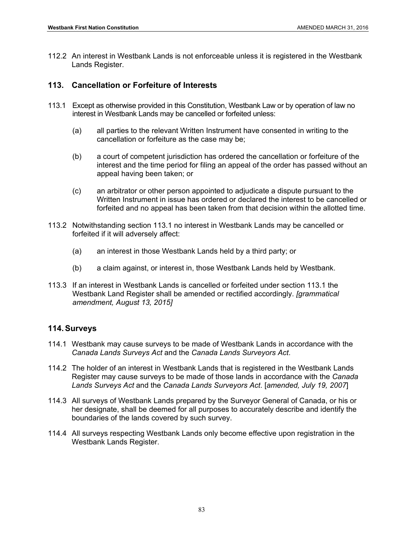112.2 An interest in Westbank Lands is not enforceable unless it is registered in the Westbank Lands Register.

## **113. Cancellation or Forfeiture of Interests**

- 113.1 Except as otherwise provided in this Constitution, Westbank Law or by operation of law no interest in Westbank Lands may be cancelled or forfeited unless:
	- (a) all parties to the relevant Written Instrument have consented in writing to the cancellation or forfeiture as the case may be;
	- (b) a court of competent jurisdiction has ordered the cancellation or forfeiture of the interest and the time period for filing an appeal of the order has passed without an appeal having been taken; or
	- (c) an arbitrator or other person appointed to adjudicate a dispute pursuant to the Written Instrument in issue has ordered or declared the interest to be cancelled or forfeited and no appeal has been taken from that decision within the allotted time.
- 113.2 Notwithstanding section 113.1 no interest in Westbank Lands may be cancelled or forfeited if it will adversely affect:
	- (a) an interest in those Westbank Lands held by a third party; or
	- (b) a claim against, or interest in, those Westbank Lands held by Westbank.
- 113.3 If an interest in Westbank Lands is cancelled or forfeited under section 113.1 the Westbank Land Register shall be amended or rectified accordingly. *[grammatical amendment, August 13, 2015]*

#### **114. Surveys**

- 114.1 Westbank may cause surveys to be made of Westbank Lands in accordance with the *Canada Lands Surveys Act* and the *Canada Lands Surveyors Act*.
- 114.2 The holder of an interest in Westbank Lands that is registered in the Westbank Lands Register may cause surveys to be made of those lands in accordance with the *Canada Lands Surveys Act* and the *Canada Lands Surveyors Act*. [*amended, July 19, 2007*]
- 114.3 All surveys of Westbank Lands prepared by the Surveyor General of Canada, or his or her designate, shall be deemed for all purposes to accurately describe and identify the boundaries of the lands covered by such survey.
- 114.4 All surveys respecting Westbank Lands only become effective upon registration in the Westbank Lands Register.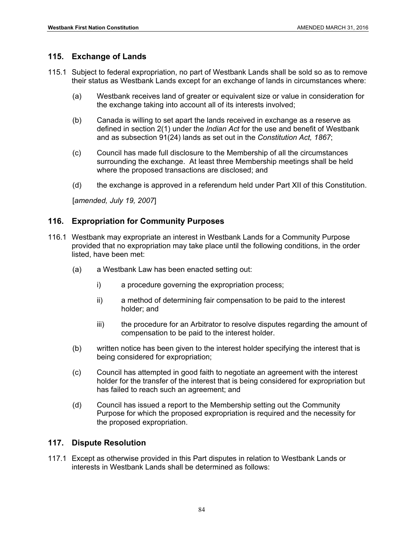# **115. Exchange of Lands**

- 115.1 Subject to federal expropriation, no part of Westbank Lands shall be sold so as to remove their status as Westbank Lands except for an exchange of lands in circumstances where:
	- (a) Westbank receives land of greater or equivalent size or value in consideration for the exchange taking into account all of its interests involved;
	- (b) Canada is willing to set apart the lands received in exchange as a reserve as defined in section 2(1) under the *Indian Act* for the use and benefit of Westbank and as subsection 91(24) lands as set out in the *Constitution Act, 1867*;
	- (c) Council has made full disclosure to the Membership of all the circumstances surrounding the exchange. At least three Membership meetings shall be held where the proposed transactions are disclosed; and
	- (d) the exchange is approved in a referendum held under Part XII of this Constitution.

[*amended, July 19, 2007*]

# **116. Expropriation for Community Purposes**

- 116.1 Westbank may expropriate an interest in Westbank Lands for a Community Purpose provided that no expropriation may take place until the following conditions, in the order listed, have been met:
	- (a) a Westbank Law has been enacted setting out:
		- i) a procedure governing the expropriation process;
		- ii) a method of determining fair compensation to be paid to the interest holder; and
		- iii) the procedure for an Arbitrator to resolve disputes regarding the amount of compensation to be paid to the interest holder.
	- (b) written notice has been given to the interest holder specifying the interest that is being considered for expropriation;
	- (c) Council has attempted in good faith to negotiate an agreement with the interest holder for the transfer of the interest that is being considered for expropriation but has failed to reach such an agreement; and
	- (d) Council has issued a report to the Membership setting out the Community Purpose for which the proposed expropriation is required and the necessity for the proposed expropriation.

## **117. Dispute Resolution**

117.1 Except as otherwise provided in this Part disputes in relation to Westbank Lands or interests in Westbank Lands shall be determined as follows: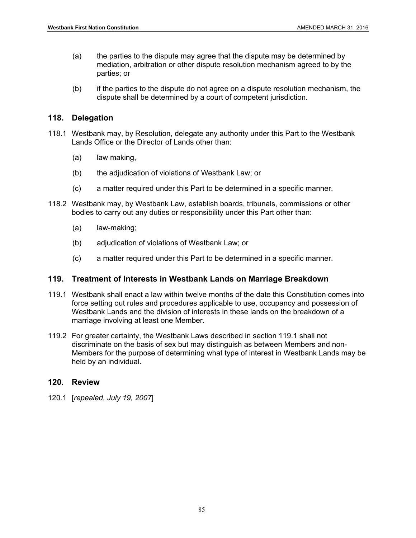- (a) the parties to the dispute may agree that the dispute may be determined by mediation, arbitration or other dispute resolution mechanism agreed to by the parties; or
- (b) if the parties to the dispute do not agree on a dispute resolution mechanism, the dispute shall be determined by a court of competent jurisdiction.

# **118. Delegation**

- 118.1 Westbank may, by Resolution, delegate any authority under this Part to the Westbank Lands Office or the Director of Lands other than:
	- (a) law making,
	- (b) the adjudication of violations of Westbank Law; or
	- (c) a matter required under this Part to be determined in a specific manner.
- 118.2 Westbank may, by Westbank Law, establish boards, tribunals, commissions or other bodies to carry out any duties or responsibility under this Part other than:
	- (a) law-making;
	- (b) adjudication of violations of Westbank Law; or
	- (c) a matter required under this Part to be determined in a specific manner.

## **119. Treatment of Interests in Westbank Lands on Marriage Breakdown**

- 119.1 Westbank shall enact a law within twelve months of the date this Constitution comes into force setting out rules and procedures applicable to use, occupancy and possession of Westbank Lands and the division of interests in these lands on the breakdown of a marriage involving at least one Member.
- 119.2 For greater certainty, the Westbank Laws described in section 119.1 shall not discriminate on the basis of sex but may distinguish as between Members and non-Members for the purpose of determining what type of interest in Westbank Lands may be held by an individual.

## **120. Review**

120.1 [*repealed, July 19, 2007*]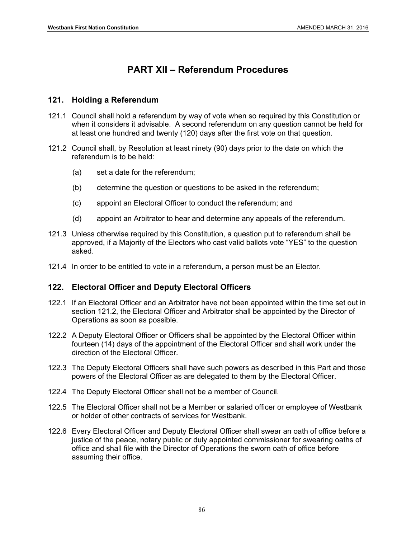# **PART XII – Referendum Procedures**

## **121. Holding a Referendum**

- 121.1 Council shall hold a referendum by way of vote when so required by this Constitution or when it considers it advisable. A second referendum on any question cannot be held for at least one hundred and twenty (120) days after the first vote on that question.
- 121.2 Council shall, by Resolution at least ninety (90) days prior to the date on which the referendum is to be held:
	- (a) set a date for the referendum;
	- (b) determine the question or questions to be asked in the referendum;
	- (c) appoint an Electoral Officer to conduct the referendum; and
	- (d) appoint an Arbitrator to hear and determine any appeals of the referendum.
- 121.3 Unless otherwise required by this Constitution, a question put to referendum shall be approved, if a Majority of the Electors who cast valid ballots vote "YES" to the question asked.
- 121.4 In order to be entitled to vote in a referendum, a person must be an Elector.

# **122. Electoral Officer and Deputy Electoral Officers**

- 122.1 If an Electoral Officer and an Arbitrator have not been appointed within the time set out in section 121.2, the Electoral Officer and Arbitrator shall be appointed by the Director of Operations as soon as possible.
- 122.2 A Deputy Electoral Officer or Officers shall be appointed by the Electoral Officer within fourteen (14) days of the appointment of the Electoral Officer and shall work under the direction of the Electoral Officer.
- 122.3 The Deputy Electoral Officers shall have such powers as described in this Part and those powers of the Electoral Officer as are delegated to them by the Electoral Officer.
- 122.4 The Deputy Electoral Officer shall not be a member of Council.
- 122.5 The Electoral Officer shall not be a Member or salaried officer or employee of Westbank or holder of other contracts of services for Westbank.
- 122.6 Every Electoral Officer and Deputy Electoral Officer shall swear an oath of office before a justice of the peace, notary public or duly appointed commissioner for swearing oaths of office and shall file with the Director of Operations the sworn oath of office before assuming their office.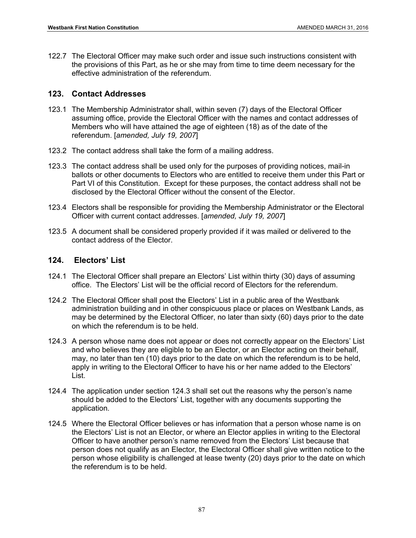122.7 The Electoral Officer may make such order and issue such instructions consistent with the provisions of this Part, as he or she may from time to time deem necessary for the effective administration of the referendum.

# **123. Contact Addresses**

- 123.1 The Membership Administrator shall, within seven (7) days of the Electoral Officer assuming office, provide the Electoral Officer with the names and contact addresses of Members who will have attained the age of eighteen (18) as of the date of the referendum. [*amended, July 19, 2007*]
- 123.2 The contact address shall take the form of a mailing address.
- 123.3 The contact address shall be used only for the purposes of providing notices, mail-in ballots or other documents to Electors who are entitled to receive them under this Part or Part VI of this Constitution. Except for these purposes, the contact address shall not be disclosed by the Electoral Officer without the consent of the Elector.
- 123.4 Electors shall be responsible for providing the Membership Administrator or the Electoral Officer with current contact addresses. [*amended, July 19, 2007*]
- 123.5 A document shall be considered properly provided if it was mailed or delivered to the contact address of the Elector.

# **124. Electors' List**

- 124.1 The Electoral Officer shall prepare an Electors' List within thirty (30) days of assuming office. The Electors' List will be the official record of Electors for the referendum.
- 124.2 The Electoral Officer shall post the Electors' List in a public area of the Westbank administration building and in other conspicuous place or places on Westbank Lands, as may be determined by the Electoral Officer, no later than sixty (60) days prior to the date on which the referendum is to be held.
- 124.3 A person whose name does not appear or does not correctly appear on the Electors' List and who believes they are eligible to be an Elector, or an Elector acting on their behalf, may, no later than ten (10) days prior to the date on which the referendum is to be held, apply in writing to the Electoral Officer to have his or her name added to the Electors' List.
- 124.4 The application under section 124.3 shall set out the reasons why the person's name should be added to the Electors' List, together with any documents supporting the application.
- 124.5 Where the Electoral Officer believes or has information that a person whose name is on the Electors' List is not an Elector, or where an Elector applies in writing to the Electoral Officer to have another person's name removed from the Electors' List because that person does not qualify as an Elector, the Electoral Officer shall give written notice to the person whose eligibility is challenged at lease twenty (20) days prior to the date on which the referendum is to be held.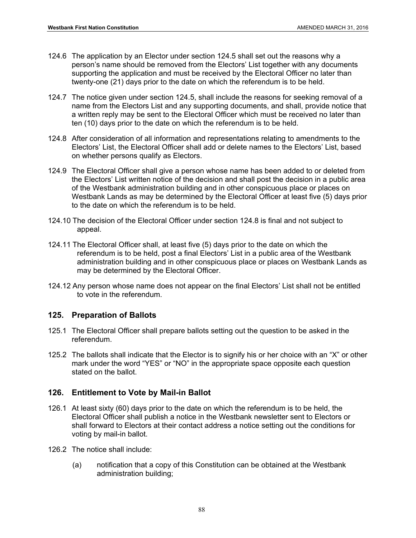- 124.6 The application by an Elector under section 124.5 shall set out the reasons why a person's name should be removed from the Electors' List together with any documents supporting the application and must be received by the Electoral Officer no later than twenty-one (21) days prior to the date on which the referendum is to be held.
- 124.7 The notice given under section 124.5, shall include the reasons for seeking removal of a name from the Electors List and any supporting documents, and shall, provide notice that a written reply may be sent to the Electoral Officer which must be received no later than ten (10) days prior to the date on which the referendum is to be held.
- 124.8 After consideration of all information and representations relating to amendments to the Electors' List, the Electoral Officer shall add or delete names to the Electors' List, based on whether persons qualify as Electors.
- 124.9 The Electoral Officer shall give a person whose name has been added to or deleted from the Electors' List written notice of the decision and shall post the decision in a public area of the Westbank administration building and in other conspicuous place or places on Westbank Lands as may be determined by the Electoral Officer at least five (5) days prior to the date on which the referendum is to be held.
- 124.10 The decision of the Electoral Officer under section 124.8 is final and not subject to appeal.
- 124.11 The Electoral Officer shall, at least five (5) days prior to the date on which the referendum is to be held, post a final Electors' List in a public area of the Westbank administration building and in other conspicuous place or places on Westbank Lands as may be determined by the Electoral Officer.
- 124.12 Any person whose name does not appear on the final Electors' List shall not be entitled to vote in the referendum.

## **125. Preparation of Ballots**

- 125.1 The Electoral Officer shall prepare ballots setting out the question to be asked in the referendum.
- 125.2 The ballots shall indicate that the Elector is to signify his or her choice with an "X" or other mark under the word "YES" or "NO" in the appropriate space opposite each question stated on the ballot.

## **126. Entitlement to Vote by Mail-in Ballot**

- 126.1 At least sixty (60) days prior to the date on which the referendum is to be held, the Electoral Officer shall publish a notice in the Westbank newsletter sent to Electors or shall forward to Electors at their contact address a notice setting out the conditions for voting by mail-in ballot.
- 126.2 The notice shall include:
	- (a) notification that a copy of this Constitution can be obtained at the Westbank administration building;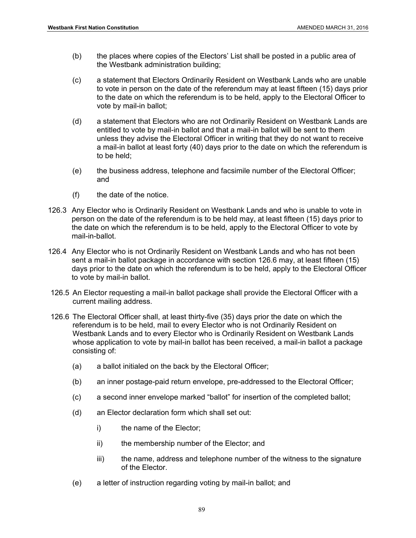- (b) the places where copies of the Electors' List shall be posted in a public area of the Westbank administration building;
- (c) a statement that Electors Ordinarily Resident on Westbank Lands who are unable to vote in person on the date of the referendum may at least fifteen (15) days prior to the date on which the referendum is to be held, apply to the Electoral Officer to vote by mail-in ballot;
- (d) a statement that Electors who are not Ordinarily Resident on Westbank Lands are entitled to vote by mail-in ballot and that a mail-in ballot will be sent to them unless they advise the Electoral Officer in writing that they do not want to receive a mail-in ballot at least forty (40) days prior to the date on which the referendum is to be held;
- (e) the business address, telephone and facsimile number of the Electoral Officer; and
- (f) the date of the notice.
- 126.3 Any Elector who is Ordinarily Resident on Westbank Lands and who is unable to vote in person on the date of the referendum is to be held may, at least fifteen (15) days prior to the date on which the referendum is to be held, apply to the Electoral Officer to vote by mail-in-ballot.
- 126.4 Any Elector who is not Ordinarily Resident on Westbank Lands and who has not been sent a mail-in ballot package in accordance with section 126.6 may, at least fifteen (15) days prior to the date on which the referendum is to be held, apply to the Electoral Officer to vote by mail-in ballot.
- 126.5 An Elector requesting a mail-in ballot package shall provide the Electoral Officer with a current mailing address.
- 126.6 The Electoral Officer shall, at least thirty-five (35) days prior the date on which the referendum is to be held, mail to every Elector who is not Ordinarily Resident on Westbank Lands and to every Elector who is Ordinarily Resident on Westbank Lands whose application to vote by mail-in ballot has been received, a mail-in ballot a package consisting of:
	- (a) a ballot initialed on the back by the Electoral Officer;
	- (b) an inner postage-paid return envelope, pre-addressed to the Electoral Officer;
	- (c) a second inner envelope marked "ballot" for insertion of the completed ballot;
	- (d) an Elector declaration form which shall set out:
		- i) the name of the Elector;
		- ii) the membership number of the Elector; and
		- iii) the name, address and telephone number of the witness to the signature of the Elector.
	- (e) a letter of instruction regarding voting by mail-in ballot; and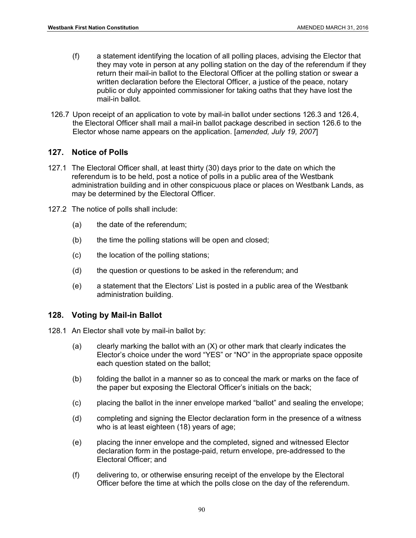- (f) a statement identifying the location of all polling places, advising the Elector that they may vote in person at any polling station on the day of the referendum if they return their mail-in ballot to the Electoral Officer at the polling station or swear a written declaration before the Electoral Officer, a justice of the peace, notary public or duly appointed commissioner for taking oaths that they have lost the mail-in ballot.
- 126.7 Upon receipt of an application to vote by mail-in ballot under sections 126.3 and 126.4, the Electoral Officer shall mail a mail-in ballot package described in section 126.6 to the Elector whose name appears on the application. [*amended, July 19, 2007*]

#### **127. Notice of Polls**

- 127.1 The Electoral Officer shall, at least thirty (30) days prior to the date on which the referendum is to be held, post a notice of polls in a public area of the Westbank administration building and in other conspicuous place or places on Westbank Lands, as may be determined by the Electoral Officer.
- 127.2 The notice of polls shall include:
	- (a) the date of the referendum;
	- (b) the time the polling stations will be open and closed;
	- (c) the location of the polling stations;
	- (d) the question or questions to be asked in the referendum; and
	- (e) a statement that the Electors' List is posted in a public area of the Westbank administration building.

## **128. Voting by Mail-in Ballot**

- 128.1 An Elector shall vote by mail-in ballot by:
	- (a) clearly marking the ballot with an (X) or other mark that clearly indicates the Elector's choice under the word "YES" or "NO" in the appropriate space opposite each question stated on the ballot;
	- (b) folding the ballot in a manner so as to conceal the mark or marks on the face of the paper but exposing the Electoral Officer's initials on the back;
	- (c) placing the ballot in the inner envelope marked "ballot" and sealing the envelope;
	- (d) completing and signing the Elector declaration form in the presence of a witness who is at least eighteen (18) years of age;
	- (e) placing the inner envelope and the completed, signed and witnessed Elector declaration form in the postage-paid, return envelope, pre-addressed to the Electoral Officer; and
	- (f) delivering to, or otherwise ensuring receipt of the envelope by the Electoral Officer before the time at which the polls close on the day of the referendum.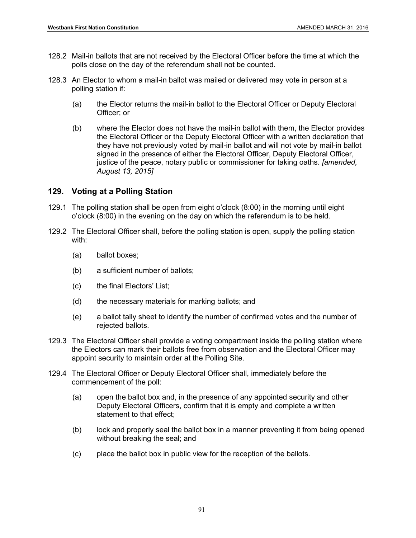- 128.2 Mail-in ballots that are not received by the Electoral Officer before the time at which the polls close on the day of the referendum shall not be counted.
- 128.3 An Elector to whom a mail-in ballot was mailed or delivered may vote in person at a polling station if:
	- (a) the Elector returns the mail-in ballot to the Electoral Officer or Deputy Electoral Officer; or
	- (b) where the Elector does not have the mail-in ballot with them, the Elector provides the Electoral Officer or the Deputy Electoral Officer with a written declaration that they have not previously voted by mail-in ballot and will not vote by mail-in ballot signed in the presence of either the Electoral Officer, Deputy Electoral Officer, justice of the peace, notary public or commissioner for taking oaths. *[amended, August 13, 2015]*

# **129. Voting at a Polling Station**

- 129.1 The polling station shall be open from eight o'clock (8:00) in the morning until eight o'clock (8:00) in the evening on the day on which the referendum is to be held.
- 129.2 The Electoral Officer shall, before the polling station is open, supply the polling station with:
	- (a) ballot boxes;
	- (b) a sufficient number of ballots;
	- (c) the final Electors' List;
	- (d) the necessary materials for marking ballots; and
	- (e) a ballot tally sheet to identify the number of confirmed votes and the number of rejected ballots.
- 129.3 The Electoral Officer shall provide a voting compartment inside the polling station where the Electors can mark their ballots free from observation and the Electoral Officer may appoint security to maintain order at the Polling Site.
- 129.4 The Electoral Officer or Deputy Electoral Officer shall, immediately before the commencement of the poll:
	- (a) open the ballot box and, in the presence of any appointed security and other Deputy Electoral Officers, confirm that it is empty and complete a written statement to that effect;
	- (b) lock and properly seal the ballot box in a manner preventing it from being opened without breaking the seal; and
	- (c) place the ballot box in public view for the reception of the ballots.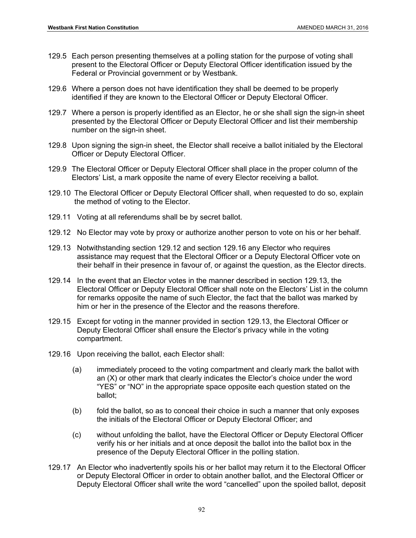- 129.5 Each person presenting themselves at a polling station for the purpose of voting shall present to the Electoral Officer or Deputy Electoral Officer identification issued by the Federal or Provincial government or by Westbank.
- 129.6 Where a person does not have identification they shall be deemed to be properly identified if they are known to the Electoral Officer or Deputy Electoral Officer.
- 129.7 Where a person is properly identified as an Elector, he or she shall sign the sign-in sheet presented by the Electoral Officer or Deputy Electoral Officer and list their membership number on the sign-in sheet.
- 129.8 Upon signing the sign-in sheet, the Elector shall receive a ballot initialed by the Electoral Officer or Deputy Electoral Officer.
- 129.9 The Electoral Officer or Deputy Electoral Officer shall place in the proper column of the Electors' List, a mark opposite the name of every Elector receiving a ballot.
- 129.10 The Electoral Officer or Deputy Electoral Officer shall, when requested to do so, explain the method of voting to the Elector.
- 129.11 Voting at all referendums shall be by secret ballot.
- 129.12 No Elector may vote by proxy or authorize another person to vote on his or her behalf.
- 129.13 Notwithstanding section 129.12 and section 129.16 any Elector who requires assistance may request that the Electoral Officer or a Deputy Electoral Officer vote on their behalf in their presence in favour of, or against the question, as the Elector directs.
- 129.14 In the event that an Elector votes in the manner described in section 129.13, the Electoral Officer or Deputy Electoral Officer shall note on the Electors' List in the column for remarks opposite the name of such Elector, the fact that the ballot was marked by him or her in the presence of the Elector and the reasons therefore.
- 129.15 Except for voting in the manner provided in section 129.13, the Electoral Officer or Deputy Electoral Officer shall ensure the Elector's privacy while in the voting compartment.
- 129.16 Upon receiving the ballot, each Elector shall:
	- (a) immediately proceed to the voting compartment and clearly mark the ballot with an (X) or other mark that clearly indicates the Elector's choice under the word "YES" or "NO" in the appropriate space opposite each question stated on the ballot;
	- (b) fold the ballot, so as to conceal their choice in such a manner that only exposes the initials of the Electoral Officer or Deputy Electoral Officer; and
	- (c) without unfolding the ballot, have the Electoral Officer or Deputy Electoral Officer verify his or her initials and at once deposit the ballot into the ballot box in the presence of the Deputy Electoral Officer in the polling station.
- 129.17 An Elector who inadvertently spoils his or her ballot may return it to the Electoral Officer or Deputy Electoral Officer in order to obtain another ballot, and the Electoral Officer or Deputy Electoral Officer shall write the word "cancelled" upon the spoiled ballot, deposit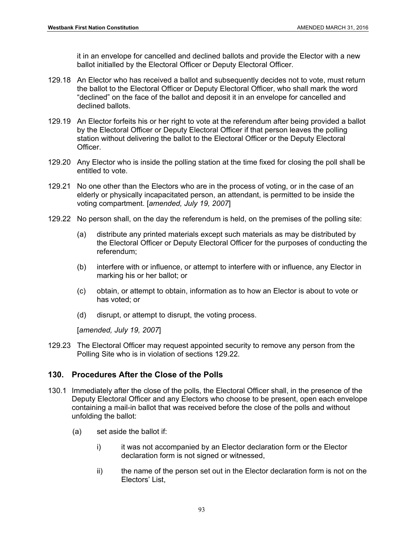it in an envelope for cancelled and declined ballots and provide the Elector with a new ballot initialled by the Electoral Officer or Deputy Electoral Officer.

- 129.18 An Elector who has received a ballot and subsequently decides not to vote, must return the ballot to the Electoral Officer or Deputy Electoral Officer, who shall mark the word "declined" on the face of the ballot and deposit it in an envelope for cancelled and declined ballots.
- 129.19 An Elector forfeits his or her right to vote at the referendum after being provided a ballot by the Electoral Officer or Deputy Electoral Officer if that person leaves the polling station without delivering the ballot to the Electoral Officer or the Deputy Electoral Officer.
- 129.20 Any Elector who is inside the polling station at the time fixed for closing the poll shall be entitled to vote.
- 129.21 No one other than the Electors who are in the process of voting, or in the case of an elderly or physically incapacitated person, an attendant, is permitted to be inside the voting compartment. [*amended, July 19, 2007*]
- 129.22 No person shall, on the day the referendum is held, on the premises of the polling site:
	- (a) distribute any printed materials except such materials as may be distributed by the Electoral Officer or Deputy Electoral Officer for the purposes of conducting the referendum;
	- (b) interfere with or influence, or attempt to interfere with or influence, any Elector in marking his or her ballot; or
	- (c) obtain, or attempt to obtain, information as to how an Elector is about to vote or has voted; or
	- (d) disrupt, or attempt to disrupt, the voting process.

[*amended, July 19, 2007*]

129.23 The Electoral Officer may request appointed security to remove any person from the Polling Site who is in violation of sections 129.22.

# **130. Procedures After the Close of the Polls**

- 130.1 Immediately after the close of the polls, the Electoral Officer shall, in the presence of the Deputy Electoral Officer and any Electors who choose to be present, open each envelope containing a mail-in ballot that was received before the close of the polls and without unfolding the ballot:
	- (a) set aside the ballot if:
		- i) it was not accompanied by an Elector declaration form or the Elector declaration form is not signed or witnessed,
		- ii) the name of the person set out in the Elector declaration form is not on the Electors' List,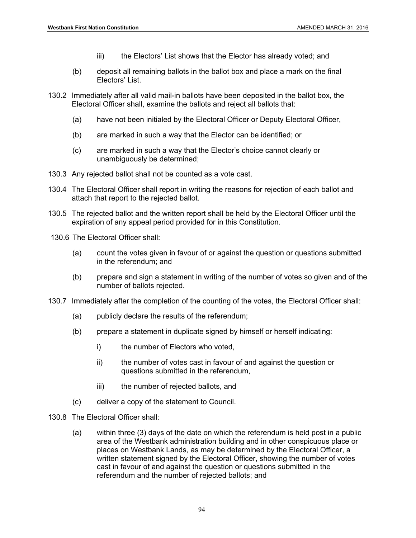- iii) the Electors' List shows that the Elector has already voted; and
- (b) deposit all remaining ballots in the ballot box and place a mark on the final Electors' List.
- 130.2 Immediately after all valid mail-in ballots have been deposited in the ballot box, the Electoral Officer shall, examine the ballots and reject all ballots that:
	- (a) have not been initialed by the Electoral Officer or Deputy Electoral Officer,
	- (b) are marked in such a way that the Elector can be identified; or
	- (c) are marked in such a way that the Elector's choice cannot clearly or unambiguously be determined;
- 130.3 Any rejected ballot shall not be counted as a vote cast.
- 130.4 The Electoral Officer shall report in writing the reasons for rejection of each ballot and attach that report to the rejected ballot.
- 130.5 The rejected ballot and the written report shall be held by the Electoral Officer until the expiration of any appeal period provided for in this Constitution.
- 130.6 The Electoral Officer shall:
	- (a) count the votes given in favour of or against the question or questions submitted in the referendum; and
	- (b) prepare and sign a statement in writing of the number of votes so given and of the number of ballots rejected.
- 130.7 Immediately after the completion of the counting of the votes, the Electoral Officer shall:
	- (a) publicly declare the results of the referendum;
	- (b) prepare a statement in duplicate signed by himself or herself indicating:
		- i) the number of Electors who voted,
		- ii) the number of votes cast in favour of and against the question or questions submitted in the referendum,
		- iii) the number of rejected ballots, and
	- (c) deliver a copy of the statement to Council.
- 130.8 The Electoral Officer shall:
	- (a) within three (3) days of the date on which the referendum is held post in a public area of the Westbank administration building and in other conspicuous place or places on Westbank Lands, as may be determined by the Electoral Officer, a written statement signed by the Electoral Officer, showing the number of votes cast in favour of and against the question or questions submitted in the referendum and the number of rejected ballots; and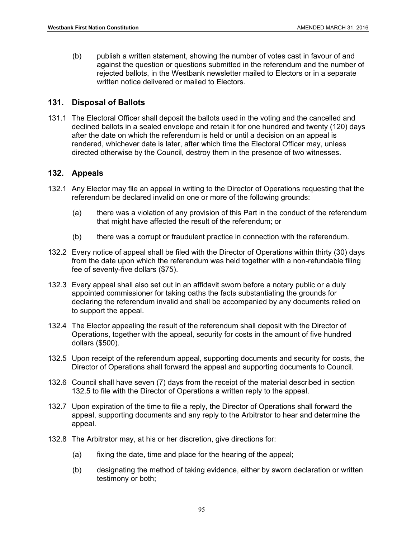(b) publish a written statement, showing the number of votes cast in favour of and against the question or questions submitted in the referendum and the number of rejected ballots, in the Westbank newsletter mailed to Electors or in a separate written notice delivered or mailed to Electors.

## **131. Disposal of Ballots**

131.1 The Electoral Officer shall deposit the ballots used in the voting and the cancelled and declined ballots in a sealed envelope and retain it for one hundred and twenty (120) days after the date on which the referendum is held or until a decision on an appeal is rendered, whichever date is later, after which time the Electoral Officer may, unless directed otherwise by the Council, destroy them in the presence of two witnesses.

#### **132. Appeals**

- 132.1 Any Elector may file an appeal in writing to the Director of Operations requesting that the referendum be declared invalid on one or more of the following grounds:
	- (a) there was a violation of any provision of this Part in the conduct of the referendum that might have affected the result of the referendum; or
	- (b) there was a corrupt or fraudulent practice in connection with the referendum.
- 132.2 Every notice of appeal shall be filed with the Director of Operations within thirty (30) days from the date upon which the referendum was held together with a non-refundable filing fee of seventy-five dollars (\$75).
- 132.3 Every appeal shall also set out in an affidavit sworn before a notary public or a duly appointed commissioner for taking oaths the facts substantiating the grounds for declaring the referendum invalid and shall be accompanied by any documents relied on to support the appeal.
- 132.4 The Elector appealing the result of the referendum shall deposit with the Director of Operations, together with the appeal, security for costs in the amount of five hundred dollars (\$500).
- 132.5 Upon receipt of the referendum appeal, supporting documents and security for costs, the Director of Operations shall forward the appeal and supporting documents to Council.
- 132.6 Council shall have seven (7) days from the receipt of the material described in section 132.5 to file with the Director of Operations a written reply to the appeal.
- 132.7 Upon expiration of the time to file a reply, the Director of Operations shall forward the appeal, supporting documents and any reply to the Arbitrator to hear and determine the appeal.
- 132.8 The Arbitrator may, at his or her discretion, give directions for:
	- (a) fixing the date, time and place for the hearing of the appeal;
	- (b) designating the method of taking evidence, either by sworn declaration or written testimony or both;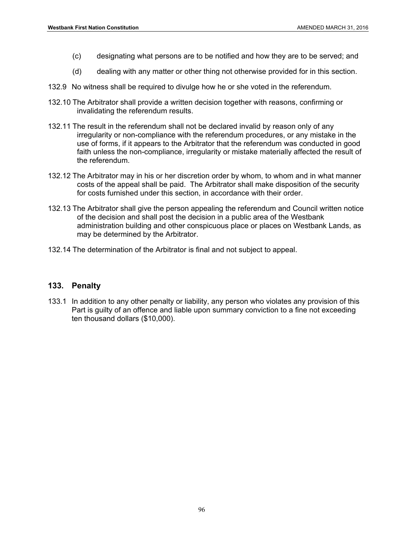- (c) designating what persons are to be notified and how they are to be served; and
- (d) dealing with any matter or other thing not otherwise provided for in this section.
- 132.9 No witness shall be required to divulge how he or she voted in the referendum.
- 132.10 The Arbitrator shall provide a written decision together with reasons, confirming or invalidating the referendum results.
- 132.11 The result in the referendum shall not be declared invalid by reason only of any irregularity or non-compliance with the referendum procedures, or any mistake in the use of forms, if it appears to the Arbitrator that the referendum was conducted in good faith unless the non-compliance, irregularity or mistake materially affected the result of the referendum.
- 132.12 The Arbitrator may in his or her discretion order by whom, to whom and in what manner costs of the appeal shall be paid. The Arbitrator shall make disposition of the security for costs furnished under this section, in accordance with their order.
- 132.13 The Arbitrator shall give the person appealing the referendum and Council written notice of the decision and shall post the decision in a public area of the Westbank administration building and other conspicuous place or places on Westbank Lands, as may be determined by the Arbitrator.
- 132.14 The determination of the Arbitrator is final and not subject to appeal.

#### **133. Penalty**

133.1 In addition to any other penalty or liability, any person who violates any provision of this Part is guilty of an offence and liable upon summary conviction to a fine not exceeding ten thousand dollars (\$10,000).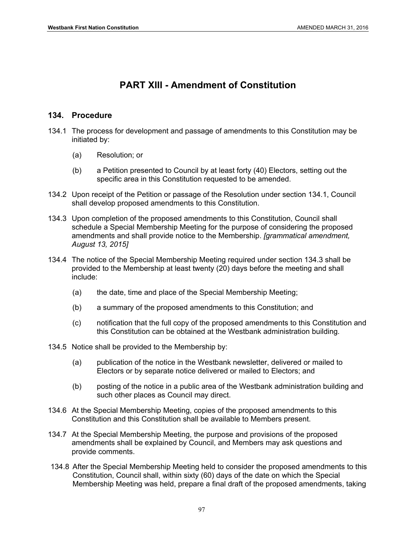# **PART XIII - Amendment of Constitution**

## **134. Procedure**

- 134.1 The process for development and passage of amendments to this Constitution may be initiated by:
	- (a) Resolution; or
	- (b) a Petition presented to Council by at least forty (40) Electors, setting out the specific area in this Constitution requested to be amended.
- 134.2 Upon receipt of the Petition or passage of the Resolution under section 134.1, Council shall develop proposed amendments to this Constitution.
- 134.3 Upon completion of the proposed amendments to this Constitution, Council shall schedule a Special Membership Meeting for the purpose of considering the proposed amendments and shall provide notice to the Membership. *[grammatical amendment, August 13, 2015]*
- 134.4 The notice of the Special Membership Meeting required under section 134.3 shall be provided to the Membership at least twenty (20) days before the meeting and shall include:
	- (a) the date, time and place of the Special Membership Meeting;
	- (b) a summary of the proposed amendments to this Constitution; and
	- (c) notification that the full copy of the proposed amendments to this Constitution and this Constitution can be obtained at the Westbank administration building.
- 134.5 Notice shall be provided to the Membership by:
	- (a) publication of the notice in the Westbank newsletter, delivered or mailed to Electors or by separate notice delivered or mailed to Electors; and
	- (b) posting of the notice in a public area of the Westbank administration building and such other places as Council may direct.
- 134.6 At the Special Membership Meeting, copies of the proposed amendments to this Constitution and this Constitution shall be available to Members present.
- 134.7 At the Special Membership Meeting, the purpose and provisions of the proposed amendments shall be explained by Council, and Members may ask questions and provide comments.
- 134.8 After the Special Membership Meeting held to consider the proposed amendments to this Constitution, Council shall, within sixty (60) days of the date on which the Special Membership Meeting was held, prepare a final draft of the proposed amendments, taking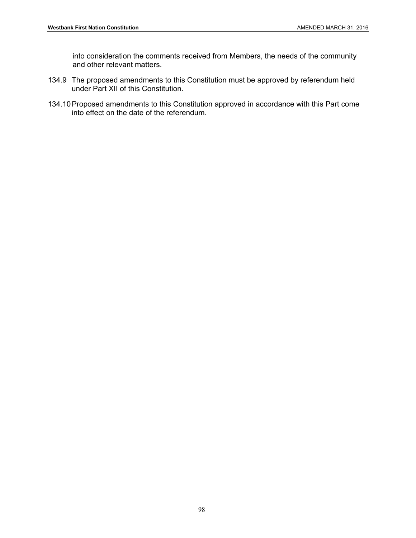into consideration the comments received from Members, the needs of the community and other relevant matters.

- 134.9 The proposed amendments to this Constitution must be approved by referendum held under Part XII of this Constitution.
- 134.10 Proposed amendments to this Constitution approved in accordance with this Part come into effect on the date of the referendum.